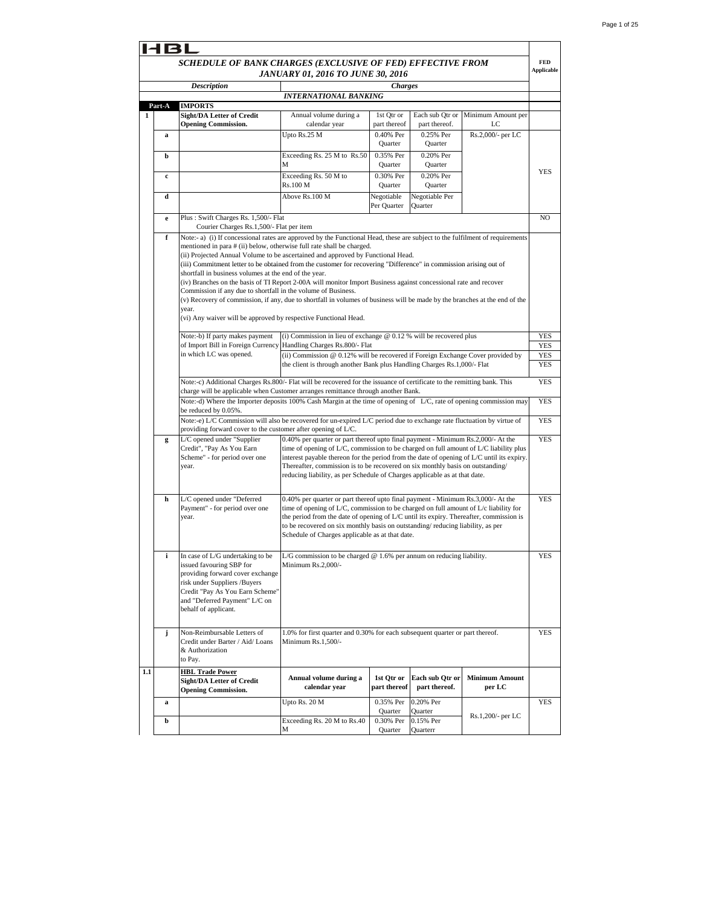| <b>Charges</b><br><b>Description</b><br>INTERNATIONAL BANKING<br>Part-A<br><b>IMPORTS</b><br>Minimum Amount per<br><b>Sight/DA Letter of Credit</b><br>Annual volume during a<br>1st Otr or<br>Each sub Otr or<br><b>Opening Commission.</b><br>calendar year<br>part thereof.<br>LC<br>part thereof<br>Upto Rs.25 M<br>0.40% Per<br>0.25% Per<br>Rs.2,000/- per LC<br>a<br>Quarter<br>Quarter<br>Exceeding Rs. 25 M to Rs.50<br>0.35% Per<br>0.20% Per<br>b<br>М<br>Quarter<br>Quarter<br>YES<br>Exceeding Rs. 50 M to<br>0.30% Per<br>0.20% Per<br>c<br>Rs.100 M<br>Quarter<br>Quarter<br>Above Rs.100 M<br>d<br>Negotiable<br>Negotiable Per<br>Per Quarter<br>Quarter<br>Plus: Swift Charges Rs. 1,500/- Flat<br>e<br>Courier Charges Rs.1,500/- Flat per item<br>f<br>Note:- a) (i) If concessional rates are approved by the Functional Head, these are subject to the fulfilment of requirements<br>mentioned in para # (ii) below, otherwise full rate shall be charged.<br>(ii) Projected Annual Volume to be ascertained and approved by Functional Head.<br>(iii) Commitment letter to be obtained from the customer for recovering "Difference" in commission arising out of<br>shortfall in business volumes at the end of the year.<br>(iv) Branches on the basis of TI Report 2-00A will monitor Import Business against concessional rate and recover<br>Commission if any due to shortfall in the volume of Business.<br>(v) Recovery of commission, if any, due to shortfall in volumes of business will be made by the branches at the end of the<br>year.<br>(vi) Any waiver will be approved by respective Functional Head.<br>(i) Commission in lieu of exchange $@$ 0.12 % will be recovered plus<br>Note:-b) If party makes payment<br>of Import Bill in Foreign Currency Handling Charges Rs.800/- Flat<br>in which LC was opened.<br>(ii) Commission @ 0.12% will be recovered if Foreign Exchange Cover provided by<br>the client is through another Bank plus Handling Charges Rs.1,000/- Flat<br>Note:-c) Additional Charges Rs.800/- Flat will be recovered for the issuance of certificate to the remitting bank. This<br>charge will be applicable when Customer arranges remittance through another Bank.<br>Note:-d) Where the Importer deposits 100% Cash Margin at the time of opening of L/C, rate of opening commission may<br>be reduced by 0.05%.<br>Note:-e) L/C Commission will also be recovered for un-expired L/C period due to exchange rate fluctuation by virtue of<br>providing forward cover to the customer after opening of L/C.<br>L/C opened under "Supplier<br>0.40% per quarter or part thereof upto final payment - Minimum Rs.2,000/- At the<br>g<br>Credit", "Pay As You Earn<br>time of opening of L/C, commission to be charged on full amount of L/C liability plus<br>Scheme" - for period over one<br>interest payable thereon for the period from the date of opening of L/C until its expiry.<br>Thereafter, commission is to be recovered on six monthly basis on outstanding/<br>year.<br>reducing liability, as per Schedule of Charges applicable as at that date.<br>L/C opened under "Deferred<br>0.40% per quarter or part thereof upto final payment - Minimum Rs.3,000/- At the<br>h<br>Payment" - for period over one<br>time of opening of L/C, commission to be charged on full amount of $L/c$ liability for<br>year.<br>the period from the date of opening of L/C until its expiry. Thereafter, commission is<br>to be recovered on six monthly basis on outstanding/reducing liability, as per<br>Schedule of Charges applicable as at that date.<br>i<br>In case of L/G undertaking to be<br>L/G commission to be charged $@$ 1.6% per annum on reducing liability.<br>issued favouring SBP for<br>Minimum Rs.2,000/-<br>providing forward cover exchange<br>risk under Suppliers /Buyers<br>Credit "Pay As You Earn Scheme"<br>and "Deferred Payment" L/C on<br>behalf of applicant.<br>Non-Reimbursable Letters of<br>1.0% for first quarter and 0.30% for each subsequent quarter or part thereof.<br>j<br>Minimum Rs.1,500/-<br>Credit under Barter / Aid/ Loans<br>& Authorization<br>to Pay.<br><b>HBL Trade Power</b><br>Annual volume during a<br>1st Qtr or<br>Each sub Qtr or<br><b>Minimum Amount</b><br><b>Sight/DA Letter of Credit</b><br>calendar year<br>part thereof<br>part thereof.<br>per LC<br><b>Opening Commission.</b><br>Upto Rs. $20\,\overline{\mathrm{M}}$<br><b>YES</b><br>0.35% Per<br>0.20% Per<br>a<br>Quarter<br>Quarter<br>Rs.1,200/- per LC<br>Exceeding Rs. 20 M to Rs.40<br>0.15% Per<br>b<br>0.30% Per |  | <b>JANUARY 01, 2016 TO JUNE 30, 2016</b> |  |                                 |
|---------------------------------------------------------------------------------------------------------------------------------------------------------------------------------------------------------------------------------------------------------------------------------------------------------------------------------------------------------------------------------------------------------------------------------------------------------------------------------------------------------------------------------------------------------------------------------------------------------------------------------------------------------------------------------------------------------------------------------------------------------------------------------------------------------------------------------------------------------------------------------------------------------------------------------------------------------------------------------------------------------------------------------------------------------------------------------------------------------------------------------------------------------------------------------------------------------------------------------------------------------------------------------------------------------------------------------------------------------------------------------------------------------------------------------------------------------------------------------------------------------------------------------------------------------------------------------------------------------------------------------------------------------------------------------------------------------------------------------------------------------------------------------------------------------------------------------------------------------------------------------------------------------------------------------------------------------------------------------------------------------------------------------------------------------------------------------------------------------------------------------------------------------------------------------------------------------------------------------------------------------------------------------------------------------------------------------------------------------------------------------------------------------------------------------------------------------------------------------------------------------------------------------------------------------------------------------------------------------------------------------------------------------------------------------------------------------------------------------------------------------------------------------------------------------------------------------------------------------------------------------------------------------------------------------------------------------------------------------------------------------------------------------------------------------------------------------------------------------------------------------------------------------------------------------------------------------------------------------------------------------------------------------------------------------------------------------------------------------------------------------------------------------------------------------------------------------------------------------------------------------------------------------------------------------------------------------------------------------------------------------------------------------------------------------------------------------------------------------------------------------------------------------------------------------------------------------------------------------------------------------------------------------------------------------------------------------------------------------------------------------------------------------------------------------------------------------------------------------------------------------------------------------------------------------------------------------------------------------------------------------------------------------------------------------------------------------------------------------------------------------------------------------------------------------------------------------------------------------------------------------------------------------------------------------------------------------------------------------------------------------|--|------------------------------------------|--|---------------------------------|
|                                                                                                                                                                                                                                                                                                                                                                                                                                                                                                                                                                                                                                                                                                                                                                                                                                                                                                                                                                                                                                                                                                                                                                                                                                                                                                                                                                                                                                                                                                                                                                                                                                                                                                                                                                                                                                                                                                                                                                                                                                                                                                                                                                                                                                                                                                                                                                                                                                                                                                                                                                                                                                                                                                                                                                                                                                                                                                                                                                                                                                                                                                                                                                                                                                                                                                                                                                                                                                                                                                                                                                                                                                                                                                                                                                                                                                                                                                                                                                                                                                                                                                                                                                                                                                                                                                                                                                                                                                                                                                                                                                                                                                 |  |                                          |  |                                 |
|                                                                                                                                                                                                                                                                                                                                                                                                                                                                                                                                                                                                                                                                                                                                                                                                                                                                                                                                                                                                                                                                                                                                                                                                                                                                                                                                                                                                                                                                                                                                                                                                                                                                                                                                                                                                                                                                                                                                                                                                                                                                                                                                                                                                                                                                                                                                                                                                                                                                                                                                                                                                                                                                                                                                                                                                                                                                                                                                                                                                                                                                                                                                                                                                                                                                                                                                                                                                                                                                                                                                                                                                                                                                                                                                                                                                                                                                                                                                                                                                                                                                                                                                                                                                                                                                                                                                                                                                                                                                                                                                                                                                                                 |  |                                          |  |                                 |
|                                                                                                                                                                                                                                                                                                                                                                                                                                                                                                                                                                                                                                                                                                                                                                                                                                                                                                                                                                                                                                                                                                                                                                                                                                                                                                                                                                                                                                                                                                                                                                                                                                                                                                                                                                                                                                                                                                                                                                                                                                                                                                                                                                                                                                                                                                                                                                                                                                                                                                                                                                                                                                                                                                                                                                                                                                                                                                                                                                                                                                                                                                                                                                                                                                                                                                                                                                                                                                                                                                                                                                                                                                                                                                                                                                                                                                                                                                                                                                                                                                                                                                                                                                                                                                                                                                                                                                                                                                                                                                                                                                                                                                 |  |                                          |  |                                 |
|                                                                                                                                                                                                                                                                                                                                                                                                                                                                                                                                                                                                                                                                                                                                                                                                                                                                                                                                                                                                                                                                                                                                                                                                                                                                                                                                                                                                                                                                                                                                                                                                                                                                                                                                                                                                                                                                                                                                                                                                                                                                                                                                                                                                                                                                                                                                                                                                                                                                                                                                                                                                                                                                                                                                                                                                                                                                                                                                                                                                                                                                                                                                                                                                                                                                                                                                                                                                                                                                                                                                                                                                                                                                                                                                                                                                                                                                                                                                                                                                                                                                                                                                                                                                                                                                                                                                                                                                                                                                                                                                                                                                                                 |  |                                          |  |                                 |
|                                                                                                                                                                                                                                                                                                                                                                                                                                                                                                                                                                                                                                                                                                                                                                                                                                                                                                                                                                                                                                                                                                                                                                                                                                                                                                                                                                                                                                                                                                                                                                                                                                                                                                                                                                                                                                                                                                                                                                                                                                                                                                                                                                                                                                                                                                                                                                                                                                                                                                                                                                                                                                                                                                                                                                                                                                                                                                                                                                                                                                                                                                                                                                                                                                                                                                                                                                                                                                                                                                                                                                                                                                                                                                                                                                                                                                                                                                                                                                                                                                                                                                                                                                                                                                                                                                                                                                                                                                                                                                                                                                                                                                 |  |                                          |  |                                 |
|                                                                                                                                                                                                                                                                                                                                                                                                                                                                                                                                                                                                                                                                                                                                                                                                                                                                                                                                                                                                                                                                                                                                                                                                                                                                                                                                                                                                                                                                                                                                                                                                                                                                                                                                                                                                                                                                                                                                                                                                                                                                                                                                                                                                                                                                                                                                                                                                                                                                                                                                                                                                                                                                                                                                                                                                                                                                                                                                                                                                                                                                                                                                                                                                                                                                                                                                                                                                                                                                                                                                                                                                                                                                                                                                                                                                                                                                                                                                                                                                                                                                                                                                                                                                                                                                                                                                                                                                                                                                                                                                                                                                                                 |  |                                          |  |                                 |
|                                                                                                                                                                                                                                                                                                                                                                                                                                                                                                                                                                                                                                                                                                                                                                                                                                                                                                                                                                                                                                                                                                                                                                                                                                                                                                                                                                                                                                                                                                                                                                                                                                                                                                                                                                                                                                                                                                                                                                                                                                                                                                                                                                                                                                                                                                                                                                                                                                                                                                                                                                                                                                                                                                                                                                                                                                                                                                                                                                                                                                                                                                                                                                                                                                                                                                                                                                                                                                                                                                                                                                                                                                                                                                                                                                                                                                                                                                                                                                                                                                                                                                                                                                                                                                                                                                                                                                                                                                                                                                                                                                                                                                 |  |                                          |  |                                 |
|                                                                                                                                                                                                                                                                                                                                                                                                                                                                                                                                                                                                                                                                                                                                                                                                                                                                                                                                                                                                                                                                                                                                                                                                                                                                                                                                                                                                                                                                                                                                                                                                                                                                                                                                                                                                                                                                                                                                                                                                                                                                                                                                                                                                                                                                                                                                                                                                                                                                                                                                                                                                                                                                                                                                                                                                                                                                                                                                                                                                                                                                                                                                                                                                                                                                                                                                                                                                                                                                                                                                                                                                                                                                                                                                                                                                                                                                                                                                                                                                                                                                                                                                                                                                                                                                                                                                                                                                                                                                                                                                                                                                                                 |  |                                          |  | NO.                             |
|                                                                                                                                                                                                                                                                                                                                                                                                                                                                                                                                                                                                                                                                                                                                                                                                                                                                                                                                                                                                                                                                                                                                                                                                                                                                                                                                                                                                                                                                                                                                                                                                                                                                                                                                                                                                                                                                                                                                                                                                                                                                                                                                                                                                                                                                                                                                                                                                                                                                                                                                                                                                                                                                                                                                                                                                                                                                                                                                                                                                                                                                                                                                                                                                                                                                                                                                                                                                                                                                                                                                                                                                                                                                                                                                                                                                                                                                                                                                                                                                                                                                                                                                                                                                                                                                                                                                                                                                                                                                                                                                                                                                                                 |  |                                          |  | YES                             |
|                                                                                                                                                                                                                                                                                                                                                                                                                                                                                                                                                                                                                                                                                                                                                                                                                                                                                                                                                                                                                                                                                                                                                                                                                                                                                                                                                                                                                                                                                                                                                                                                                                                                                                                                                                                                                                                                                                                                                                                                                                                                                                                                                                                                                                                                                                                                                                                                                                                                                                                                                                                                                                                                                                                                                                                                                                                                                                                                                                                                                                                                                                                                                                                                                                                                                                                                                                                                                                                                                                                                                                                                                                                                                                                                                                                                                                                                                                                                                                                                                                                                                                                                                                                                                                                                                                                                                                                                                                                                                                                                                                                                                                 |  |                                          |  | YES<br><b>YES</b><br><b>YES</b> |
|                                                                                                                                                                                                                                                                                                                                                                                                                                                                                                                                                                                                                                                                                                                                                                                                                                                                                                                                                                                                                                                                                                                                                                                                                                                                                                                                                                                                                                                                                                                                                                                                                                                                                                                                                                                                                                                                                                                                                                                                                                                                                                                                                                                                                                                                                                                                                                                                                                                                                                                                                                                                                                                                                                                                                                                                                                                                                                                                                                                                                                                                                                                                                                                                                                                                                                                                                                                                                                                                                                                                                                                                                                                                                                                                                                                                                                                                                                                                                                                                                                                                                                                                                                                                                                                                                                                                                                                                                                                                                                                                                                                                                                 |  |                                          |  | <b>YES</b>                      |
|                                                                                                                                                                                                                                                                                                                                                                                                                                                                                                                                                                                                                                                                                                                                                                                                                                                                                                                                                                                                                                                                                                                                                                                                                                                                                                                                                                                                                                                                                                                                                                                                                                                                                                                                                                                                                                                                                                                                                                                                                                                                                                                                                                                                                                                                                                                                                                                                                                                                                                                                                                                                                                                                                                                                                                                                                                                                                                                                                                                                                                                                                                                                                                                                                                                                                                                                                                                                                                                                                                                                                                                                                                                                                                                                                                                                                                                                                                                                                                                                                                                                                                                                                                                                                                                                                                                                                                                                                                                                                                                                                                                                                                 |  |                                          |  | YES<br><b>YES</b>               |
|                                                                                                                                                                                                                                                                                                                                                                                                                                                                                                                                                                                                                                                                                                                                                                                                                                                                                                                                                                                                                                                                                                                                                                                                                                                                                                                                                                                                                                                                                                                                                                                                                                                                                                                                                                                                                                                                                                                                                                                                                                                                                                                                                                                                                                                                                                                                                                                                                                                                                                                                                                                                                                                                                                                                                                                                                                                                                                                                                                                                                                                                                                                                                                                                                                                                                                                                                                                                                                                                                                                                                                                                                                                                                                                                                                                                                                                                                                                                                                                                                                                                                                                                                                                                                                                                                                                                                                                                                                                                                                                                                                                                                                 |  |                                          |  |                                 |
|                                                                                                                                                                                                                                                                                                                                                                                                                                                                                                                                                                                                                                                                                                                                                                                                                                                                                                                                                                                                                                                                                                                                                                                                                                                                                                                                                                                                                                                                                                                                                                                                                                                                                                                                                                                                                                                                                                                                                                                                                                                                                                                                                                                                                                                                                                                                                                                                                                                                                                                                                                                                                                                                                                                                                                                                                                                                                                                                                                                                                                                                                                                                                                                                                                                                                                                                                                                                                                                                                                                                                                                                                                                                                                                                                                                                                                                                                                                                                                                                                                                                                                                                                                                                                                                                                                                                                                                                                                                                                                                                                                                                                                 |  |                                          |  | <b>YES</b>                      |
|                                                                                                                                                                                                                                                                                                                                                                                                                                                                                                                                                                                                                                                                                                                                                                                                                                                                                                                                                                                                                                                                                                                                                                                                                                                                                                                                                                                                                                                                                                                                                                                                                                                                                                                                                                                                                                                                                                                                                                                                                                                                                                                                                                                                                                                                                                                                                                                                                                                                                                                                                                                                                                                                                                                                                                                                                                                                                                                                                                                                                                                                                                                                                                                                                                                                                                                                                                                                                                                                                                                                                                                                                                                                                                                                                                                                                                                                                                                                                                                                                                                                                                                                                                                                                                                                                                                                                                                                                                                                                                                                                                                                                                 |  |                                          |  | YES                             |
|                                                                                                                                                                                                                                                                                                                                                                                                                                                                                                                                                                                                                                                                                                                                                                                                                                                                                                                                                                                                                                                                                                                                                                                                                                                                                                                                                                                                                                                                                                                                                                                                                                                                                                                                                                                                                                                                                                                                                                                                                                                                                                                                                                                                                                                                                                                                                                                                                                                                                                                                                                                                                                                                                                                                                                                                                                                                                                                                                                                                                                                                                                                                                                                                                                                                                                                                                                                                                                                                                                                                                                                                                                                                                                                                                                                                                                                                                                                                                                                                                                                                                                                                                                                                                                                                                                                                                                                                                                                                                                                                                                                                                                 |  |                                          |  | YES                             |
|                                                                                                                                                                                                                                                                                                                                                                                                                                                                                                                                                                                                                                                                                                                                                                                                                                                                                                                                                                                                                                                                                                                                                                                                                                                                                                                                                                                                                                                                                                                                                                                                                                                                                                                                                                                                                                                                                                                                                                                                                                                                                                                                                                                                                                                                                                                                                                                                                                                                                                                                                                                                                                                                                                                                                                                                                                                                                                                                                                                                                                                                                                                                                                                                                                                                                                                                                                                                                                                                                                                                                                                                                                                                                                                                                                                                                                                                                                                                                                                                                                                                                                                                                                                                                                                                                                                                                                                                                                                                                                                                                                                                                                 |  |                                          |  | <b>YES</b>                      |
|                                                                                                                                                                                                                                                                                                                                                                                                                                                                                                                                                                                                                                                                                                                                                                                                                                                                                                                                                                                                                                                                                                                                                                                                                                                                                                                                                                                                                                                                                                                                                                                                                                                                                                                                                                                                                                                                                                                                                                                                                                                                                                                                                                                                                                                                                                                                                                                                                                                                                                                                                                                                                                                                                                                                                                                                                                                                                                                                                                                                                                                                                                                                                                                                                                                                                                                                                                                                                                                                                                                                                                                                                                                                                                                                                                                                                                                                                                                                                                                                                                                                                                                                                                                                                                                                                                                                                                                                                                                                                                                                                                                                                                 |  |                                          |  |                                 |
|                                                                                                                                                                                                                                                                                                                                                                                                                                                                                                                                                                                                                                                                                                                                                                                                                                                                                                                                                                                                                                                                                                                                                                                                                                                                                                                                                                                                                                                                                                                                                                                                                                                                                                                                                                                                                                                                                                                                                                                                                                                                                                                                                                                                                                                                                                                                                                                                                                                                                                                                                                                                                                                                                                                                                                                                                                                                                                                                                                                                                                                                                                                                                                                                                                                                                                                                                                                                                                                                                                                                                                                                                                                                                                                                                                                                                                                                                                                                                                                                                                                                                                                                                                                                                                                                                                                                                                                                                                                                                                                                                                                                                                 |  |                                          |  |                                 |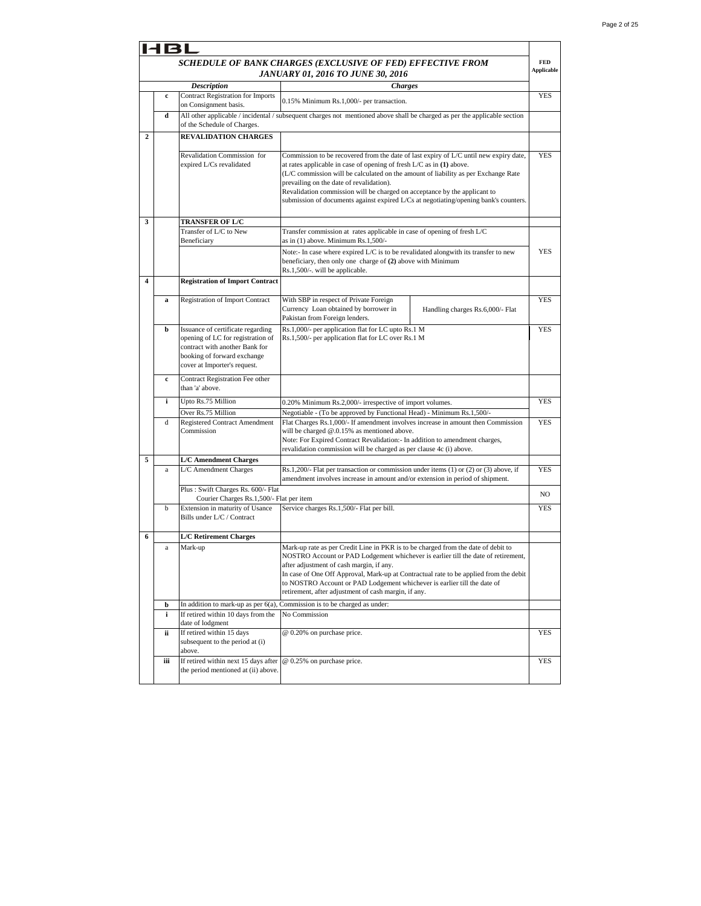|                         | 181         |                                                                                                                                                                         |                                                                                                                                                                                                                                                                                                                                                                                                                                                                          |                                 |
|-------------------------|-------------|-------------------------------------------------------------------------------------------------------------------------------------------------------------------------|--------------------------------------------------------------------------------------------------------------------------------------------------------------------------------------------------------------------------------------------------------------------------------------------------------------------------------------------------------------------------------------------------------------------------------------------------------------------------|---------------------------------|
|                         |             |                                                                                                                                                                         | SCHEDULE OF BANK CHARGES (EXCLUSIVE OF FED) EFFECTIVE FROM<br><b>JANUARY 01, 2016 TO JUNE 30, 2016</b>                                                                                                                                                                                                                                                                                                                                                                   | <b>FED</b><br><b>Applicable</b> |
|                         |             | <b>Description</b>                                                                                                                                                      | <b>Charges</b>                                                                                                                                                                                                                                                                                                                                                                                                                                                           |                                 |
|                         | $\mathbf c$ | <b>Contract Registration for Imports</b><br>on Consignment basis.                                                                                                       | 0.15% Minimum Rs.1,000/- per transaction.                                                                                                                                                                                                                                                                                                                                                                                                                                | <b>YES</b>                      |
|                         | d           | of the Schedule of Charges.                                                                                                                                             | All other applicable / incidental / subsequent charges not mentioned above shall be charged as per the applicable section                                                                                                                                                                                                                                                                                                                                                |                                 |
| $\overline{\mathbf{c}}$ |             | <b>REVALIDATION CHARGES</b>                                                                                                                                             |                                                                                                                                                                                                                                                                                                                                                                                                                                                                          |                                 |
|                         |             | Revalidation Commission for<br>expired L/Cs revalidated                                                                                                                 | Commission to be recovered from the date of last expiry of L/C until new expiry date,<br>at rates applicable in case of opening of fresh $L/C$ as in $(1)$ above.<br>(L/C commission will be calculated on the amount of liability as per Exchange Rate<br>prevailing on the date of revalidation).<br>Revalidation commission will be charged on acceptance by the applicant to<br>submission of documents against expired L/Cs at negotiating/opening bank's counters. | <b>YES</b>                      |
| 3                       |             | <b>TRANSFER OF L/C</b>                                                                                                                                                  |                                                                                                                                                                                                                                                                                                                                                                                                                                                                          |                                 |
|                         |             | Transfer of L/C to New<br>Beneficiary                                                                                                                                   | Transfer commission at rates applicable in case of opening of fresh L/C<br>as in (1) above. Minimum Rs.1,500/-                                                                                                                                                                                                                                                                                                                                                           |                                 |
|                         |             |                                                                                                                                                                         | Note:- In case where expired L/C is to be revalidated alongwith its transfer to new<br>beneficiary, then only one charge of (2) above with Minimum<br>Rs.1,500/-. will be applicable.                                                                                                                                                                                                                                                                                    | <b>YES</b>                      |
| 4                       |             | <b>Registration of Import Contract</b>                                                                                                                                  |                                                                                                                                                                                                                                                                                                                                                                                                                                                                          |                                 |
|                         | a           | Registration of Import Contract                                                                                                                                         | With SBP in respect of Private Foreign<br>Currency Loan obtained by borrower in<br>Handling charges Rs.6,000/- Flat<br>Pakistan from Foreign lenders.                                                                                                                                                                                                                                                                                                                    | <b>YES</b>                      |
|                         | b           | Issuance of certificate regarding<br>opening of LC for registration of<br>contract with another Bank for<br>booking of forward exchange<br>cover at Importer's request. | Rs.1,000/- per application flat for LC upto Rs.1 M<br>Rs.1,500/- per application flat for LC over Rs.1 M                                                                                                                                                                                                                                                                                                                                                                 | <b>YES</b>                      |
|                         | c           | Contract Registration Fee other<br>than 'a' above.                                                                                                                      |                                                                                                                                                                                                                                                                                                                                                                                                                                                                          |                                 |
|                         | i           | Upto Rs.75 Million                                                                                                                                                      | 0.20% Minimum Rs.2,000/- irrespective of import volumes.                                                                                                                                                                                                                                                                                                                                                                                                                 | <b>YES</b>                      |
|                         | d           | Over Rs.75 Million<br><b>Registered Contract Amendment</b><br>Commission                                                                                                | Negotiable - (To be approved by Functional Head) - Minimum Rs.1,500/-<br>Flat Charges Rs.1,000/- If amendment involves increase in amount then Commission<br>will be charged $@.0.15\%$ as mentioned above.<br>Note: For Expired Contract Revalidation: - In addition to amendment charges,<br>revalidation commission will be charged as per clause 4c (i) above.                                                                                                       | YES                             |
| 5                       |             | <b>L/C</b> Amendment Charges                                                                                                                                            |                                                                                                                                                                                                                                                                                                                                                                                                                                                                          |                                 |
|                         | $\bf{a}$    | L/C Amendment Charges                                                                                                                                                   | Rs.1,200/- Flat per transaction or commission under items $(1)$ or $(2)$ or $(3)$ above, if<br>amendment involves increase in amount and/or extension in period of shipment.                                                                                                                                                                                                                                                                                             | <b>YES</b>                      |
|                         |             | Plus: Swift Charges Rs. 600/- Flat<br>Courier Charges Rs.1,500/- Flat per item                                                                                          |                                                                                                                                                                                                                                                                                                                                                                                                                                                                          | NO                              |
|                         | b           | Extension in maturity of Usance<br>Bills under L/C / Contract                                                                                                           | Service charges Rs.1,500/- Flat per bill.                                                                                                                                                                                                                                                                                                                                                                                                                                | YES                             |
| 6                       |             | <b>L/C Retirement Charges</b>                                                                                                                                           |                                                                                                                                                                                                                                                                                                                                                                                                                                                                          |                                 |
|                         | $\bf{a}$    | Mark-up                                                                                                                                                                 | Mark-up rate as per Credit Line in PKR is to be charged from the date of debit to<br>NOSTRO Account or PAD Lodgement whichever is earlier till the date of retirement,<br>after adjustment of cash margin, if any.<br>In case of One Off Approval, Mark-up at Contractual rate to be applied from the debit<br>to NOSTRO Account or PAD Lodgement whichever is earlier till the date of<br>retirement, after adjustment of cash margin, if any.                          |                                 |
|                         | b           |                                                                                                                                                                         | In addition to mark-up as per $6(a)$ , Commission is to be charged as under:                                                                                                                                                                                                                                                                                                                                                                                             |                                 |
|                         | i           | If retired within 10 days from the<br>date of lodgment                                                                                                                  | No Commission                                                                                                                                                                                                                                                                                                                                                                                                                                                            |                                 |
|                         | ii          | If retired within 15 days<br>subsequent to the period at (i)<br>above.                                                                                                  | @ 0.20% on purchase price.                                                                                                                                                                                                                                                                                                                                                                                                                                               | YES                             |
|                         | iii         | If retired within next 15 days after<br>the period mentioned at (ii) above.                                                                                             | @ 0.25% on purchase price.                                                                                                                                                                                                                                                                                                                                                                                                                                               | YES                             |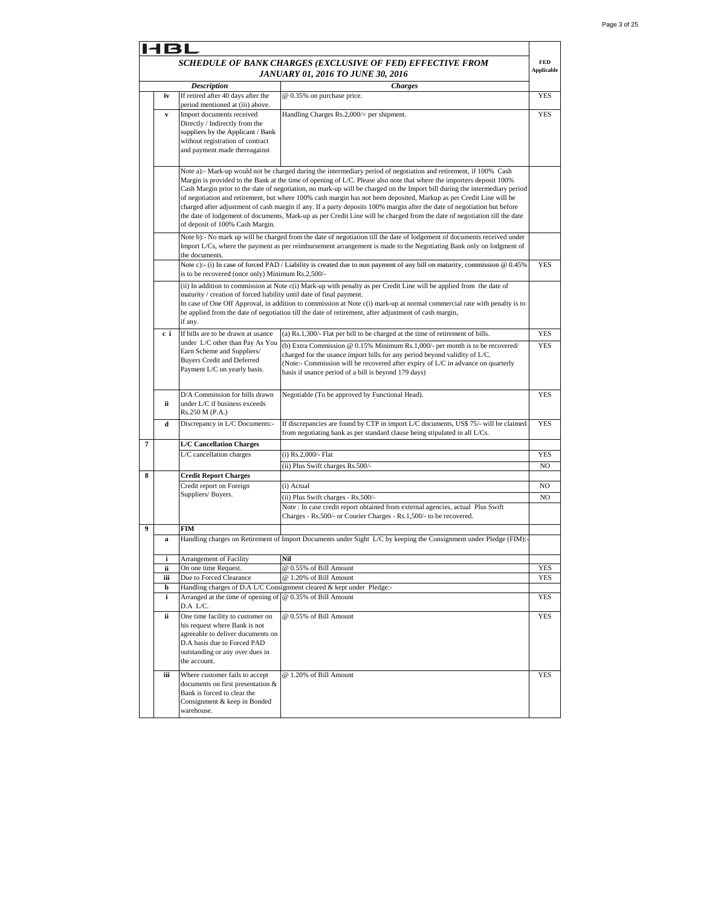|   | 14BI         |                                                                      |                                                                                                                                                                                                                                                       |                   |
|---|--------------|----------------------------------------------------------------------|-------------------------------------------------------------------------------------------------------------------------------------------------------------------------------------------------------------------------------------------------------|-------------------|
|   |              |                                                                      | SCHEDULE OF BANK CHARGES (EXCLUSIVE OF FED) EFFECTIVE FROM                                                                                                                                                                                            | FED               |
|   |              |                                                                      | JANUARY 01, 2016 TO JUNE 30, 2016                                                                                                                                                                                                                     | <b>Applicable</b> |
|   |              | <b>Description</b>                                                   | <b>Charges</b>                                                                                                                                                                                                                                        |                   |
|   | iv           | If retired after 40 days after the                                   | @ 0.35% on purchase price.                                                                                                                                                                                                                            | <b>YES</b>        |
|   | $\mathbf{v}$ | period mentioned at (iii) above.<br>Import documents received        | Handling Charges Rs.2,000/= per shipment.                                                                                                                                                                                                             | <b>YES</b>        |
|   |              | Directly / Indirectly from the                                       |                                                                                                                                                                                                                                                       |                   |
|   |              | suppliers by the Applicant / Bank                                    |                                                                                                                                                                                                                                                       |                   |
|   |              | without registration of contract<br>and payment made thereagainst    |                                                                                                                                                                                                                                                       |                   |
|   |              |                                                                      |                                                                                                                                                                                                                                                       |                   |
|   |              |                                                                      | Note a):- Mark-up would not be charged during the intermediary period of negotiation and retirement, if 100% Cash<br>Margin is provided to the Bank at the time of opening of L/C. Please also note that where the importers deposit 100%             |                   |
|   |              |                                                                      | Cash Margin prior to the date of negotiation, no mark-up will be charged on the Import bill during the intermediary period                                                                                                                            |                   |
|   |              |                                                                      | of negotiation and retirement, but where 100% cash margin has not been deposited, Markup as per Credit Line will be                                                                                                                                   |                   |
|   |              |                                                                      | charged after adjustment of cash margin if any. If a party deposits 100% margin after the date of negotiation but before<br>the date of lodgement of documents, Mark-up as per Credit Line will be charged from the date of negotiation till the date |                   |
|   |              | of deposit of 100% Cash Margin.                                      |                                                                                                                                                                                                                                                       |                   |
|   |              |                                                                      | Note b):- No mark up will be charged from the date of negotiation till the date of lodgement of documents received under                                                                                                                              |                   |
|   |              |                                                                      | Import L/Cs, where the payment as per reimbursement arrangement is made to the Negotiating Bank only on lodgment of                                                                                                                                   |                   |
|   |              | the documents.                                                       | Note c):- (i) In case of forced PAD / Liability is created due to non payment of any bill on maturity, commission $@0.45\%$                                                                                                                           | <b>YES</b>        |
|   |              | is to be recovered (once only) Minimum Rs.2,500/-                    |                                                                                                                                                                                                                                                       |                   |
|   |              |                                                                      | (ii) In addition to commission at Note c(i) Mark-up with penalty as per Credit Line will be applied from the date of                                                                                                                                  |                   |
|   |              | maturity / creation of forced liability until date of final payment. |                                                                                                                                                                                                                                                       |                   |
|   |              |                                                                      | In case of One Off Approval, in addition to commission at Note c(i) mark-up at normal commercial rate with penalty is to<br>be applied from the date of negotiation till the date of retirement, after adjustment of cash margin,                     |                   |
|   |              | if anv.                                                              |                                                                                                                                                                                                                                                       |                   |
|   | сi           | If bills are to be drawn at usance                                   | (a) Rs.1,300/- Flat per bill to be charged at the time of retirement of bills.                                                                                                                                                                        | <b>YES</b>        |
|   |              | under L/C other than Pay As You                                      | (b) Extra Commission @ 0.15% Minimum Rs.1,000/- per month is to be recovered/                                                                                                                                                                         | <b>YES</b>        |
|   |              | Earn Scheme and Suppliers/<br><b>Buyers Credit and Deferred</b>      | charged for the usance import bills for any period beyond validity of L/C.                                                                                                                                                                            |                   |
|   |              | Payment L/C on yearly basis.                                         | (Note:- Commission will be recovered after expiry of L/C in advance on quarterly<br>basis if usance period of a bill is beyond 179 days)                                                                                                              |                   |
|   |              |                                                                      |                                                                                                                                                                                                                                                       |                   |
|   |              | D/A Commission for bills drawn                                       | Negotiable (To be approved by Functional Head).                                                                                                                                                                                                       | <b>YES</b>        |
|   | ii.          | under L/C if business exceeds                                        |                                                                                                                                                                                                                                                       |                   |
|   |              | Rs.250 M (P.A.)                                                      |                                                                                                                                                                                                                                                       |                   |
|   | d            | Discrepancy in L/C Documents:-                                       | If discrepancies are found by CTP in import L/C documents, US\$ 75/- will be claimed<br>from negotiating bank as per standard clause being stipulated in all L/Cs.                                                                                    | YES               |
| 7 |              | <b>L/C Cancellation Charges</b>                                      |                                                                                                                                                                                                                                                       |                   |
|   |              | L/C cancellation charges                                             | (i) Rs.2,000/- Flat                                                                                                                                                                                                                                   | <b>YES</b>        |
|   |              |                                                                      | (ii) Plus Swift charges Rs.500/-                                                                                                                                                                                                                      | NO                |
| 8 |              | <b>Credit Report Charges</b>                                         |                                                                                                                                                                                                                                                       |                   |
|   |              | Credit report on Foreign                                             | (i) Actual                                                                                                                                                                                                                                            | NO                |
|   |              | Suppliers/Buyers.                                                    | (ii) Plus Swift charges - Rs.500/-                                                                                                                                                                                                                    | N <sub>O</sub>    |
|   |              |                                                                      | Note : In case credit report obtained from external agencies, actual Plus Swift<br>Charges - Rs.500/- or Courier Charges - Rs.1,500/- to be recovered.                                                                                                |                   |
| 9 |              | <b>FIM</b>                                                           |                                                                                                                                                                                                                                                       |                   |
|   | a            |                                                                      | Handling charges on Retirement of Import Documents under Sight L/C by keeping the Consignment under Pledge (FIM):-                                                                                                                                    |                   |
|   |              |                                                                      |                                                                                                                                                                                                                                                       |                   |
|   | i            | Arrangement of Facility                                              | Nil                                                                                                                                                                                                                                                   |                   |
|   | ii           | On one time Request.                                                 | @ 0.55% of Bill Amount                                                                                                                                                                                                                                | YES               |
|   | iii<br>b     | Due to Forced Clearance                                              | @ 1.20% of Bill Amount<br>Handling charges of D.A L/C Consignment cleared & kept under Pledge:-                                                                                                                                                       | YES               |
|   | i            | Arranged at the time of opening of $\omega$ 0.35% of Bill Amount     |                                                                                                                                                                                                                                                       | YES               |
|   |              | D.A L/C.                                                             |                                                                                                                                                                                                                                                       |                   |
|   | ii.          | One time facility to customer on                                     | @ 0.55% of Bill Amount                                                                                                                                                                                                                                | YES               |
|   |              | his request where Bank is not<br>agreeable to deliver documents on   |                                                                                                                                                                                                                                                       |                   |
|   |              | D.A basis due to Forced PAD                                          |                                                                                                                                                                                                                                                       |                   |
|   |              | outstanding or any over dues in                                      |                                                                                                                                                                                                                                                       |                   |
|   |              | the account.                                                         |                                                                                                                                                                                                                                                       |                   |
|   | iii          | Where customer fails to accept                                       | @ 1.20% of Bill Amount                                                                                                                                                                                                                                | <b>YES</b>        |
|   |              | documents on first presentation &<br>Bank is forced to clear the     |                                                                                                                                                                                                                                                       |                   |
|   |              | Consignment & keep in Bonded                                         |                                                                                                                                                                                                                                                       |                   |
|   |              | warehouse.                                                           |                                                                                                                                                                                                                                                       |                   |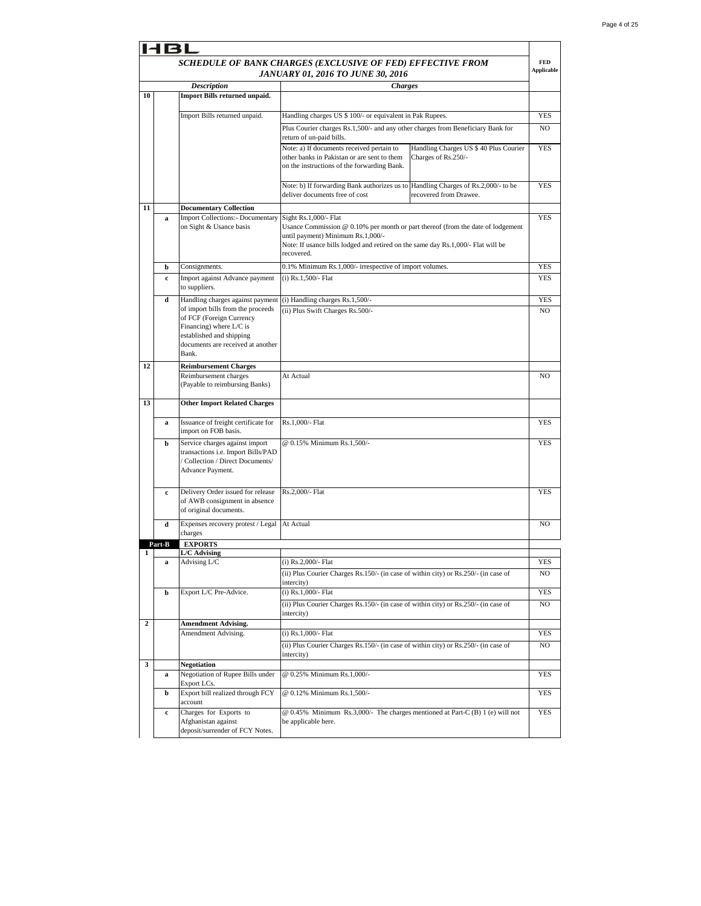|                |              |                                                                                                                                 | SCHEDULE OF BANK CHARGES (EXCLUSIVE OF FED) EFFECTIVE FROM<br>JANUARY 01, 2016 TO JUNE 30, 2016                                                                                                                                                   |                                                               | <b>FED</b><br><b>Applicable</b> |
|----------------|--------------|---------------------------------------------------------------------------------------------------------------------------------|---------------------------------------------------------------------------------------------------------------------------------------------------------------------------------------------------------------------------------------------------|---------------------------------------------------------------|---------------------------------|
|                |              | <b>Description</b>                                                                                                              | <b>Charges</b>                                                                                                                                                                                                                                    |                                                               |                                 |
| 10             |              | Import Bills returned unpaid.                                                                                                   |                                                                                                                                                                                                                                                   |                                                               |                                 |
|                |              | Import Bills returned unpaid.                                                                                                   | Handling charges US \$ 100/- or equivalent in Pak Rupees.                                                                                                                                                                                         |                                                               | <b>YES</b>                      |
|                |              |                                                                                                                                 | Plus Courier charges Rs.1,500/- and any other charges from Beneficiary Bank for                                                                                                                                                                   |                                                               | N <sub>O</sub>                  |
|                |              |                                                                                                                                 | return of un-paid bills.                                                                                                                                                                                                                          |                                                               |                                 |
|                |              |                                                                                                                                 | Note: a) If documents received pertain to<br>other banks in Pakistan or are sent to them<br>on the instructions of the forwarding Bank.                                                                                                           | Handling Charges US \$ 40 Plus Courier<br>Charges of Rs.250/- | <b>YES</b>                      |
|                |              |                                                                                                                                 | Note: b) If forwarding Bank authorizes us to Handling Charges of Rs.2,000/- to be<br>deliver documents free of cost                                                                                                                               | recovered from Drawee.                                        | <b>YES</b>                      |
| 11             |              | <b>Documentary Collection</b>                                                                                                   |                                                                                                                                                                                                                                                   |                                                               |                                 |
|                | a            | <b>Import Collections:- Documentary</b><br>on Sight & Usance basis                                                              | Sight Rs.1,000/- Flat<br>Usance Commission $@0.10\%$ per month or part thereof (from the date of lodgement<br>until payment) Minimum Rs.1,000/-<br>Note: If usance bills lodged and retired on the same day Rs.1,000/- Flat will be<br>recovered. |                                                               | YES                             |
|                | b            | Consignments.                                                                                                                   | 0.1% Minimum Rs.1,000/- irrespective of import volumes.                                                                                                                                                                                           |                                                               | <b>YES</b>                      |
|                | c            | Import against Advance payment<br>to suppliers.                                                                                 | $(i)$ Rs.1,500/- Flat                                                                                                                                                                                                                             |                                                               | YES                             |
|                | d            | Handling charges against payment                                                                                                | (i) Handling charges Rs.1,500/-                                                                                                                                                                                                                   |                                                               | <b>YES</b>                      |
|                |              | of import bills from the proceeds                                                                                               | (ii) Plus Swift Charges Rs.500/-                                                                                                                                                                                                                  |                                                               | NO                              |
|                |              | of FCF (Foreign Currency<br>Financing) where $L/C$ is<br>established and shipping<br>documents are received at another<br>Bank. |                                                                                                                                                                                                                                                   |                                                               |                                 |
| 12             |              | <b>Reimbursement Charges</b>                                                                                                    |                                                                                                                                                                                                                                                   |                                                               |                                 |
|                |              | Reimbursement charges<br>(Payable to reimbursing Banks)                                                                         | At Actual                                                                                                                                                                                                                                         |                                                               | NO                              |
| 13             |              | <b>Other Import Related Charges</b>                                                                                             |                                                                                                                                                                                                                                                   |                                                               |                                 |
|                | a            | Issuance of freight certificate for<br>import on FOB basis.                                                                     | Rs.1,000/- Flat                                                                                                                                                                                                                                   |                                                               | YES                             |
|                | b            | Service charges against import<br>transactions i.e. Import Bills/PAD<br>/ Collection / Direct Documents/<br>Advance Payment.    | @ 0.15% Minimum Rs.1,500/-                                                                                                                                                                                                                        |                                                               | <b>YES</b>                      |
|                | $\mathbf{c}$ | Delivery Order issued for release<br>of AWB consignment in absence<br>of original documents.                                    | Rs.2,000/- Flat                                                                                                                                                                                                                                   |                                                               | <b>YES</b>                      |
|                | d            | Expenses recovery protest / Legal<br>charges                                                                                    | At Actual                                                                                                                                                                                                                                         |                                                               | NO.                             |
|                | Part-B       | <b>EXPORTS</b>                                                                                                                  |                                                                                                                                                                                                                                                   |                                                               |                                 |
| 1              | a            | L/C Advising<br>Advising L/C                                                                                                    | (i) Rs.2,000/- Flat                                                                                                                                                                                                                               |                                                               | <b>YES</b>                      |
|                |              |                                                                                                                                 | (ii) Plus Courier Charges Rs.150/- (in case of within city) or Rs.250/- (in case of                                                                                                                                                               |                                                               | NO                              |
|                |              |                                                                                                                                 | intercity)                                                                                                                                                                                                                                        |                                                               |                                 |
|                | b            | Export L/C Pre-Advice.                                                                                                          | $(i)$ Rs.1,000/- Flat                                                                                                                                                                                                                             |                                                               | <b>YES</b>                      |
|                |              |                                                                                                                                 | (ii) Plus Courier Charges Rs.150/- (in case of within city) or Rs.250/- (in case of<br>intercity)                                                                                                                                                 |                                                               | NO                              |
| $\overline{2}$ |              | <b>Amendment Advising.</b>                                                                                                      |                                                                                                                                                                                                                                                   |                                                               |                                 |
|                |              | Amendment Advising.                                                                                                             | (i) Rs.1,000/- Flat                                                                                                                                                                                                                               |                                                               | YES                             |
|                |              |                                                                                                                                 | (ii) Plus Courier Charges Rs. 150/- (in case of within city) or Rs. 250/- (in case of<br>intercity)                                                                                                                                               |                                                               | NO                              |
| 3              |              | <b>Negotiation</b>                                                                                                              |                                                                                                                                                                                                                                                   |                                                               |                                 |
|                | a            | Negotiation of Rupee Bills under<br>Export LCs.                                                                                 | @ 0.25% Minimum Rs.1,000/-                                                                                                                                                                                                                        |                                                               | YES                             |
|                | b            | Export bill realized through FCY<br>account                                                                                     | @ 0.12% Minimum Rs.1,500/-                                                                                                                                                                                                                        |                                                               | <b>YES</b>                      |
|                | $\mathbf c$  | Charges for Exports to<br>Afghanistan against<br>deposit/surrender of FCY Notes.                                                | @ 0.45% Minimum Rs.3,000/- The charges mentioned at Part-C (B) 1 (e) will not<br>be applicable here.                                                                                                                                              |                                                               | YES                             |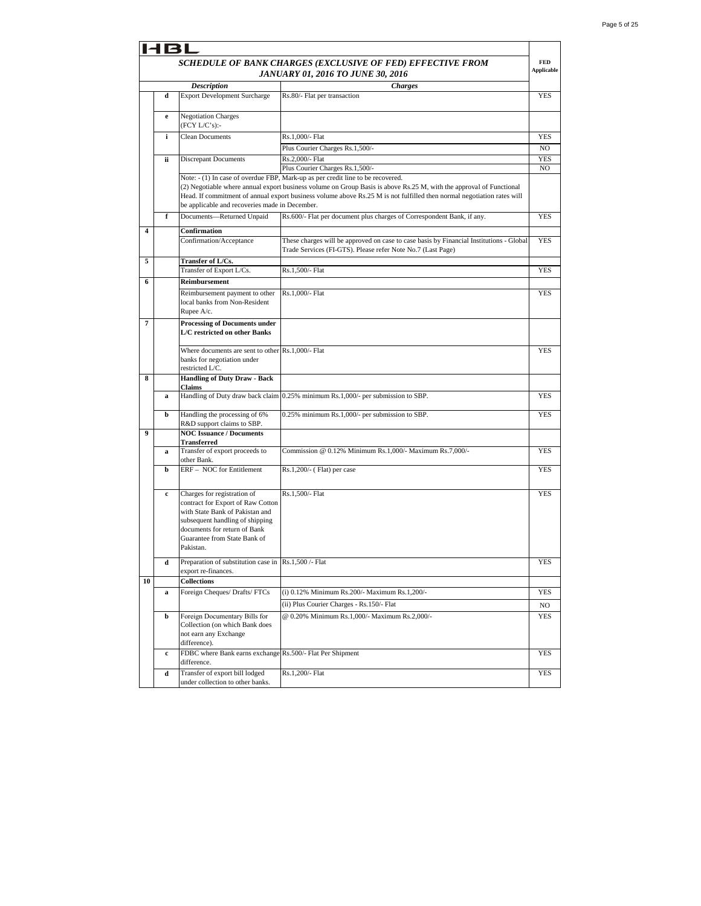| <b>HBL</b>              |             |                                                                                                                                                                                                                     |                                                                                                                                                                                                                                                                                                                                  |                   |
|-------------------------|-------------|---------------------------------------------------------------------------------------------------------------------------------------------------------------------------------------------------------------------|----------------------------------------------------------------------------------------------------------------------------------------------------------------------------------------------------------------------------------------------------------------------------------------------------------------------------------|-------------------|
|                         |             |                                                                                                                                                                                                                     | SCHEDULE OF BANK CHARGES (EXCLUSIVE OF FED) EFFECTIVE FROM                                                                                                                                                                                                                                                                       | <b>FED</b>        |
|                         |             |                                                                                                                                                                                                                     | JANUARY 01, 2016 TO JUNE 30, 2016                                                                                                                                                                                                                                                                                                | <b>Applicable</b> |
| <b>Description</b>      |             |                                                                                                                                                                                                                     | <b>Charges</b>                                                                                                                                                                                                                                                                                                                   |                   |
|                         | d           | <b>Export Development Surcharge</b>                                                                                                                                                                                 | Rs.80/- Flat per transaction                                                                                                                                                                                                                                                                                                     | <b>YES</b>        |
|                         | e           | <b>Negotiation Charges</b><br>(FCY L/C's):                                                                                                                                                                          |                                                                                                                                                                                                                                                                                                                                  |                   |
|                         | i           | <b>Clean Documents</b>                                                                                                                                                                                              | Rs.1,000/- Flat                                                                                                                                                                                                                                                                                                                  | <b>YES</b>        |
|                         |             |                                                                                                                                                                                                                     | Plus Courier Charges Rs.1,500/-                                                                                                                                                                                                                                                                                                  | NO                |
|                         | ii.         | <b>Discrepant Documents</b>                                                                                                                                                                                         | Rs.2,000/- Flat                                                                                                                                                                                                                                                                                                                  | YES               |
|                         |             |                                                                                                                                                                                                                     | Plus Courier Charges Rs.1,500/-                                                                                                                                                                                                                                                                                                  | NO                |
|                         |             | be applicable and recoveries made in December.                                                                                                                                                                      | Note: - (1) In case of overdue FBP, Mark-up as per credit line to be recovered.<br>(2) Negotiable where annual export business volume on Group Basis is above Rs.25 M, with the approval of Functional<br>Head. If commitment of annual export business volume above Rs.25 M is not fulfilled then normal negotiation rates will |                   |
|                         | f           | Documents-Returned Unpaid                                                                                                                                                                                           | Rs.600/- Flat per document plus charges of Correspondent Bank, if any.                                                                                                                                                                                                                                                           | <b>YES</b>        |
| $\overline{\mathbf{4}}$ |             | Confirmation                                                                                                                                                                                                        |                                                                                                                                                                                                                                                                                                                                  |                   |
|                         |             | Confirmation/Acceptance                                                                                                                                                                                             | These charges will be approved on case to case basis by Financial Institutions - Global<br>Trade Services (FI-GTS). Please refer Note No.7 (Last Page)                                                                                                                                                                           | <b>YES</b>        |
| 5                       |             | Transfer of L/Cs.                                                                                                                                                                                                   |                                                                                                                                                                                                                                                                                                                                  |                   |
|                         |             | Transfer of Export L/Cs.                                                                                                                                                                                            | Rs.1,500/- Flat                                                                                                                                                                                                                                                                                                                  | YES               |
| 6                       |             | Reimbursement                                                                                                                                                                                                       |                                                                                                                                                                                                                                                                                                                                  |                   |
|                         |             | Reimbursement payment to other<br>local banks from Non-Resident<br>Rupee A/c.                                                                                                                                       | Rs.1,000/- Flat                                                                                                                                                                                                                                                                                                                  | <b>YES</b>        |
| 7                       |             | <b>Processing of Documents under</b><br>L/C restricted on other Banks                                                                                                                                               |                                                                                                                                                                                                                                                                                                                                  |                   |
|                         |             | Where documents are sent to other Rs.1,000/- Flat<br>banks for negotiation under<br>restricted L/C.                                                                                                                 |                                                                                                                                                                                                                                                                                                                                  | YES               |
| 8                       |             | <b>Handling of Duty Draw - Back</b><br>Claims                                                                                                                                                                       |                                                                                                                                                                                                                                                                                                                                  |                   |
|                         | $\bf{a}$    |                                                                                                                                                                                                                     | Handling of Duty draw back claim 0.25% minimum Rs.1,000/- per submission to SBP.                                                                                                                                                                                                                                                 | <b>YES</b>        |
|                         | b           | Handling the processing of 6%<br>R&D support claims to SBP.                                                                                                                                                         | 0.25% minimum Rs.1,000/- per submission to SBP.                                                                                                                                                                                                                                                                                  | <b>YES</b>        |
| 9                       |             | <b>NOC Issuance / Documents</b>                                                                                                                                                                                     |                                                                                                                                                                                                                                                                                                                                  |                   |
|                         | a           | <b>Transferred</b><br>Transfer of export proceeds to<br>other Bank.                                                                                                                                                 | Commission @ 0.12% Minimum Rs.1,000/- Maximum Rs.7,000/-                                                                                                                                                                                                                                                                         | <b>YES</b>        |
|                         | b           | ERF - NOC for Entitlement                                                                                                                                                                                           | Rs.1,200/- (Flat) per case                                                                                                                                                                                                                                                                                                       | <b>YES</b>        |
|                         | c           | Charges for registration of<br>contract for Export of Raw Cotton<br>with State Bank of Pakistan and<br>subsequent handling of shipping<br>documents for return of Bank<br>Guarantee from State Bank of<br>Pakistan. | Rs.1,500/- Flat                                                                                                                                                                                                                                                                                                                  | <b>YES</b>        |
|                         | d           | Preparation of substitution case in<br>export re-finances.                                                                                                                                                          | Rs.1,500 /- Flat                                                                                                                                                                                                                                                                                                                 | YES               |
| 10                      |             | <b>Collections</b>                                                                                                                                                                                                  |                                                                                                                                                                                                                                                                                                                                  |                   |
|                         | a           | Foreign Cheques/ Drafts/ FTCs                                                                                                                                                                                       | (i) 0.12% Minimum Rs.200/- Maximum Rs.1,200/-                                                                                                                                                                                                                                                                                    | YES               |
|                         |             |                                                                                                                                                                                                                     | (ii) Plus Courier Charges - Rs.150/- Flat                                                                                                                                                                                                                                                                                        | NO                |
|                         | b           | Foreign Documentary Bills for<br>Collection (on which Bank does<br>not earn any Exchange<br>difference).                                                                                                            | @ 0.20% Minimum Rs.1,000/- Maximum Rs.2,000/-                                                                                                                                                                                                                                                                                    | <b>YES</b>        |
|                         | $\mathbf c$ | FDBC where Bank earns exchange Rs.500/- Flat Per Shipment<br>difference.                                                                                                                                            |                                                                                                                                                                                                                                                                                                                                  | YES               |
|                         | d           | Transfer of export bill lodged<br>under collection to other banks.                                                                                                                                                  | Rs.1,200/- Flat                                                                                                                                                                                                                                                                                                                  | YES               |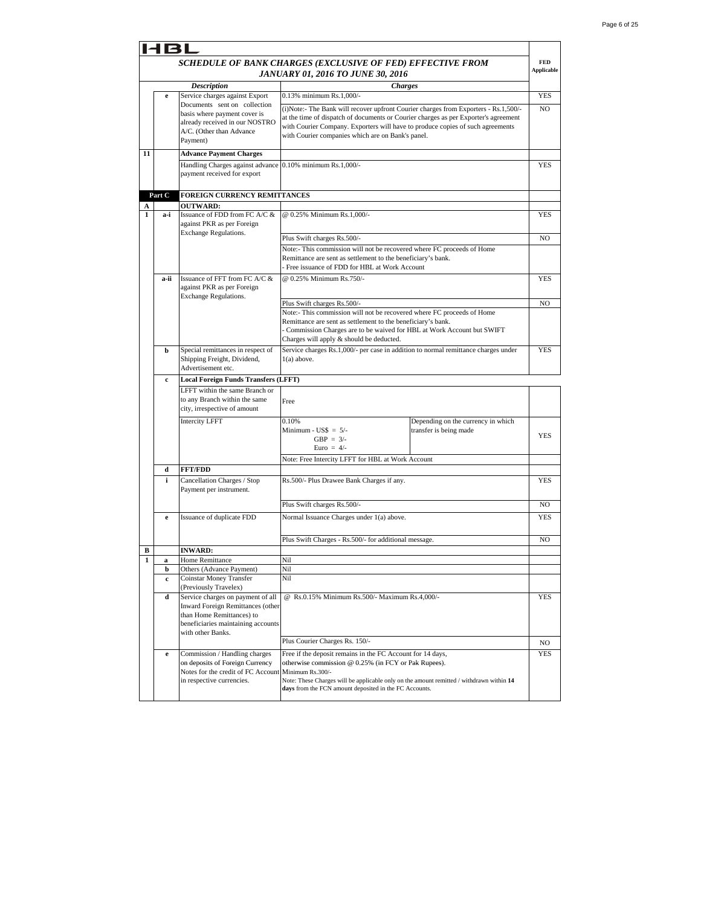|              | 131         |                                                                       |                                                                                                                                       |                                    |                                 |
|--------------|-------------|-----------------------------------------------------------------------|---------------------------------------------------------------------------------------------------------------------------------------|------------------------------------|---------------------------------|
|              |             |                                                                       | SCHEDULE OF BANK CHARGES (EXCLUSIVE OF FED) EFFECTIVE FROM<br><b>JANUARY 01, 2016 TO JUNE 30, 2016</b>                                |                                    | <b>FED</b><br><b>Applicable</b> |
|              |             | <b>Description</b>                                                    | <b>Charges</b>                                                                                                                        |                                    |                                 |
|              | e           | Service charges against Export                                        | 0.13% minimum Rs.1,000/-                                                                                                              |                                    | <b>YES</b>                      |
|              |             | Documents sent on collection                                          | (i)Note:- The Bank will recover upfront Courier charges from Exporters - Rs.1,500/-                                                   |                                    | N <sub>O</sub>                  |
|              |             | basis where payment cover is<br>already received in our NOSTRO        | at the time of dispatch of documents or Courier charges as per Exporter's agreement                                                   |                                    |                                 |
|              |             | A/C. (Other than Advance                                              | with Courier Company. Exporters will have to produce copies of such agreements                                                        |                                    |                                 |
|              |             | Payment)                                                              | with Courier companies which are on Bank's panel.                                                                                     |                                    |                                 |
| 11           |             | <b>Advance Payment Charges</b>                                        |                                                                                                                                       |                                    |                                 |
|              |             | Handling Charges against advance                                      | 0.10% minimum Rs.1,000/-                                                                                                              |                                    | <b>YES</b>                      |
|              |             | payment received for export                                           |                                                                                                                                       |                                    |                                 |
|              |             |                                                                       |                                                                                                                                       |                                    |                                 |
|              | Part C      | FOREIGN CURRENCY REMITTANCES                                          |                                                                                                                                       |                                    |                                 |
| A            |             | <b>OUTWARD:</b>                                                       |                                                                                                                                       |                                    |                                 |
| 1            | a-i         | Issuance of FDD from FC A/C &                                         | @ 0.25% Minimum Rs.1,000/-                                                                                                            |                                    | <b>YES</b>                      |
|              |             | against PKR as per Foreign<br>Exchange Regulations.                   |                                                                                                                                       |                                    |                                 |
|              |             |                                                                       | Plus Swift charges Rs.500/-                                                                                                           |                                    | NO                              |
|              |             |                                                                       | Note:- This commission will not be recovered where FC proceeds of Home                                                                |                                    |                                 |
|              |             |                                                                       | Remittance are sent as settlement to the beneficiary's bank.<br>Free issuance of FDD for HBL at Work Account                          |                                    |                                 |
|              |             |                                                                       |                                                                                                                                       |                                    |                                 |
|              | a-ii        | Issuance of FFT from FC A/C &<br>against PKR as per Foreign           | @ 0.25% Minimum Rs.750/-                                                                                                              |                                    | <b>YES</b>                      |
|              |             | <b>Exchange Regulations.</b>                                          |                                                                                                                                       |                                    |                                 |
|              |             |                                                                       | Plus Swift charges Rs.500/-                                                                                                           |                                    | NO                              |
|              |             |                                                                       | Note:- This commission will not be recovered where FC proceeds of Home                                                                |                                    |                                 |
|              |             |                                                                       | Remittance are sent as settlement to the beneficiary's bank.<br>Commission Charges are to be waived for HBL at Work Account but SWIFT |                                    |                                 |
|              |             |                                                                       | Charges will apply & should be deducted.                                                                                              |                                    |                                 |
|              | b           | Special remittances in respect of                                     | Service charges Rs.1,000/- per case in addition to normal remittance charges under                                                    |                                    | <b>YES</b>                      |
|              |             | Shipping Freight, Dividend,                                           | $1(a)$ above.                                                                                                                         |                                    |                                 |
|              |             | Advertisement etc.                                                    |                                                                                                                                       |                                    |                                 |
|              | c           | <b>Local Foreign Funds Transfers (LFFT)</b>                           |                                                                                                                                       |                                    |                                 |
|              |             | LFFT within the same Branch or<br>to any Branch within the same       |                                                                                                                                       |                                    |                                 |
|              |             | city, irrespective of amount                                          | Free                                                                                                                                  |                                    |                                 |
|              |             | <b>Intercity LFFT</b>                                                 | 0.10%                                                                                                                                 | Depending on the currency in which |                                 |
|              |             |                                                                       | Minimum - $\text{USS} = 5$ /-                                                                                                         | transfer is being made             |                                 |
|              |             |                                                                       | GBP = $3/-$                                                                                                                           |                                    | YES                             |
|              |             |                                                                       | Euro = $4/-$                                                                                                                          |                                    |                                 |
|              |             |                                                                       | Note: Free Intercity LFFT for HBL at Work Account                                                                                     |                                    |                                 |
|              | d           | <b>FFT/FDD</b>                                                        |                                                                                                                                       |                                    |                                 |
|              | i           | Cancellation Charges / Stop<br>Payment per instrument.                | Rs.500/- Plus Drawee Bank Charges if any.                                                                                             |                                    | <b>YES</b>                      |
|              |             |                                                                       |                                                                                                                                       |                                    |                                 |
|              |             |                                                                       | Plus Swift charges Rs.500/-                                                                                                           |                                    | NO                              |
|              | e           | Issuance of duplicate FDD                                             | Normal Issuance Charges under 1(a) above.                                                                                             |                                    | <b>YES</b>                      |
|              |             |                                                                       |                                                                                                                                       |                                    |                                 |
|              |             |                                                                       | Plus Swift Charges - Rs.500/- for additional message.                                                                                 |                                    | NO                              |
| в            |             | <b>INWARD:</b>                                                        |                                                                                                                                       |                                    |                                 |
| $\mathbf{1}$ | a<br>b      | Home Remittance<br>Others (Advance Payment)                           | Nil<br>Nil                                                                                                                            |                                    |                                 |
|              | c           | Coinstar Money Transfer                                               | Nil                                                                                                                                   |                                    |                                 |
|              |             | (Previously Travelex)                                                 |                                                                                                                                       |                                    |                                 |
|              | d           | Service charges on payment of all                                     | @ Rs.0.15% Minimum Rs.500/- Maximum Rs.4,000/-                                                                                        |                                    | YES                             |
|              |             | <b>Inward Foreign Remittances (other</b><br>than Home Remittances) to |                                                                                                                                       |                                    |                                 |
|              |             | beneficiaries maintaining accounts                                    |                                                                                                                                       |                                    |                                 |
|              |             | with other Banks.                                                     |                                                                                                                                       |                                    |                                 |
|              |             |                                                                       | Plus Courier Charges Rs. 150/-                                                                                                        |                                    | NO                              |
|              | $\mathbf e$ | Commission / Handling charges                                         | Free if the deposit remains in the FC Account for 14 days,                                                                            |                                    | YES                             |
|              |             | on deposits of Foreign Currency<br>Notes for the credit of FC Account | otherwise commission @ 0.25% (in FCY or Pak Rupees).<br>Minimum Rs.300/-                                                              |                                    |                                 |
|              |             | in respective currencies.                                             | Note: These Charges will be applicable only on the amount remitted / withdrawn within 14                                              |                                    |                                 |
|              |             |                                                                       | days from the FCN amount deposited in the FC Accounts.                                                                                |                                    |                                 |
|              |             |                                                                       |                                                                                                                                       |                                    |                                 |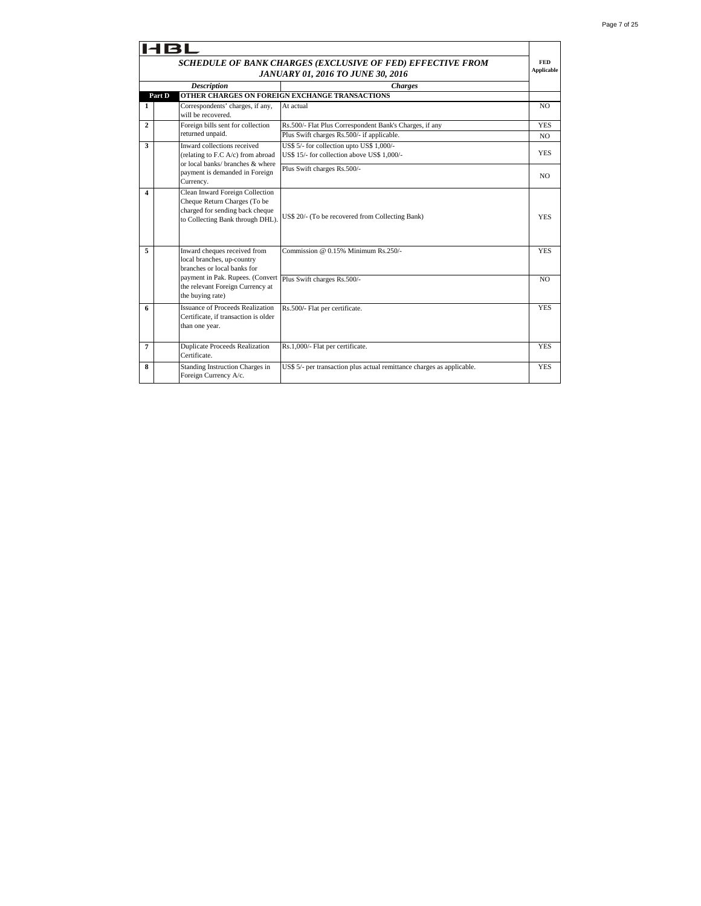|              | HBL                                                                                                                                    |                                                                                          |                |  |  |  |
|--------------|----------------------------------------------------------------------------------------------------------------------------------------|------------------------------------------------------------------------------------------|----------------|--|--|--|
|              | SCHEDULE OF BANK CHARGES (EXCLUSIVE OF FED) EFFECTIVE FROM<br><b>JANUARY 01, 2016 TO JUNE 30, 2016</b>                                 |                                                                                          |                |  |  |  |
|              | <b>Description</b><br><b>Charges</b><br>OTHER CHARGES ON FOREIGN EXCHANGE TRANSACTIONS                                                 |                                                                                          |                |  |  |  |
|              | Part D                                                                                                                                 |                                                                                          |                |  |  |  |
| 1            | Correspondents' charges, if any,<br>will be recovered.                                                                                 | At actual                                                                                | N <sub>O</sub> |  |  |  |
| $\mathbf{2}$ | Foreign bills sent for collection                                                                                                      | Rs.500/- Flat Plus Correspondent Bank's Charges, if any                                  | <b>YES</b>     |  |  |  |
|              | returned unpaid.                                                                                                                       | Plus Swift charges Rs.500/- if applicable.                                               | NO.            |  |  |  |
| 3            | Inward collections received<br>(relating to F.C A/c) from abroad<br>or local banks/ branches & where                                   | US\$ 5/- for collection upto US\$ 1,000/-<br>US\$ 15/- for collection above US\$ 1.000/- | <b>YES</b>     |  |  |  |
|              | payment is demanded in Foreign<br>Currency.                                                                                            | Plus Swift charges Rs.500/-                                                              | NO.            |  |  |  |
| 4            | Clean Inward Foreign Collection<br>Cheque Return Charges (To be<br>charged for sending back cheque<br>to Collecting Bank through DHL). | US\$ 20/- (To be recovered from Collecting Bank)                                         | <b>YES</b>     |  |  |  |
| 5            | Inward cheques received from<br>local branches, up-country<br>branches or local banks for                                              | Commission @ 0.15% Minimum Rs.250/-                                                      | <b>YES</b>     |  |  |  |
|              | payment in Pak. Rupees. (Convert<br>the relevant Foreign Currency at<br>the buying rate)                                               | Plus Swift charges Rs.500/-                                                              | NO.            |  |  |  |
| 6            | <b>Issuance of Proceeds Realization</b><br>Certificate, if transaction is older<br>than one year.                                      | Rs.500/- Flat per certificate.                                                           | <b>YES</b>     |  |  |  |
| 7            | <b>Duplicate Proceeds Realization</b><br>Certificate.                                                                                  | Rs.1,000/- Flat per certificate.                                                         | <b>YES</b>     |  |  |  |
| 8            | Standing Instruction Charges in<br>Foreign Currency A/c.                                                                               | US\$ 5/- per transaction plus actual remittance charges as applicable.                   | <b>YES</b>     |  |  |  |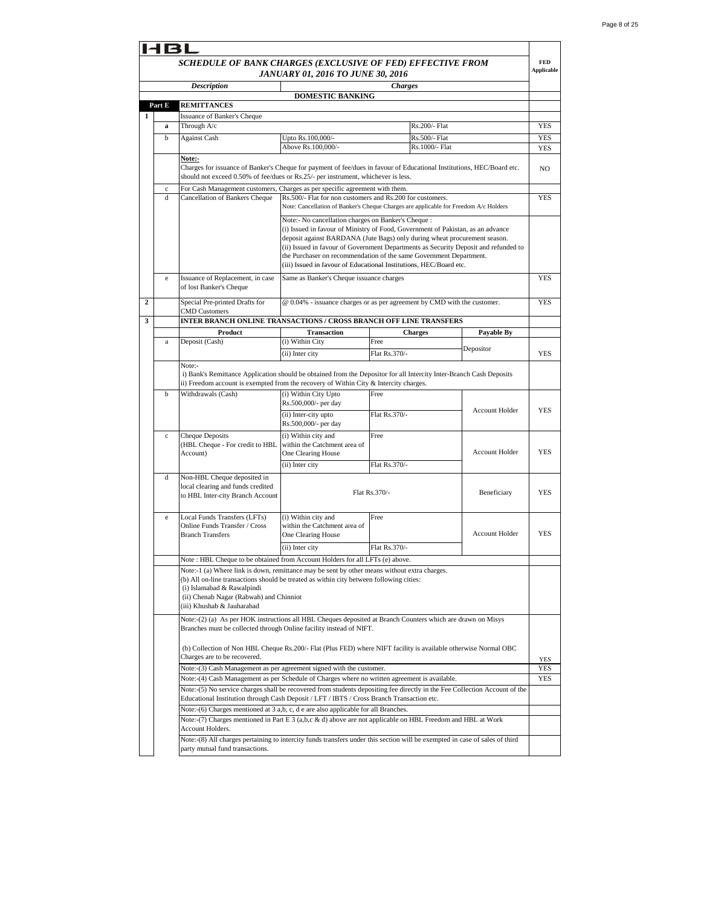|   |              | SCHEDULE OF BANK CHARGES (EXCLUSIVE OF FED) EFFECTIVE FROM                                                                                                                                                              |                                                                                                                                                                                                                                                                                                                                                                                                                                                        |                        |                       |            |  |  |
|---|--------------|-------------------------------------------------------------------------------------------------------------------------------------------------------------------------------------------------------------------------|--------------------------------------------------------------------------------------------------------------------------------------------------------------------------------------------------------------------------------------------------------------------------------------------------------------------------------------------------------------------------------------------------------------------------------------------------------|------------------------|-----------------------|------------|--|--|
|   |              | <b>Applicable</b><br><b>JANUARY 01, 2016 TO JUNE 30, 2016</b><br><b>Charges</b><br><b>Description</b>                                                                                                                   |                                                                                                                                                                                                                                                                                                                                                                                                                                                        |                        |                       |            |  |  |
|   |              |                                                                                                                                                                                                                         | <b>DOMESTIC BANKING</b>                                                                                                                                                                                                                                                                                                                                                                                                                                |                        |                       |            |  |  |
|   | Part E       | REMITTANCES                                                                                                                                                                                                             |                                                                                                                                                                                                                                                                                                                                                                                                                                                        |                        |                       |            |  |  |
| 1 |              | <b>Issuance of Banker's Cheque</b>                                                                                                                                                                                      |                                                                                                                                                                                                                                                                                                                                                                                                                                                        |                        |                       |            |  |  |
|   | a            | Through A/c                                                                                                                                                                                                             |                                                                                                                                                                                                                                                                                                                                                                                                                                                        | Rs.200/- Flat          |                       | <b>YES</b> |  |  |
|   | $\mathbf b$  | <b>Against Cash</b>                                                                                                                                                                                                     | Upto Rs.100,000/-                                                                                                                                                                                                                                                                                                                                                                                                                                      | Rs.500/- Flat          |                       | <b>YES</b> |  |  |
|   |              |                                                                                                                                                                                                                         | Above Rs.100,000/-                                                                                                                                                                                                                                                                                                                                                                                                                                     | Rs.1000/- Flat         |                       | YES        |  |  |
|   |              | Note:-<br>Charges for issuance of Banker's Cheque for payment of fee/dues in favour of Educational Institutions, HEC/Board etc.<br>should not exceed 0.50% of fee/dues or Rs.25/- per instrument, whichever is less.    |                                                                                                                                                                                                                                                                                                                                                                                                                                                        |                        |                       | NO         |  |  |
|   | $\mathbf c$  | For Cash Management customers, Charges as per specific agreement with them.                                                                                                                                             |                                                                                                                                                                                                                                                                                                                                                                                                                                                        |                        |                       |            |  |  |
|   | d            | Cancellation of Bankers Cheque                                                                                                                                                                                          | Rs.500/- Flat for non customers and Rs.200 for customers.<br>Note: Cancellation of Banker's Cheque Charges are applicable for Freedom A/c Holders                                                                                                                                                                                                                                                                                                      |                        |                       | <b>YES</b> |  |  |
|   |              |                                                                                                                                                                                                                         | Note:- No cancellation charges on Banker's Cheque :<br>(i) Issued in favour of Ministry of Food, Government of Pakistan, as an advance<br>deposit against BARDANA (Jute Bags) only during wheat procurement season.<br>(ii) Issued in favour of Government Departments as Security Deposit and refunded to<br>the Purchaser on recommendation of the same Government Department.<br>(iii) Issued in favour of Educational Institutions, HEC/Board etc. |                        |                       |            |  |  |
|   | $\mathbf{e}$ | Issuance of Replacement, in case<br>of lost Banker's Cheque                                                                                                                                                             | Same as Banker's Cheque issuance charges                                                                                                                                                                                                                                                                                                                                                                                                               |                        |                       | <b>YES</b> |  |  |
| 2 |              | Special Pre-printed Drafts for<br><b>CMD</b> Customers                                                                                                                                                                  | @ 0.04% - issuance charges or as per agreement by CMD with the customer.                                                                                                                                                                                                                                                                                                                                                                               |                        |                       | <b>YES</b> |  |  |
| 3 |              | INTER BRANCH ONLINE TRANSACTIONS / CROSS BRANCH OFF LINE TRANSFERS                                                                                                                                                      |                                                                                                                                                                                                                                                                                                                                                                                                                                                        |                        |                       |            |  |  |
|   | $\mathbf{a}$ | Product<br>Deposit (Cash)                                                                                                                                                                                               | <b>Transaction</b><br>(i) Within City                                                                                                                                                                                                                                                                                                                                                                                                                  | <b>Charges</b><br>Free | Payable By            |            |  |  |
|   |              |                                                                                                                                                                                                                         | (ii) Inter city                                                                                                                                                                                                                                                                                                                                                                                                                                        | Flat Rs.370/-          | Depositor             | YES        |  |  |
|   |              | Note:-                                                                                                                                                                                                                  |                                                                                                                                                                                                                                                                                                                                                                                                                                                        |                        |                       |            |  |  |
|   |              |                                                                                                                                                                                                                         | i) Bank's Remittance Application should be obtained from the Depositor for all Intercity Inter-Branch Cash Deposits<br>ii) Freedom account is exempted from the recovery of Within City & Intercity charges.                                                                                                                                                                                                                                           |                        |                       |            |  |  |
|   | b            | Withdrawals (Cash)                                                                                                                                                                                                      | (i) Within City Upto                                                                                                                                                                                                                                                                                                                                                                                                                                   | Free                   |                       |            |  |  |
|   |              |                                                                                                                                                                                                                         | Rs.500,000/- per day                                                                                                                                                                                                                                                                                                                                                                                                                                   |                        | <b>Account Holder</b> | <b>YES</b> |  |  |
|   |              |                                                                                                                                                                                                                         | (ii) Inter-city upto<br>Rs.500,000/- per day                                                                                                                                                                                                                                                                                                                                                                                                           | Flat Rs.370/-          |                       |            |  |  |
|   | $\mathbf c$  | <b>Cheque Deposits</b>                                                                                                                                                                                                  | (i) Within city and                                                                                                                                                                                                                                                                                                                                                                                                                                    | Free                   |                       |            |  |  |
|   |              | (HBL Cheque - For credit to HBL                                                                                                                                                                                         | within the Catchment area of                                                                                                                                                                                                                                                                                                                                                                                                                           |                        |                       |            |  |  |
|   |              | Account)                                                                                                                                                                                                                | One Clearing House                                                                                                                                                                                                                                                                                                                                                                                                                                     |                        | Account Holder        | <b>YES</b> |  |  |
|   |              |                                                                                                                                                                                                                         | (ii) Inter city                                                                                                                                                                                                                                                                                                                                                                                                                                        | Flat Rs.370/-          |                       |            |  |  |
|   | d            | Non-HBL Cheque deposited in<br>local clearing and funds credited<br>to HBL Inter-city Branch Account                                                                                                                    |                                                                                                                                                                                                                                                                                                                                                                                                                                                        | Flat Rs.370/-          | Beneficiary           | <b>YES</b> |  |  |
|   | e            | Local Funds Transfers (LFTs)<br>Online Funds Transfer / Cross<br><b>Branch Transfers</b>                                                                                                                                | (i) Within city and<br>within the Catchment area of<br>One Clearing House                                                                                                                                                                                                                                                                                                                                                                              | Free                   | <b>Account Holder</b> | <b>YES</b> |  |  |
|   |              |                                                                                                                                                                                                                         | (ii) Inter city                                                                                                                                                                                                                                                                                                                                                                                                                                        | Flat Rs.370/-          |                       |            |  |  |
|   |              | Note : HBL Cheque to be obtained from Account Holders for all LFTs (e) above.                                                                                                                                           |                                                                                                                                                                                                                                                                                                                                                                                                                                                        |                        |                       |            |  |  |
|   |              | Note:-1 (a) Where link is down, remittance may be sent by other means without extra charges.                                                                                                                            |                                                                                                                                                                                                                                                                                                                                                                                                                                                        |                        |                       |            |  |  |
|   |              | (b) All on-line transactions should be treated as within city between following cities:<br>(i) Islamabad & Rawalpindi<br>(ii) Chenab Nagar (Rabwah) and Chinniot<br>(iii) Khushab & Jauharabad                          |                                                                                                                                                                                                                                                                                                                                                                                                                                                        |                        |                       |            |  |  |
|   |              | Note:-(2) (a) As per HOK instructions all HBL Cheques deposited at Branch Counters which are drawn on Misys<br>Branches must be collected through Online facility instead of NIFT.                                      |                                                                                                                                                                                                                                                                                                                                                                                                                                                        |                        |                       |            |  |  |
|   |              | (b) Collection of Non HBL Cheque Rs.200/- Flat (Plus FED) where NIFT facility is available otherwise Normal OBC                                                                                                         |                                                                                                                                                                                                                                                                                                                                                                                                                                                        |                        |                       |            |  |  |
|   |              | Charges are to be recovered.                                                                                                                                                                                            |                                                                                                                                                                                                                                                                                                                                                                                                                                                        |                        |                       | YES        |  |  |
|   |              | Note:-(3) Cash Management as per agreement signed with the customer.                                                                                                                                                    |                                                                                                                                                                                                                                                                                                                                                                                                                                                        |                        |                       | YES        |  |  |
|   |              | Note:-(4) Cash Management as per Schedule of Charges where no written agreement is available.                                                                                                                           |                                                                                                                                                                                                                                                                                                                                                                                                                                                        |                        |                       | <b>YES</b> |  |  |
|   |              | Note:-(5) No service charges shall be recovered from students depositing fee directly in the Fee Collection Account of the<br>Educational Institution through Cash Deposit / LFT / IBTS / Cross Branch Transaction etc. |                                                                                                                                                                                                                                                                                                                                                                                                                                                        |                        |                       |            |  |  |
|   |              | Note:-(6) Charges mentioned at 3 a,b, c, d e are also applicable for all Branches.                                                                                                                                      |                                                                                                                                                                                                                                                                                                                                                                                                                                                        |                        |                       |            |  |  |
|   |              | Note:-(7) Charges mentioned in Part E 3 (a,b,c & d) above are not applicable on HBL Freedom and HBL at Work                                                                                                             |                                                                                                                                                                                                                                                                                                                                                                                                                                                        |                        |                       |            |  |  |
|   |              | Account Holders.                                                                                                                                                                                                        |                                                                                                                                                                                                                                                                                                                                                                                                                                                        |                        |                       |            |  |  |
|   |              | Note:-(8) All charges pertaining to intercity funds transfers under this section will be exempted in case of sales of third                                                                                             |                                                                                                                                                                                                                                                                                                                                                                                                                                                        |                        |                       |            |  |  |
|   |              | party mutual fund transactions.                                                                                                                                                                                         |                                                                                                                                                                                                                                                                                                                                                                                                                                                        |                        |                       |            |  |  |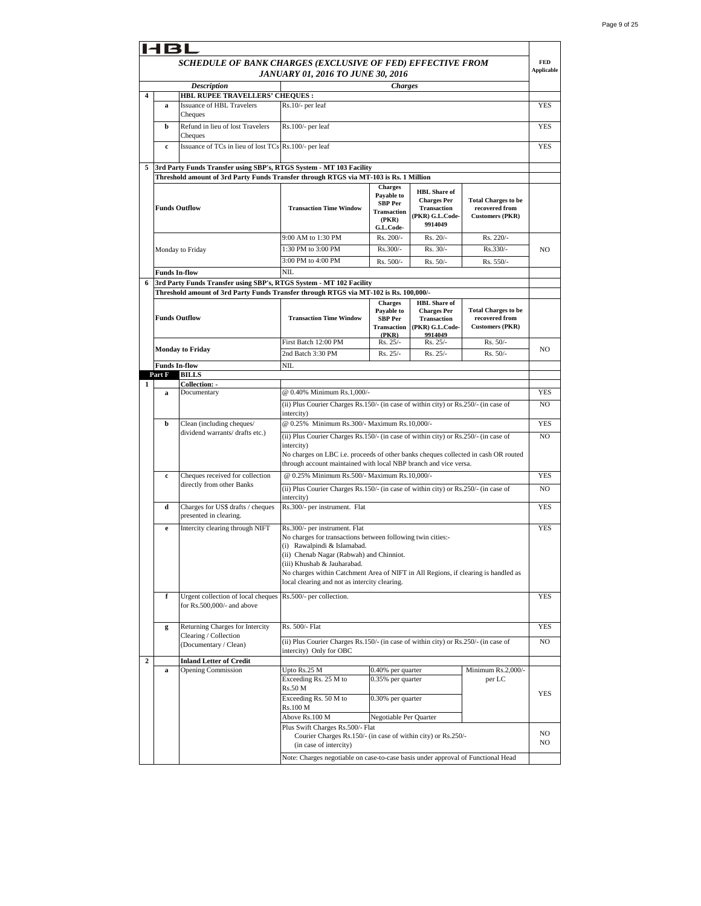|   | <b>HBL</b>           |                                                                                                               |                                                                                                                                                                                                                                                                                                                                               |                                                                                            |                                                                                                           |                                                                        |                          |
|---|----------------------|---------------------------------------------------------------------------------------------------------------|-----------------------------------------------------------------------------------------------------------------------------------------------------------------------------------------------------------------------------------------------------------------------------------------------------------------------------------------------|--------------------------------------------------------------------------------------------|-----------------------------------------------------------------------------------------------------------|------------------------------------------------------------------------|--------------------------|
|   |                      | SCHEDULE OF BANK CHARGES (EXCLUSIVE OF FED) EFFECTIVE FROM                                                    | JANUARY 01, 2016 TO JUNE 30, 2016                                                                                                                                                                                                                                                                                                             |                                                                                            |                                                                                                           |                                                                        | <b>FED</b><br>Applicable |
|   |                      | <b>Description</b>                                                                                            |                                                                                                                                                                                                                                                                                                                                               | <b>Charges</b>                                                                             |                                                                                                           |                                                                        |                          |
| 4 | a                    | HBL RUPEE TRAVELLERS' CHEQUES :<br><b>Issuance of HBL Travelers</b><br>Cheques                                | Rs.10/- per leaf                                                                                                                                                                                                                                                                                                                              |                                                                                            |                                                                                                           |                                                                        | <b>YES</b>               |
|   | b                    | Refund in lieu of lost Travelers<br>Cheques                                                                   | Rs.100/- per leaf                                                                                                                                                                                                                                                                                                                             |                                                                                            |                                                                                                           |                                                                        | <b>YES</b>               |
|   | $\mathbf c$          | Issuance of TCs in lieu of lost TCs Rs.100/- per leaf                                                         |                                                                                                                                                                                                                                                                                                                                               |                                                                                            |                                                                                                           |                                                                        | <b>YES</b>               |
| 5 |                      | 3rd Party Funds Transfer using SBP's, RTGS System - MT 103 Facility                                           |                                                                                                                                                                                                                                                                                                                                               |                                                                                            |                                                                                                           |                                                                        |                          |
|   |                      | Threshold amount of 3rd Party Funds Transfer through RTGS via MT-103 is Rs. 1 Million                         |                                                                                                                                                                                                                                                                                                                                               |                                                                                            |                                                                                                           |                                                                        |                          |
|   |                      | <b>Funds Outflow</b>                                                                                          | <b>Transaction Time Window</b>                                                                                                                                                                                                                                                                                                                | <b>Charges</b><br>Payable to<br><b>SBP Per</b><br><b>Transaction</b><br>(PKR)<br>G.L.Code- | <b>HBL</b> Share of<br><b>Charges Per</b><br><b>Transaction</b><br>PKR) G.L.Code-<br>9914049              | <b>Total Charges to be</b><br>recovered from<br><b>Customers (PKR)</b> |                          |
|   |                      |                                                                                                               | 9:00 AM to 1:30 PM                                                                                                                                                                                                                                                                                                                            | Rs. 200/-                                                                                  | Rs. 20/-                                                                                                  | Rs. 220/-                                                              |                          |
|   |                      | Monday to Friday                                                                                              | 1:30 PM to 3:00 PM                                                                                                                                                                                                                                                                                                                            | Rs.300/-                                                                                   | $Rs. 30/-$                                                                                                | Rs.330/-                                                               | NO                       |
|   |                      |                                                                                                               | 3:00 PM to 4:00 PM                                                                                                                                                                                                                                                                                                                            | Rs. 500/-                                                                                  | Rs. 50/-                                                                                                  | Rs. 550/-                                                              |                          |
|   | <b>Funds In-flow</b> |                                                                                                               | <b>NIL</b>                                                                                                                                                                                                                                                                                                                                    |                                                                                            |                                                                                                           |                                                                        |                          |
| 6 |                      | 3rd Party Funds Transfer using SBP's, RTGS System - MT 102 Facility                                           |                                                                                                                                                                                                                                                                                                                                               |                                                                                            |                                                                                                           |                                                                        |                          |
|   |                      | Threshold amount of 3rd Party Funds Transfer through RTGS via MT-102 is Rs. 100,000/-<br><b>Funds Outflow</b> | <b>Transaction Time Window</b>                                                                                                                                                                                                                                                                                                                | <b>Charges</b><br>Payable to<br>SBP Per<br>(PKR)                                           | <b>HBL</b> Share of<br><b>Charges Per</b><br><b>Transaction</b><br>Transaction (PKR) G.L.Code-<br>9914049 | <b>Total Charges to be</b><br>recovered from<br><b>Customers (PKR)</b> |                          |
|   |                      |                                                                                                               | First Batch 12:00 PM                                                                                                                                                                                                                                                                                                                          | Rs. 25/-                                                                                   | Rs. 25/-                                                                                                  | Rs. 50/-                                                               |                          |
|   |                      | <b>Monday to Friday</b>                                                                                       | 2nd Batch 3:30 PM                                                                                                                                                                                                                                                                                                                             | Rs. 25/-                                                                                   | Rs. 25/-                                                                                                  | Rs. 50/-                                                               | NO.                      |
|   | <b>Funds In-flow</b> |                                                                                                               | NIL                                                                                                                                                                                                                                                                                                                                           |                                                                                            |                                                                                                           |                                                                        |                          |
|   | Part F               | <b>BILLS</b>                                                                                                  |                                                                                                                                                                                                                                                                                                                                               |                                                                                            |                                                                                                           |                                                                        |                          |
| 1 | a                    | Collection: -<br>Documentary                                                                                  | @ 0.40% Minimum Rs.1,000/-                                                                                                                                                                                                                                                                                                                    |                                                                                            |                                                                                                           |                                                                        | YES                      |
|   |                      |                                                                                                               | (ii) Plus Courier Charges Rs.150/- (in case of within city) or Rs.250/- (in case of<br>intercity)                                                                                                                                                                                                                                             |                                                                                            |                                                                                                           |                                                                        | NO.                      |
|   | b                    | Clean (including cheques/                                                                                     | @ 0.25% Minimum Rs.300/- Maximum Rs.10,000/-                                                                                                                                                                                                                                                                                                  |                                                                                            |                                                                                                           |                                                                        | YES                      |
|   |                      | dividend warrants/ drafts etc.)                                                                               | (ii) Plus Courier Charges Rs.150/- (in case of within city) or Rs.250/- (in case of<br>intercity)<br>No charges on LBC i.e. proceeds of other banks cheques collected in cash OR routed<br>through account maintained with local NBP branch and vice versa.                                                                                   |                                                                                            |                                                                                                           |                                                                        | NO.                      |
|   | $\mathbf c$          | Cheques received for collection                                                                               | @ 0.25% Minimum Rs.500/- Maximum Rs.10,000/-                                                                                                                                                                                                                                                                                                  |                                                                                            |                                                                                                           |                                                                        | <b>YES</b>               |
|   |                      | directly from other Banks                                                                                     | (ii) Plus Courier Charges Rs.150/- (in case of within city) or Rs.250/- (in case of<br>intercity)                                                                                                                                                                                                                                             |                                                                                            |                                                                                                           |                                                                        | NO.                      |
|   | d                    | Charges for US\$ drafts / cheques<br>presented in clearing.                                                   | Rs.300/- per instrument. Flat                                                                                                                                                                                                                                                                                                                 |                                                                                            |                                                                                                           |                                                                        | <b>YES</b>               |
|   | e                    | Intercity clearing through NIFT                                                                               | Rs.300/- per instrument. Flat<br>No charges for transactions between following twin cities:-<br>(i) Rawalpindi & Islamabad.<br>(ii) Chenab Nagar (Rabwah) and Chinniot.<br>(iii) Khushab & Jauharabad.<br>No charges within Catchment Area of NIFT in All Regions, if clearing is handled as<br>local clearing and not as intercity clearing. |                                                                                            |                                                                                                           |                                                                        | <b>YES</b>               |
|   | f                    | Urgent collection of local cheques Rs.500/- per collection.<br>for Rs.500,000/- and above                     |                                                                                                                                                                                                                                                                                                                                               |                                                                                            |                                                                                                           |                                                                        | YES                      |
|   | g                    | Returning Charges for Intercity<br>Clearing / Collection                                                      | Rs. 500/- Flat                                                                                                                                                                                                                                                                                                                                |                                                                                            |                                                                                                           |                                                                        | YES                      |
|   |                      | (Documentary / Clean)                                                                                         | (ii) Plus Courier Charges Rs.150/- (in case of within city) or Rs.250/- (in case of<br>intercity) Only for OBC                                                                                                                                                                                                                                |                                                                                            |                                                                                                           |                                                                        | NO                       |
| 2 |                      | <b>Inland Letter of Credit</b><br><b>Opening Commission</b>                                                   | Upto Rs.25 M                                                                                                                                                                                                                                                                                                                                  | 0.40% per quarter                                                                          |                                                                                                           | Minimum Rs.2,000/-                                                     |                          |
|   | a                    |                                                                                                               | Exceeding Rs. 25 M to<br>Rs.50 M<br>Exceeding Rs. 50 M to<br>Rs.100 M                                                                                                                                                                                                                                                                         | 0.35% per quarter<br>0.30% per quarter                                                     |                                                                                                           | per LC                                                                 | YES                      |
|   |                      |                                                                                                               | Above Rs.100 M<br>Plus Swift Charges Rs.500/- Flat<br>Courier Charges Rs.150/- (in case of within city) or Rs.250/-<br>(in case of intercity)                                                                                                                                                                                                 | Negotiable Per Quarter                                                                     |                                                                                                           |                                                                        | NO<br>NO                 |
|   |                      |                                                                                                               | Note: Charges negotiable on case-to-case basis under approval of Functional Head                                                                                                                                                                                                                                                              |                                                                                            |                                                                                                           |                                                                        |                          |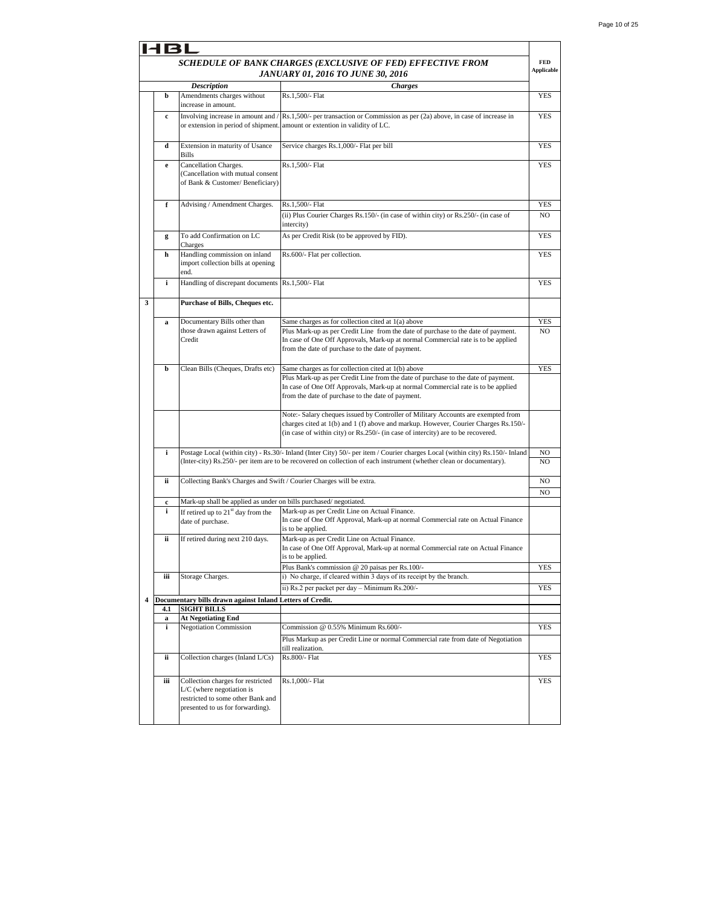|   |              |                                                                                                                                           | SCHEDULE OF BANK CHARGES (EXCLUSIVE OF FED) EFFECTIVE FROM<br><b>JANUARY 01, 2016 TO JUNE 30, 2016</b>                                                                                                                                                       | FED<br><b>Applicable</b> |
|---|--------------|-------------------------------------------------------------------------------------------------------------------------------------------|--------------------------------------------------------------------------------------------------------------------------------------------------------------------------------------------------------------------------------------------------------------|--------------------------|
|   |              | <b>Description</b>                                                                                                                        | <b>Charges</b>                                                                                                                                                                                                                                               |                          |
|   | b            | Amendments charges without<br>increase in amount.                                                                                         | Rs.1,500/- Flat                                                                                                                                                                                                                                              | YES                      |
|   | c            | Involving increase in amount and<br>or extension in period of shipment                                                                    | Rs.1,500/- per transaction or Commission as per (2a) above, in case of increase in<br>amount or extention in validity of LC.                                                                                                                                 | <b>YES</b>               |
|   | d            | Extension in maturity of Usance<br><b>Bills</b>                                                                                           | Service charges Rs.1,000/- Flat per bill                                                                                                                                                                                                                     | YES                      |
|   | $\mathbf{e}$ | Cancellation Charges.<br>(Cancellation with mutual consent<br>of Bank & Customer/ Beneficiary)                                            | Rs.1,500/- Flat                                                                                                                                                                                                                                              | YES                      |
|   | f            | Advising / Amendment Charges.                                                                                                             | Rs.1,500/- Flat<br>(ii) Plus Courier Charges Rs.150/- (in case of within city) or Rs.250/- (in case of<br>intercity)                                                                                                                                         | <b>YES</b><br>NO         |
|   | g            | To add Confirmation on LC<br>Charges                                                                                                      | As per Credit Risk (to be approved by FID).                                                                                                                                                                                                                  | <b>YES</b>               |
|   | h            | Handling commission on inland<br>import collection bills at opening<br>end.                                                               | Rs.600/- Flat per collection.                                                                                                                                                                                                                                | <b>YES</b>               |
|   | i            | Handling of discrepant documents                                                                                                          | Rs.1,500/- Flat                                                                                                                                                                                                                                              | YES                      |
| 3 |              | Purchase of Bills, Cheques etc.                                                                                                           |                                                                                                                                                                                                                                                              |                          |
|   | a            | Documentary Bills other than                                                                                                              | Same charges as for collection cited at 1(a) above                                                                                                                                                                                                           | YES                      |
|   |              | those drawn against Letters of<br>Credit                                                                                                  | Plus Mark-up as per Credit Line from the date of purchase to the date of payment.<br>In case of One Off Approvals, Mark-up at normal Commercial rate is to be applied<br>from the date of purchase to the date of payment.                                   | NO                       |
|   | b            | Clean Bills (Cheques, Drafts etc)                                                                                                         | Same charges as for collection cited at 1(b) above                                                                                                                                                                                                           | YES                      |
|   |              |                                                                                                                                           | Plus Mark-up as per Credit Line from the date of purchase to the date of payment.<br>In case of One Off Approvals, Mark-up at normal Commercial rate is to be applied<br>from the date of purchase to the date of payment.                                   |                          |
|   |              |                                                                                                                                           | Note:- Salary cheques issued by Controller of Military Accounts are exempted from<br>charges cited at 1(b) and 1 (f) above and markup. However, Courier Charges Rs.150/-<br>(in case of within city) or Rs.250/- (in case of intercity) are to be recovered. |                          |
|   | i            |                                                                                                                                           | Postage Local (within city) - Rs.30/- Inland (Inter City) 50/- per item / Courier charges Local (within city) Rs.150/- Inland<br>(Inter-city) Rs.250/- per item are to be recovered on collection of each instrument (whether clean or documentary).         | NO<br>NO                 |
|   | ii           | Collecting Bank's Charges and Swift / Courier Charges will be extra.                                                                      |                                                                                                                                                                                                                                                              | NO<br>NO                 |
|   | $\mathbf c$  | Mark-up shall be applied as under on bills purchased/negotiated.                                                                          |                                                                                                                                                                                                                                                              |                          |
|   | i            | If retired up to $21st$ day from the<br>date of purchase.                                                                                 | Mark-up as per Credit Line on Actual Finance.<br>In case of One Off Approval, Mark-up at normal Commercial rate on Actual Finance<br>is to be applied.                                                                                                       |                          |
|   | ii           | If retired during next 210 days.                                                                                                          | Mark-up as per Credit Line on Actual Finance.<br>In case of One Off Approval, Mark-up at normal Commercial rate on Actual Finance<br>is to be applied.                                                                                                       |                          |
|   |              |                                                                                                                                           | Plus Bank's commission @ 20 paisas per Rs.100/-                                                                                                                                                                                                              | <b>YES</b>               |
|   | iii          | Storage Charges.                                                                                                                          | i) No charge, if cleared within 3 days of its receipt by the branch.<br>ii) Rs.2 per packet per day - Minimum Rs.200/-                                                                                                                                       | YES                      |
| 4 |              | Documentary bills drawn against Inland Letters of Credit.                                                                                 |                                                                                                                                                                                                                                                              |                          |
|   | 4.1          | <b>SIGHT BILLS</b>                                                                                                                        |                                                                                                                                                                                                                                                              |                          |
|   | a<br>i       | <b>At Negotiating End</b><br><b>Negotiation Commission</b>                                                                                | Commission @ 0.55% Minimum Rs.600/-                                                                                                                                                                                                                          | <b>YES</b>               |
|   |              |                                                                                                                                           | Plus Markup as per Credit Line or normal Commercial rate from date of Negotiation<br>till realization.                                                                                                                                                       |                          |
|   | ii           | Collection charges (Inland L/Cs)                                                                                                          | Rs.800/- Flat                                                                                                                                                                                                                                                | <b>YES</b>               |
|   | iii          | Collection charges for restricted<br>$L/C$ (where negotiation is<br>restricted to some other Bank and<br>presented to us for forwarding). | Rs.1,000/- Flat                                                                                                                                                                                                                                              | YES                      |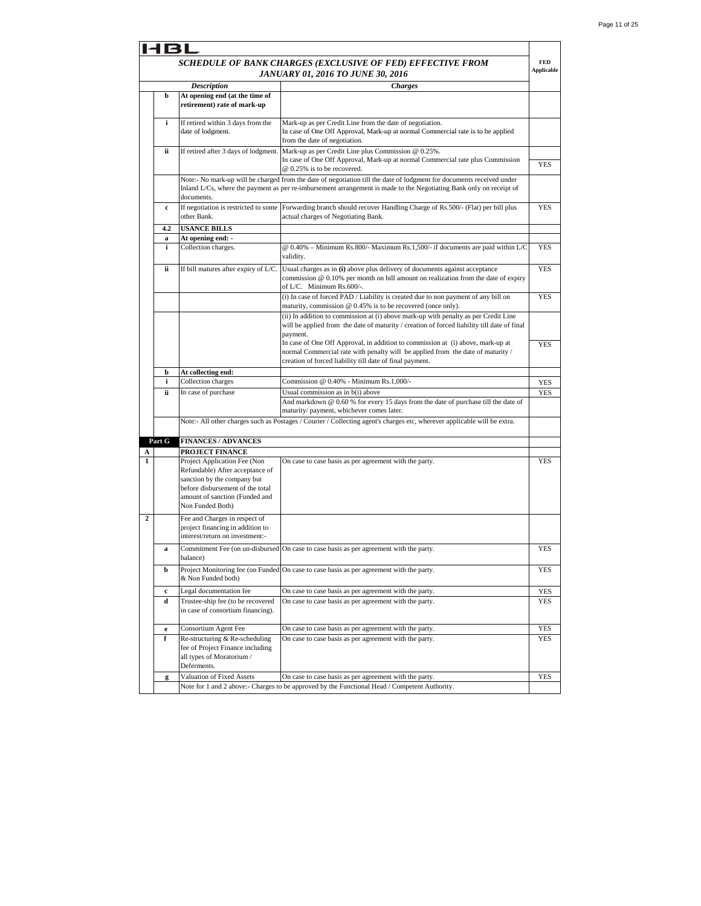|              | I BI   |                                                                                                                                                                                          |                                                                                                                                                                                                                                              |                   |
|--------------|--------|------------------------------------------------------------------------------------------------------------------------------------------------------------------------------------------|----------------------------------------------------------------------------------------------------------------------------------------------------------------------------------------------------------------------------------------------|-------------------|
|              |        |                                                                                                                                                                                          | SCHEDULE OF BANK CHARGES (EXCLUSIVE OF FED) EFFECTIVE FROM                                                                                                                                                                                   | <b>FED</b>        |
|              |        |                                                                                                                                                                                          | JANUARY 01, 2016 TO JUNE 30, 2016                                                                                                                                                                                                            | <b>Applicable</b> |
|              |        | <b>Description</b>                                                                                                                                                                       | <b>Charges</b>                                                                                                                                                                                                                               |                   |
|              | b      | At opening end (at the time of<br>retirement) rate of mark-up                                                                                                                            |                                                                                                                                                                                                                                              |                   |
|              | i      | If retired within 3 days from the<br>date of lodgment.                                                                                                                                   | Mark-up as per Credit Line from the date of negotiation.<br>In case of One Off Approval, Mark-up at normal Commercial rate is to be applied<br>from the date of negotiation.                                                                 |                   |
|              | ii     | If retired after 3 days of lodgment.                                                                                                                                                     | Mark-up as per Credit Line plus Commission @ 0.25%.<br>In case of One Off Approval, Mark-up at normal Commercial rate plus Commission<br>@ 0.25% is to be recovered.                                                                         | YES               |
|              |        | documents.                                                                                                                                                                               | Note:- No mark-up will be charged from the date of negotiation till the date of lodgment for documents received under<br>Inland L/Cs, where the payment as per re-imbursement arrangement is made to the Negotiating Bank only on receipt of |                   |
|              | c      | If negotiation is restricted to some<br>other Bank.                                                                                                                                      | Forwarding branch should recover Handling Charge of Rs.500/- (Flat) per bill plus<br>actual charges of Negotiating Bank.                                                                                                                     | <b>YES</b>        |
|              | 4.2    | <b>USANCE BILLS</b>                                                                                                                                                                      |                                                                                                                                                                                                                                              |                   |
|              | a      | At opening end: -                                                                                                                                                                        |                                                                                                                                                                                                                                              |                   |
|              | i      | Collection charges.                                                                                                                                                                      | @ 0.40% - Minimum Rs.800/- Maximum Rs.1,500/- if documents are paid within L/C<br>validity.                                                                                                                                                  | <b>YES</b>        |
|              | ii     | If bill matures after expiry of L/C.                                                                                                                                                     | Usual charges as in (i) above plus delivery of documents against acceptance<br>commission $@0.10%$ per month on bill amount on realization from the date of expiry<br>of L/C. Minimum Rs.600/-.                                              | YES               |
|              |        |                                                                                                                                                                                          | (i) In case of forced PAD / Liability is created due to non payment of any bill on<br>maturity, commission @ 0.45% is to be recovered (once only).                                                                                           | <b>YES</b>        |
|              |        |                                                                                                                                                                                          | (ii) In addition to commission at (i) above mark-up with penalty as per Credit Line<br>will be applied from the date of maturity / creation of forced liability till date of final<br>payment.                                               |                   |
|              |        |                                                                                                                                                                                          | In case of One Off Approval, in addition to commission at (i) above, mark-up at<br>normal Commercial rate with penalty will be applied from the date of maturity /<br>creation of forced liability till date of final payment.               | <b>YES</b>        |
|              | b      | At collecting end:                                                                                                                                                                       |                                                                                                                                                                                                                                              |                   |
|              | i      | Collection charges                                                                                                                                                                       | Commission @ 0.40% - Minimum Rs.1,000/-                                                                                                                                                                                                      | YES               |
|              | ii     | In case of purchase                                                                                                                                                                      | Usual commission as in b(i) above<br>And markdown @ 0.60 % for every 15 days from the date of purchase till the date of<br>maturity/payment, whichever comes later.                                                                          | YES               |
|              |        |                                                                                                                                                                                          | Note:- All other charges such as Postages / Courier / Collecting agent's charges etc, wherever applicable will be extra.                                                                                                                     |                   |
|              | Part G | <b>FINANCES / ADVANCES</b>                                                                                                                                                               |                                                                                                                                                                                                                                              |                   |
| A            |        | PROJECT FINANCE                                                                                                                                                                          |                                                                                                                                                                                                                                              |                   |
| $\mathbf{1}$ |        | Project Application Fee (Non<br>Refundable) After acceptance of<br>sanction by the company but<br>before disbursement of the total<br>amount of sanction (Funded and<br>Non Funded Both) | On case to case basis as per agreement with the party.                                                                                                                                                                                       | <b>YES</b>        |
| $\mathbf{2}$ |        | Fee and Charges in respect of<br>project financing in addition to<br>interest/return on investment:-                                                                                     |                                                                                                                                                                                                                                              |                   |
|              | a      | balance)                                                                                                                                                                                 | Commitment Fee (on un-disbursed On case to case basis as per agreement with the party.                                                                                                                                                       | YES               |
|              | b      | & Non Funded both)                                                                                                                                                                       | Project Monitoring fee (on Funded On case to case basis as per agreement with the party.                                                                                                                                                     | YES               |
|              | c      | Legal documentation fee                                                                                                                                                                  | On case to case basis as per agreement with the party.                                                                                                                                                                                       | YES               |
|              | d      | Trustee-ship fee (to be recovered<br>in case of consortium financing).                                                                                                                   | On case to case basis as per agreement with the party.                                                                                                                                                                                       | <b>YES</b>        |
|              | e      | Consortium Agent Fee                                                                                                                                                                     | On case to case basis as per agreement with the party.                                                                                                                                                                                       | <b>YES</b>        |
|              | f      | Re-structuring & Re-scheduling<br>fee of Project Finance including<br>all types of Moratorium /<br>Deferments.                                                                           | On case to case basis as per agreement with the party.                                                                                                                                                                                       | <b>YES</b>        |
|              | g      | Valuation of Fixed Assets                                                                                                                                                                | On case to case basis as per agreement with the party.                                                                                                                                                                                       | <b>YES</b>        |
|              |        |                                                                                                                                                                                          | Note for 1 and 2 above:- Charges to be approved by the Functional Head / Competent Authority.                                                                                                                                                |                   |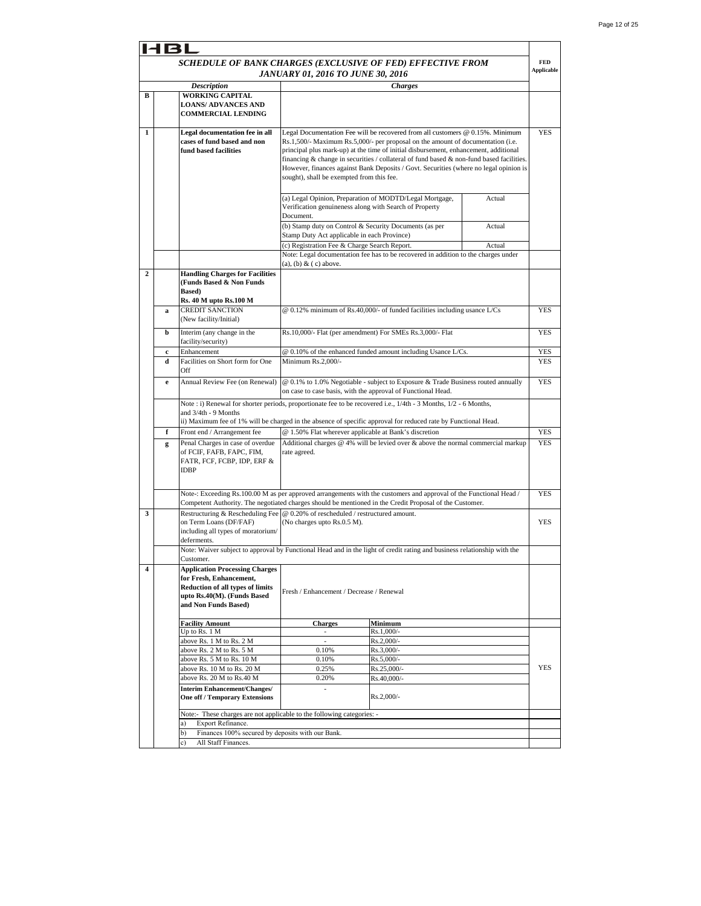|                  | 161                                                                              |                                                                                |                                              |                                                                                                                                                                  |        |                   |
|------------------|----------------------------------------------------------------------------------|--------------------------------------------------------------------------------|----------------------------------------------|------------------------------------------------------------------------------------------------------------------------------------------------------------------|--------|-------------------|
|                  |                                                                                  | SCHEDULE OF BANK CHARGES (EXCLUSIVE OF FED) EFFECTIVE FROM                     |                                              |                                                                                                                                                                  |        | <b>FED</b>        |
|                  |                                                                                  |                                                                                | <b>JANUARY 01, 2016 TO JUNE 30, 2016</b>     |                                                                                                                                                                  |        | <b>Applicable</b> |
|                  |                                                                                  | <b>Description</b>                                                             |                                              | <b>Charges</b>                                                                                                                                                   |        |                   |
| В                |                                                                                  | <b>WORKING CAPITAL</b><br><b>LOANS/ ADVANCES AND</b>                           |                                              |                                                                                                                                                                  |        |                   |
|                  |                                                                                  | <b>COMMERCIAL LENDING</b>                                                      |                                              |                                                                                                                                                                  |        |                   |
|                  |                                                                                  |                                                                                |                                              |                                                                                                                                                                  |        |                   |
| 1                |                                                                                  | Legal documentation fee in all<br>cases of fund based and non                  |                                              | Legal Documentation Fee will be recovered from all customers @ 0.15%. Minimum<br>Rs.1,500/- Maximum Rs.5,000/- per proposal on the amount of documentation (i.e. |        | <b>YES</b>        |
|                  |                                                                                  | fund based facilities                                                          |                                              | principal plus mark-up) at the time of initial disbursement, enhancement, additional                                                                             |        |                   |
|                  |                                                                                  |                                                                                |                                              | financing $\&$ change in securities / collateral of fund based $\&$ non-fund based facilities.                                                                   |        |                   |
|                  |                                                                                  |                                                                                | sought), shall be exempted from this fee.    | However, finances against Bank Deposits / Govt. Securities (where no legal opinion is                                                                            |        |                   |
|                  |                                                                                  |                                                                                |                                              |                                                                                                                                                                  |        |                   |
|                  |                                                                                  |                                                                                |                                              | (a) Legal Opinion, Preparation of MODTD/Legal Mortgage,                                                                                                          | Actual |                   |
|                  |                                                                                  |                                                                                |                                              | Verification genuineness along with Search of Property                                                                                                           |        |                   |
|                  |                                                                                  | Document.<br>(b) Stamp duty on Control & Security Documents (as per            |                                              |                                                                                                                                                                  |        |                   |
|                  |                                                                                  |                                                                                | Stamp Duty Act applicable in each Province)  |                                                                                                                                                                  | Actual |                   |
|                  |                                                                                  |                                                                                | (c) Registration Fee & Charge Search Report. |                                                                                                                                                                  | Actual |                   |
|                  |                                                                                  |                                                                                |                                              | Note: Legal documentation fee has to be recovered in addition to the charges under                                                                               |        |                   |
| $\boldsymbol{2}$ |                                                                                  | <b>Handling Charges for Facilities</b>                                         | (a), (b) $&$ (c) above.                      |                                                                                                                                                                  |        |                   |
|                  |                                                                                  | (Funds Based & Non Funds                                                       |                                              |                                                                                                                                                                  |        |                   |
|                  |                                                                                  | Based)                                                                         |                                              |                                                                                                                                                                  |        |                   |
|                  | a                                                                                | Rs. 40 M upto Rs. 100 M<br><b>CREDIT SANCTION</b>                              |                                              | @ 0.12% minimum of Rs.40,000/- of funded facilities including usance L/Cs                                                                                        |        | <b>YES</b>        |
|                  |                                                                                  | (New facility/Initial)                                                         |                                              |                                                                                                                                                                  |        |                   |
|                  | b                                                                                | Interim (any change in the                                                     |                                              | Rs.10,000/- Flat (per amendment) For SMEs Rs.3,000/- Flat                                                                                                        |        | <b>YES</b>        |
|                  | facility/security)                                                               |                                                                                |                                              |                                                                                                                                                                  |        |                   |
|                  | Enhancement<br>@ 0.10% of the enhanced funded amount including Usance L/Cs.<br>c |                                                                                |                                              |                                                                                                                                                                  | YES    |                   |
|                  | d                                                                                | Facilities on Short form for One<br>Off                                        | Minimum Rs.2,000/-                           |                                                                                                                                                                  |        | YES               |
|                  | e                                                                                | Annual Review Fee (on Renewal)                                                 |                                              | @ 0.1% to 1.0% Negotiable - subject to Exposure & Trade Business routed annually                                                                                 |        | YES               |
|                  |                                                                                  |                                                                                |                                              | on case to case basis, with the approval of Functional Head.                                                                                                     |        |                   |
|                  |                                                                                  |                                                                                |                                              | Note : i) Renewal for shorter periods, proportionate fee to be recovered i.e., 1/4th - 3 Months, 1/2 - 6 Months,                                                 |        |                   |
|                  |                                                                                  | and 3/4th - 9 Months                                                           |                                              | ii) Maximum fee of 1% will be charged in the absence of specific approval for reduced rate by Functional Head.                                                   |        |                   |
|                  | f                                                                                | Front end / Arrangement fee                                                    |                                              | @ 1.50% Flat wherever applicable at Bank's discretion                                                                                                            |        | <b>YES</b>        |
|                  | g                                                                                | Penal Charges in case of overdue                                               |                                              | Additional charges $@$ 4% will be levied over $&$ above the normal commercial markup                                                                             |        | <b>YES</b>        |
|                  |                                                                                  | of FCIF, FAFB, FAPC, FIM,                                                      | rate agreed.                                 |                                                                                                                                                                  |        |                   |
|                  |                                                                                  | FATR, FCF, FCBP, IDP, ERF &<br><b>IDBP</b>                                     |                                              |                                                                                                                                                                  |        |                   |
|                  |                                                                                  |                                                                                |                                              |                                                                                                                                                                  |        |                   |
|                  |                                                                                  |                                                                                |                                              | Note-: Exceeding Rs.100.00 M as per approved arrangements with the customers and approval of the Functional Head /                                               |        | <b>YES</b>        |
|                  |                                                                                  |                                                                                |                                              | Competent Authority. The negotiated charges should be mentioned in the Credit Proposal of the Customer.                                                          |        |                   |
| 3                |                                                                                  | Restructuring & Rescheduling Fee @ 0.20% of rescheduled / restructured amount. |                                              |                                                                                                                                                                  |        |                   |
|                  |                                                                                  | on Term Loans (DF/FAF)<br>including all types of moratorium/                   | (No charges upto Rs.0.5 M).                  |                                                                                                                                                                  |        | <b>YES</b>        |
|                  |                                                                                  | deferments.                                                                    |                                              |                                                                                                                                                                  |        |                   |
|                  |                                                                                  |                                                                                |                                              | Note: Waiver subject to approval by Functional Head and in the light of credit rating and business relationship with the                                         |        |                   |
| 4                |                                                                                  | Customer.<br><b>Application Processing Charges</b>                             |                                              |                                                                                                                                                                  |        |                   |
|                  |                                                                                  | for Fresh, Enhancement,                                                        |                                              |                                                                                                                                                                  |        |                   |
|                  |                                                                                  | <b>Reduction of all types of limits</b>                                        | Fresh / Enhancement / Decrease / Renewal     |                                                                                                                                                                  |        |                   |
|                  |                                                                                  | upto Rs.40(M). (Funds Based<br>and Non Funds Based)                            |                                              |                                                                                                                                                                  |        |                   |
|                  |                                                                                  |                                                                                |                                              |                                                                                                                                                                  |        |                   |
|                  |                                                                                  | <b>Facility Amount</b><br>Up to Rs. 1 M                                        | <b>Charges</b><br>$\omega_{\rm c}$           | Minimum<br>Rs.1,000/-                                                                                                                                            |        |                   |
|                  |                                                                                  | above Rs. 1 M to Rs. 2 M                                                       |                                              | Rs.2,000/-                                                                                                                                                       |        |                   |
|                  |                                                                                  | above Rs. 2 M to Rs. 5 M                                                       | 0.10%                                        | Rs.3,000/-                                                                                                                                                       |        |                   |
|                  |                                                                                  | above Rs. 5 M to Rs. 10 M<br>above Rs. 10 M to Rs. 20 M                        | 0.10%<br>0.25%                               | Rs.5,000/-<br>Rs.25,000/-                                                                                                                                        |        | YES               |
|                  |                                                                                  | above Rs. 20 M to Rs.40 M                                                      | 0.20%                                        | Rs.40,000/-                                                                                                                                                      |        |                   |
|                  |                                                                                  | <b>Interim Enhancement/Changes/</b>                                            | $\overline{a}$                               |                                                                                                                                                                  |        |                   |
|                  |                                                                                  | <b>One off / Temporary Extensions</b>                                          |                                              | $Rs.2,000/-$                                                                                                                                                     |        |                   |
|                  |                                                                                  | Note:- These charges are not applicable to the following categories: -         |                                              |                                                                                                                                                                  |        |                   |
|                  |                                                                                  | Export Refinance.                                                              |                                              |                                                                                                                                                                  |        |                   |
|                  |                                                                                  | Finances 100% secured by deposits with our Bank.<br>b)<br>c)                   |                                              |                                                                                                                                                                  |        |                   |
|                  |                                                                                  | All Staff Finances.                                                            |                                              |                                                                                                                                                                  |        |                   |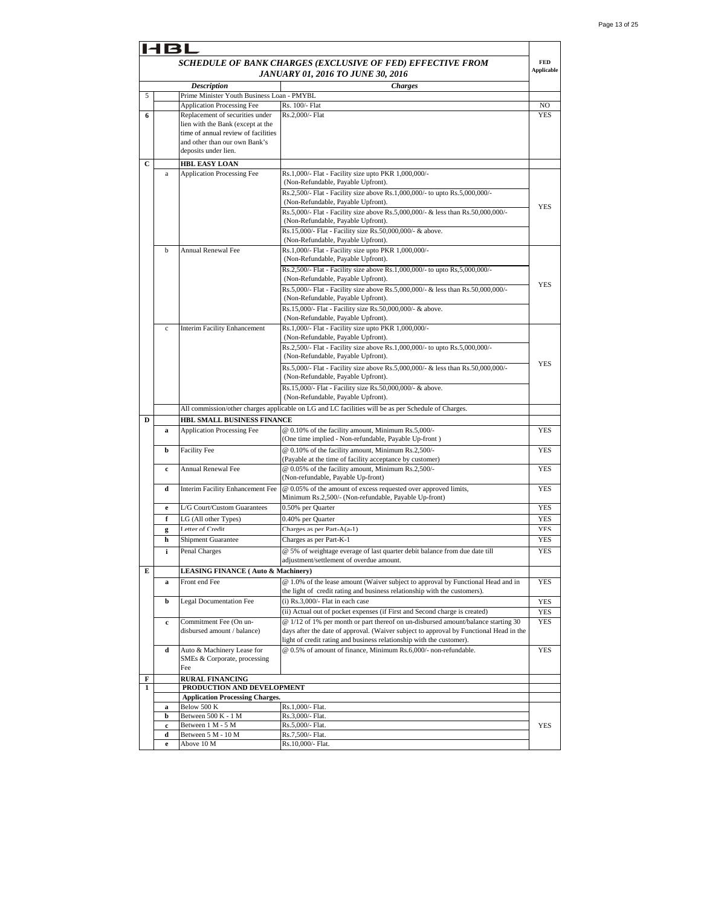|              | <b>HBL</b>                                                 |                                                                                                                |                                                                                                                                                                             |                   |  |
|--------------|------------------------------------------------------------|----------------------------------------------------------------------------------------------------------------|-----------------------------------------------------------------------------------------------------------------------------------------------------------------------------|-------------------|--|
|              | SCHEDULE OF BANK CHARGES (EXCLUSIVE OF FED) EFFECTIVE FROM |                                                                                                                |                                                                                                                                                                             |                   |  |
|              |                                                            |                                                                                                                | JANUARY 01, 2016 TO JUNE 30, 2016                                                                                                                                           | <b>Applicable</b> |  |
|              |                                                            | <b>Description</b>                                                                                             | <b>Charges</b>                                                                                                                                                              |                   |  |
| 5            |                                                            | Prime Minister Youth Business Loan - PMYBL<br><b>Application Processing Fee</b>                                | Rs. 100/- Flat                                                                                                                                                              | NO                |  |
| 6            |                                                            | Replacement of securities under                                                                                | Rs.2,000/- Flat                                                                                                                                                             | <b>YES</b>        |  |
|              |                                                            | lien with the Bank (except at the                                                                              |                                                                                                                                                                             |                   |  |
|              |                                                            | time of annual review of facilities                                                                            |                                                                                                                                                                             |                   |  |
|              |                                                            | and other than our own Bank's                                                                                  |                                                                                                                                                                             |                   |  |
|              |                                                            | deposits under lien.                                                                                           |                                                                                                                                                                             |                   |  |
| C            |                                                            | <b>HBL EASY LOAN</b>                                                                                           |                                                                                                                                                                             |                   |  |
|              | $\rm{a}$                                                   | <b>Application Processing Fee</b>                                                                              | Rs.1,000/- Flat - Facility size upto PKR 1,000,000/-<br>(Non-Refundable, Payable Upfront).                                                                                  |                   |  |
|              |                                                            |                                                                                                                | Rs.2,500/- Flat - Facility size above Rs.1,000,000/- to upto Rs.5,000,000/-                                                                                                 |                   |  |
|              |                                                            |                                                                                                                | (Non-Refundable, Payable Upfront).                                                                                                                                          |                   |  |
|              |                                                            |                                                                                                                | Rs.5,000/- Flat - Facility size above Rs.5,000,000/- & less than Rs.50,000,000/-                                                                                            | <b>YES</b>        |  |
|              |                                                            |                                                                                                                | (Non-Refundable, Payable Upfront).                                                                                                                                          |                   |  |
|              |                                                            |                                                                                                                | Rs.15,000/- Flat - Facility size Rs.50,000,000/- & above.                                                                                                                   |                   |  |
|              | b                                                          | <b>Annual Renewal Fee</b>                                                                                      | (Non-Refundable, Payable Upfront).<br>Rs.1,000/- Flat - Facility size upto PKR 1,000,000/-                                                                                  |                   |  |
|              |                                                            |                                                                                                                | (Non-Refundable, Payable Upfront).                                                                                                                                          |                   |  |
|              |                                                            |                                                                                                                | Rs.2,500/- Flat - Facility size above Rs.1,000,000/- to upto Rs,5,000,000/-                                                                                                 |                   |  |
|              |                                                            |                                                                                                                | (Non-Refundable, Payable Upfront).                                                                                                                                          |                   |  |
|              |                                                            |                                                                                                                | Rs.5,000/- Flat - Facility size above Rs.5,000,000/- & less than Rs.50,000,000/-                                                                                            | <b>YES</b>        |  |
|              |                                                            |                                                                                                                | (Non-Refundable, Payable Upfront).                                                                                                                                          |                   |  |
|              |                                                            |                                                                                                                | Rs.15,000/- Flat - Facility size Rs.50,000,000/- & above.<br>(Non-Refundable, Payable Upfront).                                                                             |                   |  |
|              | $\mathbf c$                                                | <b>Interim Facility Enhancement</b>                                                                            | Rs.1,000/- Flat - Facility size upto PKR 1,000,000/-                                                                                                                        |                   |  |
|              |                                                            |                                                                                                                | (Non-Refundable, Payable Upfront).                                                                                                                                          |                   |  |
|              |                                                            |                                                                                                                | Rs.2,500/- Flat - Facility size above Rs.1,000,000/- to upto Rs.5,000,000/-                                                                                                 |                   |  |
|              |                                                            |                                                                                                                | (Non-Refundable, Payable Upfront).                                                                                                                                          |                   |  |
|              |                                                            |                                                                                                                | Rs.5,000/- Flat - Facility size above Rs.5,000,000/- & less than Rs.50,000,000/-                                                                                            | <b>YES</b>        |  |
|              |                                                            |                                                                                                                | (Non-Refundable, Payable Upfront).                                                                                                                                          |                   |  |
|              |                                                            |                                                                                                                | Rs.15,000/- Flat - Facility size Rs.50,000,000/- & above.                                                                                                                   |                   |  |
|              |                                                            |                                                                                                                | (Non-Refundable, Payable Upfront).                                                                                                                                          |                   |  |
|              |                                                            |                                                                                                                | All commission/other charges applicable on LG and LC facilities will be as per Schedule of Charges.                                                                         |                   |  |
| D            |                                                            | HBL SMALL BUSINESS FINANCE<br>@ 0.10% of the facility amount, Minimum Rs.5,000/-<br>Application Processing Fee |                                                                                                                                                                             |                   |  |
|              | a                                                          |                                                                                                                | (One time implied - Non-refundable, Payable Up-front)                                                                                                                       | YES               |  |
|              | b                                                          | <b>Facility Fee</b>                                                                                            | @ 0.10% of the facility amount, Minimum Rs.2,500/-                                                                                                                          | <b>YES</b>        |  |
|              |                                                            |                                                                                                                | (Payable at the time of facility acceptance by customer)                                                                                                                    |                   |  |
|              | $\mathbf c$                                                | <b>Annual Renewal Fee</b>                                                                                      | @ 0.05% of the facility amount, Minimum Rs.2,500/-                                                                                                                          | <b>YES</b>        |  |
|              |                                                            |                                                                                                                | (Non-refundable, Payable Up-front)                                                                                                                                          |                   |  |
|              | d                                                          | Interim Facility Enhancement Fee                                                                               | @ 0.05% of the amount of excess requested over approved limits,                                                                                                             | <b>YES</b>        |  |
|              | $\mathbf e$                                                | L/G Court/Custom Guarantees                                                                                    | Minimum Rs.2,500/- (Non-refundable, Payable Up-front)<br>0.50% per Quarter                                                                                                  | YES               |  |
|              | f                                                          | LG (All other Types)                                                                                           | 0.40% per Quarter                                                                                                                                                           | YES               |  |
|              | g                                                          | Letter of Credit                                                                                               | Charges as per Part-A(a-1)                                                                                                                                                  | YES               |  |
|              | h                                                          | <b>Shipment Guarantee</b>                                                                                      | Charges as per Part-K-1                                                                                                                                                     | YES               |  |
|              | i                                                          | Penal Charges                                                                                                  | @ 5% of weightage everage of last quarter debit balance from due date till                                                                                                  | <b>YES</b>        |  |
|              |                                                            |                                                                                                                | adjustment/settlement of overdue amount.                                                                                                                                    |                   |  |
| E            |                                                            | <b>LEASING FINANCE (Auto &amp; Machinery)</b>                                                                  |                                                                                                                                                                             |                   |  |
|              | a                                                          | Front end Fee                                                                                                  | @ 1.0% of the lease amount (Waiver subject to approval by Functional Head and in                                                                                            | YES               |  |
|              |                                                            |                                                                                                                | the light of credit rating and business relationship with the customers).                                                                                                   |                   |  |
|              | b                                                          | <b>Legal Documentation Fee</b>                                                                                 | $(i)$ Rs.3,000/- Flat in each case                                                                                                                                          | YES               |  |
|              |                                                            |                                                                                                                | (ii) Actual out of pocket expenses (if First and Second charge is created)                                                                                                  | YES               |  |
|              | c                                                          | Commitment Fee (On un-<br>disbursed amount / balance)                                                          | @ 1/12 of 1% per month or part thereof on un-disbursed amount/balance starting 30<br>days after the date of approval. (Waiver subject to approval by Functional Head in the | YES               |  |
|              |                                                            |                                                                                                                | light of credit rating and business relationship with the customer).                                                                                                        |                   |  |
|              | d                                                          | Auto & Machinery Lease for                                                                                     | @ 0.5% of amount of finance, Minimum Rs.6,000/- non-refundable.                                                                                                             | <b>YES</b>        |  |
|              |                                                            | SMEs & Corporate, processing                                                                                   |                                                                                                                                                                             |                   |  |
|              |                                                            | Fee                                                                                                            |                                                                                                                                                                             |                   |  |
| F            |                                                            | <b>RURAL FINANCING</b>                                                                                         |                                                                                                                                                                             |                   |  |
| $\mathbf{1}$ |                                                            | PRODUCTION AND DEVELOPMENT<br><b>Application Processing Charges.</b>                                           |                                                                                                                                                                             |                   |  |
|              | a                                                          | Below 500 K                                                                                                    | Rs.1,000/- Flat.                                                                                                                                                            |                   |  |
|              | b                                                          | Between 500 K - 1 M                                                                                            | Rs.3,000/- Flat.                                                                                                                                                            |                   |  |
|              | c                                                          | Between 1 M - 5 M                                                                                              | Rs.5,000/- Flat.                                                                                                                                                            | YES               |  |
|              | d                                                          | Between 5 M - 10 M                                                                                             | Rs.7,500/- Flat.                                                                                                                                                            |                   |  |
|              | $\mathbf e$                                                | Above 10 M                                                                                                     | Rs.10,000/- Flat.                                                                                                                                                           |                   |  |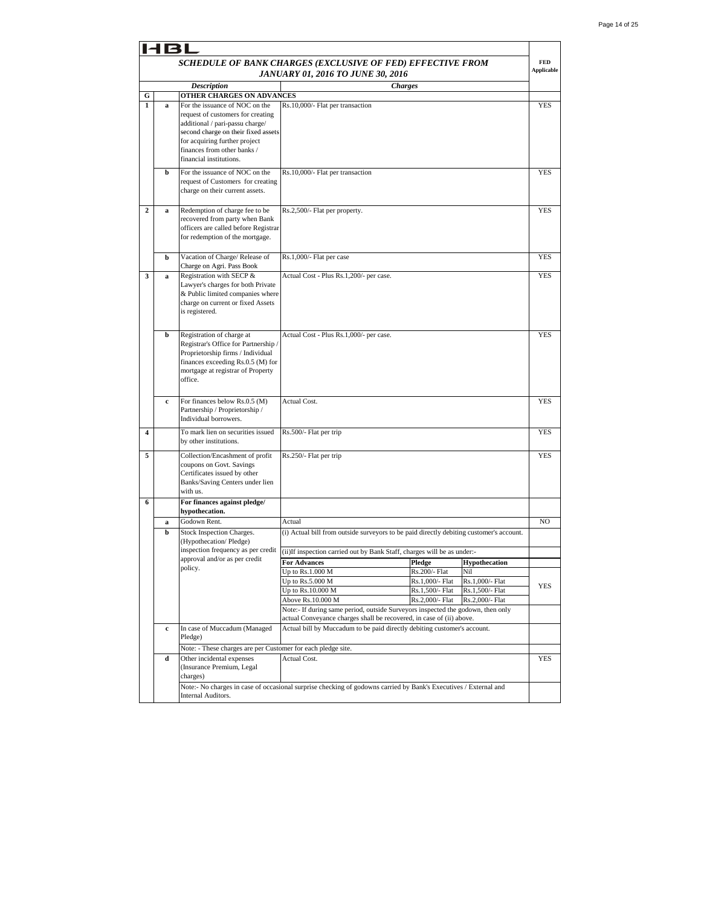|                | 14BI        |                                                                        |                                                                                                                  |                                    |                                    |                   |
|----------------|-------------|------------------------------------------------------------------------|------------------------------------------------------------------------------------------------------------------|------------------------------------|------------------------------------|-------------------|
|                |             |                                                                        | SCHEDULE OF BANK CHARGES (EXCLUSIVE OF FED) EFFECTIVE FROM                                                       |                                    |                                    | <b>FED</b>        |
|                |             |                                                                        | JANUARY 01, 2016 TO JUNE 30, 2016                                                                                |                                    |                                    | <b>Applicable</b> |
|                |             | <b>Description</b>                                                     | <b>Charges</b>                                                                                                   |                                    |                                    |                   |
| G              |             | OTHER CHARGES ON ADVANCES                                              |                                                                                                                  |                                    |                                    |                   |
| $\mathbf{1}$   | a           | For the issuance of NOC on the                                         | Rs.10,000/- Flat per transaction                                                                                 |                                    |                                    | <b>YES</b>        |
|                |             | request of customers for creating<br>additional / pari-passu charge/   |                                                                                                                  |                                    |                                    |                   |
|                |             | second charge on their fixed assets                                    |                                                                                                                  |                                    |                                    |                   |
|                |             | for acquiring further project                                          |                                                                                                                  |                                    |                                    |                   |
|                |             | finances from other banks /<br>financial institutions.                 |                                                                                                                  |                                    |                                    |                   |
|                |             |                                                                        |                                                                                                                  |                                    |                                    |                   |
|                | b           | For the issuance of NOC on the<br>request of Customers for creating    | Rs.10,000/- Flat per transaction                                                                                 |                                    |                                    | <b>YES</b>        |
|                |             | charge on their current assets.                                        |                                                                                                                  |                                    |                                    |                   |
|                |             |                                                                        |                                                                                                                  |                                    |                                    |                   |
| $\overline{2}$ | $\bf{a}$    | Redemption of charge fee to be                                         | Rs.2,500/- Flat per property.                                                                                    |                                    |                                    | <b>YES</b>        |
|                |             | recovered from party when Bank<br>officers are called before Registrar |                                                                                                                  |                                    |                                    |                   |
|                |             | for redemption of the mortgage.                                        |                                                                                                                  |                                    |                                    |                   |
|                |             |                                                                        |                                                                                                                  |                                    |                                    |                   |
|                | b           | Vacation of Charge/ Release of                                         | Rs.1,000/- Flat per case                                                                                         |                                    |                                    | YES               |
|                |             | Charge on Agri. Pass Book                                              |                                                                                                                  |                                    |                                    |                   |
| 3              | a           | Registration with SECP &<br>Lawyer's charges for both Private          | Actual Cost - Plus Rs.1,200/- per case.                                                                          |                                    |                                    | YES               |
|                |             | & Public limited companies where                                       |                                                                                                                  |                                    |                                    |                   |
|                |             | charge on current or fixed Assets                                      |                                                                                                                  |                                    |                                    |                   |
|                |             | is registered.                                                         |                                                                                                                  |                                    |                                    |                   |
|                |             |                                                                        |                                                                                                                  |                                    |                                    |                   |
|                | b           | Registration of charge at<br>Registrar's Office for Partnership /      | Actual Cost - Plus Rs.1,000/- per case.                                                                          |                                    |                                    | <b>YES</b>        |
|                |             | Proprietorship firms / Individual                                      |                                                                                                                  |                                    |                                    |                   |
|                |             | finances exceeding Rs.0.5 (M) for                                      |                                                                                                                  |                                    |                                    |                   |
|                |             | mortgage at registrar of Property                                      |                                                                                                                  |                                    |                                    |                   |
|                |             | office.                                                                |                                                                                                                  |                                    |                                    |                   |
|                | c           | For finances below Rs.0.5 (M)                                          | Actual Cost.                                                                                                     |                                    |                                    | YES               |
|                |             | Partnership / Proprietorship /                                         |                                                                                                                  |                                    |                                    |                   |
|                |             | Individual borrowers.                                                  |                                                                                                                  |                                    |                                    |                   |
| 4              |             | To mark lien on securities issued                                      | Rs.500/- Flat per trip                                                                                           |                                    |                                    | YES               |
|                |             | by other institutions.                                                 |                                                                                                                  |                                    |                                    |                   |
| 5              |             | Collection/Encashment of profit                                        | Rs.250/- Flat per trip                                                                                           |                                    |                                    | <b>YES</b>        |
|                |             | coupons on Govt. Savings                                               |                                                                                                                  |                                    |                                    |                   |
|                |             | Certificates issued by other<br>Banks/Saving Centers under lien        |                                                                                                                  |                                    |                                    |                   |
|                |             | with us.                                                               |                                                                                                                  |                                    |                                    |                   |
| 6              |             | For finances against pledge/                                           |                                                                                                                  |                                    |                                    |                   |
|                |             | hypothecation.                                                         |                                                                                                                  |                                    |                                    |                   |
|                | a           | Godown Rent.                                                           | Actual                                                                                                           |                                    |                                    | NO                |
|                | b           | Stock Inspection Charges.<br>(Hypothecation/Pledge)                    | (i) Actual bill from outside surveyors to be paid directly debiting customer's account.                          |                                    |                                    |                   |
|                |             | inspection frequency as per credit                                     | (ii)If inspection carried out by Bank Staff, charges will be as under:-                                          |                                    |                                    |                   |
|                |             | approval and/or as per credit                                          | <b>For Advances</b>                                                                                              | Pledge                             | <b>Hypothecation</b>               |                   |
|                |             | policy.                                                                | Up to Rs.1.000 M                                                                                                 | Rs.200/- Flat                      | Nil                                |                   |
|                |             |                                                                        | Up to $Rs.5.000 M$                                                                                               | Rs.1,000/- Flat                    | Rs.1,000/- Flat                    | <b>YES</b>        |
|                |             |                                                                        | Up to Rs.10.000 M<br>Above Rs.10.000 M                                                                           | Rs.1,500/- Flat<br>Rs.2,000/- Flat | Rs.1,500/- Flat<br>Rs.2,000/- Flat |                   |
|                |             |                                                                        | Note:- If during same period, outside Surveyors inspected the godown, then only                                  |                                    |                                    |                   |
|                |             |                                                                        | actual Conveyance charges shall be recovered, in case of (ii) above.                                             |                                    |                                    |                   |
|                | $\mathbf c$ | In case of Muccadum (Managed                                           | Actual bill by Muccadum to be paid directly debiting customer's account.                                         |                                    |                                    |                   |
|                |             | Pledge)                                                                |                                                                                                                  |                                    |                                    |                   |
|                |             | Note: - These charges are per Customer for each pledge site.           |                                                                                                                  |                                    |                                    |                   |
|                | d           | Other incidental expenses<br>(Insurance Premium, Legal                 | Actual Cost.                                                                                                     |                                    |                                    | <b>YES</b>        |
|                |             | charges)                                                               |                                                                                                                  |                                    |                                    |                   |
|                |             |                                                                        | Note:- No charges in case of occasional surprise checking of godowns carried by Bank's Executives / External and |                                    |                                    |                   |
|                |             | Internal Auditors.                                                     |                                                                                                                  |                                    |                                    |                   |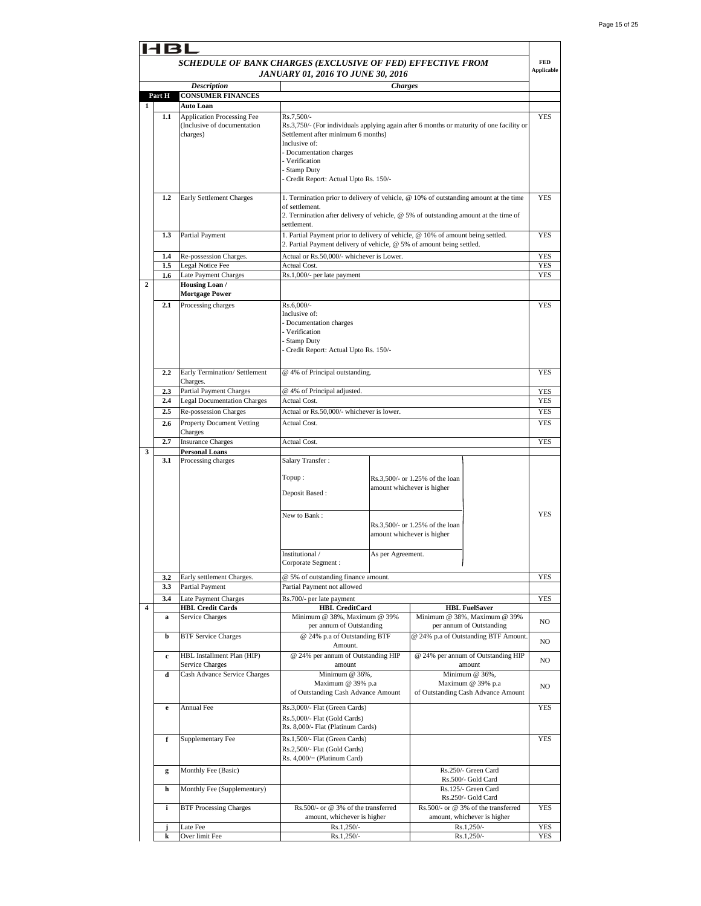| 181                     |                        |                                                                  |                                                                                                        |                                           |                                                                                      |                   |
|-------------------------|------------------------|------------------------------------------------------------------|--------------------------------------------------------------------------------------------------------|-------------------------------------------|--------------------------------------------------------------------------------------|-------------------|
|                         |                        | SCHEDULE OF BANK CHARGES (EXCLUSIVE OF FED) EFFECTIVE FROM       |                                                                                                        |                                           |                                                                                      | <b>FED</b>        |
|                         |                        |                                                                  | JANUARY 01, 2016 TO JUNE 30, 2016                                                                      |                                           |                                                                                      | <b>Applicable</b> |
|                         |                        | <b>Description</b>                                               |                                                                                                        | <b>Charges</b>                            |                                                                                      |                   |
|                         | Part H                 | <b>CONSUMER FINANCES</b>                                         |                                                                                                        |                                           |                                                                                      |                   |
| 1                       |                        | Auto Loan                                                        |                                                                                                        |                                           |                                                                                      |                   |
|                         | 1.1                    | <b>Application Processing Fee</b><br>(Inclusive of documentation | Rs.7.500/-<br>Rs.3,750/- (For individuals applying again after 6 months or maturity of one facility or |                                           | <b>YES</b>                                                                           |                   |
|                         |                        | charges)                                                         | Settlement after minimum 6 months)                                                                     |                                           |                                                                                      |                   |
|                         |                        |                                                                  | Inclusive of:                                                                                          |                                           |                                                                                      |                   |
|                         |                        |                                                                  | - Documentation charges<br>Verification                                                                |                                           |                                                                                      |                   |
|                         |                        |                                                                  | <b>Stamp Duty</b>                                                                                      |                                           |                                                                                      |                   |
|                         |                        |                                                                  | Credit Report: Actual Upto Rs. 150/-                                                                   |                                           |                                                                                      |                   |
|                         | 1.2                    | <b>Early Settlement Charges</b>                                  |                                                                                                        |                                           | 1. Termination prior to delivery of vehicle, @ 10% of outstanding amount at the time | <b>YES</b>        |
|                         |                        |                                                                  | of settlement.                                                                                         |                                           |                                                                                      |                   |
|                         |                        |                                                                  |                                                                                                        |                                           | 2. Termination after delivery of vehicle, @ 5% of outstanding amount at the time of  |                   |
|                         | Partial Payment<br>1.3 |                                                                  | settlement.<br>1. Partial Payment prior to delivery of vehicle, @ 10% of amount being settled.         |                                           | <b>YES</b>                                                                           |                   |
|                         |                        |                                                                  | 2. Partial Payment delivery of vehicle, @ 5% of amount being settled.                                  |                                           |                                                                                      |                   |
|                         | 1.4                    | Re-possession Charges.                                           |                                                                                                        | Actual or Rs.50,000/- whichever is Lower. |                                                                                      |                   |
|                         | 1.5                    | Legal Notice Fee                                                 | Actual Cost.                                                                                           |                                           |                                                                                      | YES<br>YES        |
|                         | 1.6                    | Late Payment Charges                                             | Rs.1,000/- per late payment                                                                            |                                           |                                                                                      | YES               |
| $\mathbf{2}$            |                        | Housing Loan /<br><b>Mortgage Power</b>                          |                                                                                                        |                                           |                                                                                      |                   |
|                         | 2.1                    | Processing charges                                               | Rs.6,000/-                                                                                             |                                           |                                                                                      | YES               |
|                         |                        |                                                                  | Inclusive of:                                                                                          |                                           |                                                                                      |                   |
|                         |                        |                                                                  | - Documentation charges                                                                                |                                           |                                                                                      |                   |
|                         |                        |                                                                  | - Verification<br>- Stamp Duty                                                                         |                                           |                                                                                      |                   |
|                         |                        |                                                                  | Credit Report: Actual Upto Rs. 150/-                                                                   |                                           |                                                                                      |                   |
|                         |                        |                                                                  |                                                                                                        |                                           |                                                                                      |                   |
|                         | 2.2                    | Early Termination/ Settlement                                    | @ 4% of Principal outstanding.                                                                         |                                           | <b>YES</b>                                                                           |                   |
|                         |                        | Charges.                                                         | @ 4% of Principal adjusted.                                                                            |                                           |                                                                                      |                   |
|                         | 2.3<br>2.4             | Partial Payment Charges<br><b>Legal Documentation Charges</b>    | Actual Cost.                                                                                           |                                           | YES<br>YES                                                                           |                   |
|                         | 2.5                    | Re-possession Charges                                            | Actual or Rs.50,000/- whichever is lower.                                                              |                                           |                                                                                      | YES               |
|                         | 2.6                    | <b>Property Document Vetting</b>                                 | Actual Cost.                                                                                           |                                           |                                                                                      | <b>YES</b>        |
|                         |                        | Charges                                                          |                                                                                                        |                                           |                                                                                      |                   |
|                         | 2.7                    | <b>Insurance Charges</b>                                         | Actual Cost.                                                                                           |                                           |                                                                                      | <b>YES</b>        |
| 3                       | 3.1                    | <b>Personal Loans</b><br>Processing charges                      | Salary Transfer:                                                                                       |                                           |                                                                                      |                   |
|                         |                        |                                                                  |                                                                                                        |                                           |                                                                                      |                   |
|                         |                        |                                                                  | Topup :                                                                                                |                                           | Rs.3,500/- or 1.25% of the loan                                                      |                   |
|                         |                        |                                                                  | Deposit Based:                                                                                         |                                           | amount whichever is higher                                                           |                   |
|                         |                        |                                                                  |                                                                                                        |                                           |                                                                                      |                   |
|                         |                        |                                                                  | New to Bank:                                                                                           |                                           |                                                                                      | <b>YES</b>        |
|                         |                        |                                                                  |                                                                                                        |                                           | Rs.3,500/- or 1.25% of the loan<br>amount whichever is higher                        |                   |
|                         |                        |                                                                  |                                                                                                        |                                           |                                                                                      |                   |
|                         |                        |                                                                  | Institutional /                                                                                        | As per Agreement.                         |                                                                                      |                   |
|                         |                        |                                                                  | Corporate Segment:                                                                                     |                                           |                                                                                      |                   |
|                         | 3.2                    | Early settlement Charges.                                        | @ 5% of outstanding finance amount.                                                                    |                                           |                                                                                      | YES               |
|                         | 3.3                    | Partial Payment                                                  | Partial Payment not allowed                                                                            |                                           |                                                                                      |                   |
| $\overline{\mathbf{4}}$ | 3.4                    | Late Payment Charges                                             | Rs.700/- per late payment                                                                              |                                           |                                                                                      | YES               |
|                         | a                      | <b>HBL Credit Cards</b><br>Service Charges                       | <b>HBL</b> CreditCard<br>Minimum @ 38%, Maximum @ 39%                                                  |                                           | <b>HBL FuelSaver</b><br>Minimum @ 38%, Maximum @ 39%                                 |                   |
|                         |                        |                                                                  | per annum of Outstanding                                                                               |                                           | per annum of Outstanding                                                             | NO                |
|                         | b                      | <b>BTF Service Charges</b>                                       | @ 24% p.a of Outstanding BTF                                                                           |                                           | @ 24% p.a of Outstanding BTF Amount.                                                 | NO                |
|                         |                        |                                                                  | Amount.                                                                                                |                                           | @ 24% per annum of Outstanding HIP                                                   |                   |
|                         | $\mathbf c$            | HBL Installment Plan (HIP)<br>Service Charges                    | @ 24% per annum of Outstanding HIP<br>amount                                                           |                                           | amount                                                                               | NO                |
|                         | d                      | Cash Advance Service Charges                                     | Minimum @ 36%,                                                                                         |                                           | Minimum @ 36%,                                                                       |                   |
|                         |                        |                                                                  | Maximum @ 39% p.a                                                                                      |                                           | Maximum @ 39% p.a                                                                    | NO                |
|                         |                        |                                                                  | of Outstanding Cash Advance Amount                                                                     |                                           | of Outstanding Cash Advance Amount                                                   |                   |
|                         | $\mathbf e$            | Annual Fee                                                       | Rs.3,000/- Flat (Green Cards)                                                                          |                                           |                                                                                      | YES               |
|                         |                        |                                                                  | Rs.5,000/- Flat (Gold Cards)                                                                           |                                           |                                                                                      |                   |
|                         | f                      | Supplementary Fee                                                | Rs. 8,000/- Flat (Platinum Cards)<br>Rs.1,500/- Flat (Green Cards)                                     |                                           |                                                                                      |                   |
|                         |                        |                                                                  | Rs.2,500/- Flat (Gold Cards)                                                                           |                                           |                                                                                      | YES               |
|                         |                        |                                                                  | Rs. 4,000/= (Platinum Card)                                                                            |                                           |                                                                                      |                   |
|                         | g                      | Monthly Fee (Basic)                                              |                                                                                                        |                                           | Rs.250/- Green Card                                                                  |                   |
|                         |                        |                                                                  |                                                                                                        |                                           | Rs.500/- Gold Card                                                                   |                   |
|                         | h                      | Monthly Fee (Supplementary)                                      |                                                                                                        |                                           | Rs.125/- Green Card<br>Rs.250/- Gold Card                                            |                   |
|                         | i                      | <b>BTF Processing Charges</b>                                    | Rs.500/- or @ 3% of the transferred                                                                    |                                           | Rs.500/- or @ 3% of the transferred                                                  | YES               |
|                         |                        |                                                                  | amount, whichever is higher                                                                            |                                           | amount, whichever is higher                                                          |                   |
|                         | j.                     | Late Fee                                                         | Rs.1,250/-                                                                                             |                                           | Rs.1,250/-                                                                           | YES               |
|                         | k                      | Over limit Fee                                                   | Rs.1,250/-                                                                                             |                                           | Rs.1,250/-                                                                           | YES               |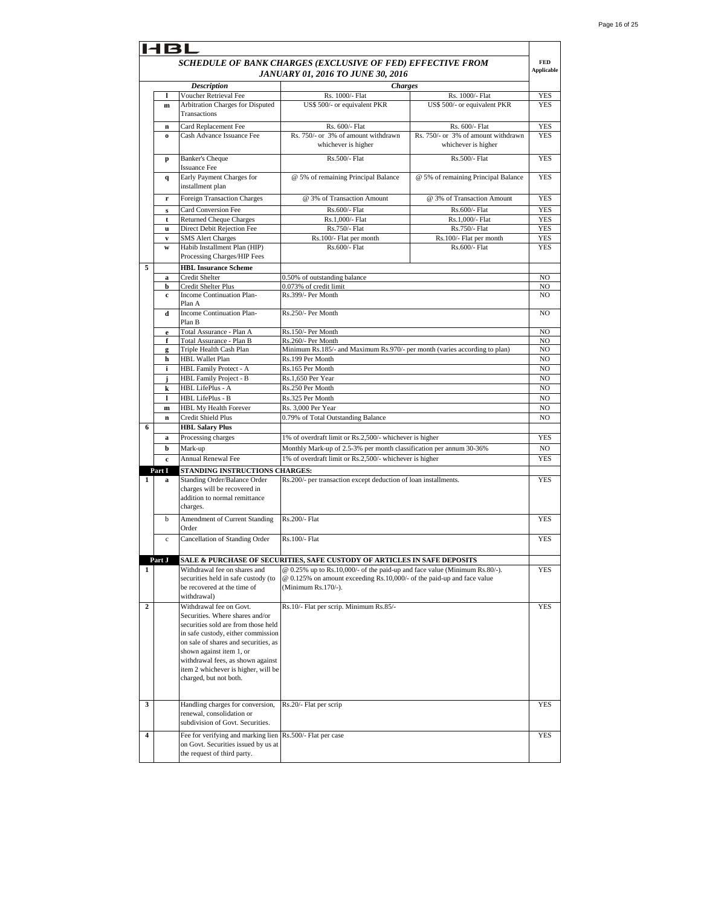|   | HBL                                                        |                                                                                                                   |                                                                                                                                                                             |                                                            |                |
|---|------------------------------------------------------------|-------------------------------------------------------------------------------------------------------------------|-----------------------------------------------------------------------------------------------------------------------------------------------------------------------------|------------------------------------------------------------|----------------|
|   | SCHEDULE OF BANK CHARGES (EXCLUSIVE OF FED) EFFECTIVE FROM |                                                                                                                   |                                                                                                                                                                             |                                                            |                |
|   | <b>Applicable</b><br>JANUARY 01, 2016 TO JUNE 30, 2016     |                                                                                                                   |                                                                                                                                                                             |                                                            |                |
|   |                                                            | <b>Description</b>                                                                                                | <b>Charges</b>                                                                                                                                                              |                                                            |                |
|   | 1                                                          | Voucher Retrieval Fee                                                                                             | Rs. 1000/- Flat                                                                                                                                                             | Rs. 1000/- Flat                                            | YES            |
|   | m                                                          | Arbitration Charges for Disputed<br>Transactions                                                                  | US\$ 500/- or equivalent PKR                                                                                                                                                | US\$ 500/- or equivalent PKR                               | <b>YES</b>     |
|   | $\mathbf n$                                                | Card Replacement Fee                                                                                              | Rs. 600/- Flat                                                                                                                                                              | Rs. 600/- Flat                                             | <b>YES</b>     |
|   | $\Omega$                                                   | Cash Advance Issuance Fee                                                                                         | Rs. 750/- or 3% of amount withdrawn<br>whichever is higher                                                                                                                  | Rs. 750/- or 3% of amount withdrawn<br>whichever is higher | <b>YES</b>     |
|   | p                                                          | <b>Banker's Cheque</b><br><b>Issuance Fee</b>                                                                     | Rs.500/- Flat                                                                                                                                                               | Rs.500/- Flat                                              | <b>YES</b>     |
|   | q                                                          | Early Payment Charges for<br>installment plan                                                                     | @ 5% of remaining Principal Balance                                                                                                                                         | @ 5% of remaining Principal Balance                        | <b>YES</b>     |
|   | r                                                          | Foreign Transaction Charges                                                                                       | @ 3% of Transaction Amount                                                                                                                                                  | @ 3% of Transaction Amount                                 | <b>YES</b>     |
|   | s                                                          | Card Conversion Fee                                                                                               | Rs.600/- Flat                                                                                                                                                               | Rs.600/- Flat                                              | <b>YES</b>     |
|   | t                                                          | <b>Returned Cheque Charges</b>                                                                                    | Rs.1,000/- Flat                                                                                                                                                             | Rs.1,000/- Flat                                            | YES            |
|   | $\mathbf{u}$                                               | Direct Debit Rejection Fee                                                                                        | Rs.750/- Flat                                                                                                                                                               | Rs.750/- Flat                                              | <b>YES</b>     |
|   | V                                                          | <b>SMS</b> Alert Charges                                                                                          | Rs.100/- Flat per month                                                                                                                                                     | Rs.100/- Flat per month                                    | <b>YES</b>     |
|   | W                                                          | Habib Installment Plan (HIP)<br>Processing Charges/HIP Fees                                                       | Rs.600/- Flat                                                                                                                                                               | Rs.600/- Flat                                              | <b>YES</b>     |
| 5 |                                                            | <b>HBL Insurance Scheme</b>                                                                                       |                                                                                                                                                                             |                                                            |                |
|   | a                                                          | Credit Shelter                                                                                                    | 0.50% of outstanding balance                                                                                                                                                |                                                            | NO             |
|   | b                                                          | Credit Shelter Plus<br>Income Continuation Plan-                                                                  | 0.073% of credit limit<br>Rs.399/- Per Month                                                                                                                                |                                                            | NO             |
|   | c.                                                         | Plan A                                                                                                            |                                                                                                                                                                             |                                                            | NO             |
|   | d                                                          | <b>Income Continuation Plan-</b><br>Plan B                                                                        | Rs.250/- Per Month                                                                                                                                                          |                                                            | N <sub>O</sub> |
|   | $\mathbf e$                                                | Total Assurance - Plan A                                                                                          | Rs.150/- Per Month                                                                                                                                                          |                                                            | N <sub>O</sub> |
|   | f                                                          | Total Assurance - Plan B                                                                                          | Rs.260/- Per Month                                                                                                                                                          |                                                            | NO             |
|   | g                                                          | Triple Health Cash Plan                                                                                           | Minimum Rs.185/- and Maximum Rs.970/- per month (varies according to plan)                                                                                                  |                                                            | NO             |
|   | h                                                          | <b>HBL Wallet Plan</b>                                                                                            | Rs.199 Per Month                                                                                                                                                            |                                                            | NO             |
|   | i                                                          | <b>HBL Family Protect - A</b>                                                                                     | Rs.165 Per Month                                                                                                                                                            |                                                            |                |
|   | j                                                          | HBL Family Project - B                                                                                            | Rs.1,650 Per Year                                                                                                                                                           |                                                            | NO             |
|   | k                                                          | HBL LifePlus - A                                                                                                  | Rs.250 Per Month                                                                                                                                                            |                                                            | NO             |
|   | $\mathbf{l}$                                               | HBL LifePlus - B                                                                                                  | Rs.325 Per Month                                                                                                                                                            |                                                            | NO             |
|   | $\mathbf m$                                                | HBL My Health Forever                                                                                             | Rs. 3,000 Per Year                                                                                                                                                          |                                                            | N <sub>O</sub> |
|   | $\mathbf n$                                                | Credit Shield Plus                                                                                                | 0.79% of Total Outstanding Balance                                                                                                                                          |                                                            | N <sub>O</sub> |
| 6 |                                                            | <b>HBL Salary Plus</b>                                                                                            |                                                                                                                                                                             |                                                            |                |
|   | a                                                          | Processing charges                                                                                                | 1% of overdraft limit or Rs.2,500/- whichever is higher                                                                                                                     |                                                            | <b>YES</b>     |
|   | b                                                          | Mark-up                                                                                                           | Monthly Mark-up of 2.5-3% per month classification per annum 30-36%                                                                                                         |                                                            | N <sub>O</sub> |
|   | $\mathbf c$                                                | <b>Annual Renewal Fee</b>                                                                                         | 1% of overdraft limit or Rs.2,500/- whichever is higher                                                                                                                     |                                                            | <b>YES</b>     |
|   | Part I                                                     | STANDING INSTRUCTIONS CHARGES:                                                                                    |                                                                                                                                                                             |                                                            |                |
| 1 | a                                                          | Standing Order/Balance Order<br>charges will be recovered in<br>addition to normal remittance<br>charges.         | Rs.200/- per transaction except deduction of loan installments.                                                                                                             |                                                            | <b>YES</b>     |
|   | b                                                          | Amendment of Current Standing<br>Order                                                                            | Rs.200/- Flat                                                                                                                                                               |                                                            | <b>YES</b>     |
|   | $\rm c$                                                    | Cancellation of Standing Order                                                                                    | Rs.100/- Flat                                                                                                                                                               |                                                            | <b>YES</b>     |
|   | Part J                                                     |                                                                                                                   | SALE & PURCHASE OF SECURITIES, SAFE CUSTODY OF ARTICLES IN SAFE DEPOSITS                                                                                                    |                                                            |                |
| 1 |                                                            | Withdrawal fee on shares and<br>securities held in safe custody (to<br>be recovered at the time of<br>withdrawal) | @ 0.25% up to Rs.10,000/- of the paid-up and face value (Minimum Rs.80/-).<br>@ 0.125% on amount exceeding Rs.10,000/- of the paid-up and face value<br>(Minimum Rs.170/-). |                                                            | YES            |
| 2 |                                                            | Withdrawal fee on Govt.                                                                                           | Rs.10/- Flat per scrip. Minimum Rs.85/-                                                                                                                                     |                                                            | <b>YES</b>     |
|   |                                                            | Securities. Where shares and/or                                                                                   |                                                                                                                                                                             |                                                            |                |
|   |                                                            | securities sold are from those held                                                                               |                                                                                                                                                                             |                                                            |                |
|   |                                                            | in safe custody, either commission                                                                                |                                                                                                                                                                             |                                                            |                |
|   |                                                            | on sale of shares and securities, as                                                                              |                                                                                                                                                                             |                                                            |                |
|   |                                                            | shown against item 1, or                                                                                          |                                                                                                                                                                             |                                                            |                |
|   |                                                            | withdrawal fees, as shown against                                                                                 |                                                                                                                                                                             |                                                            |                |
|   |                                                            | item 2 whichever is higher, will be<br>charged, but not both.                                                     |                                                                                                                                                                             |                                                            |                |
|   |                                                            |                                                                                                                   |                                                                                                                                                                             |                                                            |                |
|   |                                                            | Handling charges for conversion,                                                                                  | Rs.20/- Flat per scrip                                                                                                                                                      |                                                            | <b>YES</b>     |
| 3 |                                                            | renewal, consolidation or                                                                                         |                                                                                                                                                                             |                                                            |                |
|   |                                                            | subdivision of Govt. Securities.                                                                                  |                                                                                                                                                                             |                                                            |                |
| 4 |                                                            | Fee for verifying and marking lien<br>on Govt. Securities issued by us at<br>the request of third party.          | Rs.500/- Flat per case                                                                                                                                                      |                                                            | <b>YES</b>     |
|   |                                                            |                                                                                                                   |                                                                                                                                                                             |                                                            |                |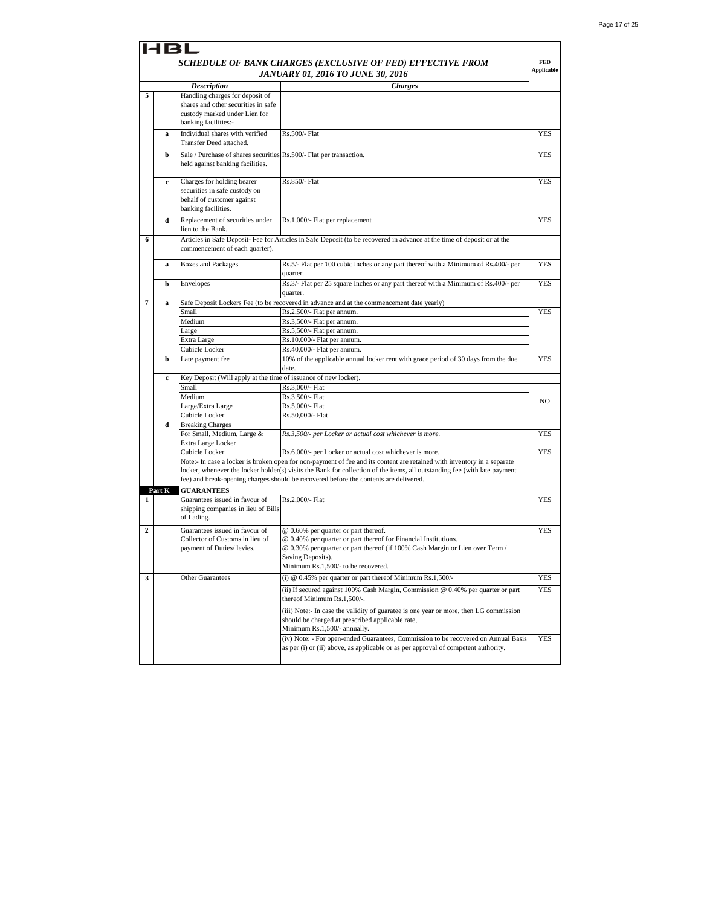|                | 4BL         |                                                                                                                                 |                                                                                                                                                                                                                                                      |                   |
|----------------|-------------|---------------------------------------------------------------------------------------------------------------------------------|------------------------------------------------------------------------------------------------------------------------------------------------------------------------------------------------------------------------------------------------------|-------------------|
|                |             |                                                                                                                                 | SCHEDULE OF BANK CHARGES (EXCLUSIVE OF FED) EFFECTIVE FROM                                                                                                                                                                                           | <b>FED</b>        |
|                |             |                                                                                                                                 | JANUARY 01, 2016 TO JUNE 30, 2016                                                                                                                                                                                                                    | <b>Applicable</b> |
|                |             | <b>Description</b>                                                                                                              | <b>Charges</b>                                                                                                                                                                                                                                       |                   |
| 5              |             | Handling charges for deposit of<br>shares and other securities in safe<br>custody marked under Lien for<br>banking facilities:- |                                                                                                                                                                                                                                                      |                   |
|                | a           | Individual shares with verified<br>Transfer Deed attached.                                                                      | Rs.500/- Flat                                                                                                                                                                                                                                        | <b>YES</b>        |
|                | b           | Sale / Purchase of shares securities Rs.500/- Flat per transaction.<br>held against banking facilities.                         |                                                                                                                                                                                                                                                      | <b>YES</b>        |
|                | c           | Charges for holding bearer<br>securities in safe custody on<br>behalf of customer against<br>banking facilities.                | Rs.850/- Flat                                                                                                                                                                                                                                        | YES               |
|                | d           | Replacement of securities under<br>lien to the Bank.                                                                            | Rs.1,000/- Flat per replacement                                                                                                                                                                                                                      | <b>YES</b>        |
| 6              |             | commencement of each quarter).                                                                                                  | Articles in Safe Deposit-Fee for Articles in Safe Deposit (to be recovered in advance at the time of deposit or at the                                                                                                                               |                   |
|                | a           | <b>Boxes and Packages</b>                                                                                                       | Rs.5/- Flat per 100 cubic inches or any part thereof with a Minimum of Rs.400/- per<br>quarter.                                                                                                                                                      | YES               |
|                | b           | Envelopes                                                                                                                       | Rs.3/- Flat per 25 square Inches or any part thereof with a Minimum of Rs.400/- per<br>quarter.                                                                                                                                                      | <b>YES</b>        |
| 7              | a           |                                                                                                                                 | Safe Deposit Lockers Fee (to be recovered in advance and at the commencement date yearly)                                                                                                                                                            |                   |
|                |             | Small                                                                                                                           | Rs.2,500/- Flat per annum.                                                                                                                                                                                                                           | YES               |
|                |             | Medium                                                                                                                          | Rs.3,500/- Flat per annum.                                                                                                                                                                                                                           |                   |
|                |             | Large                                                                                                                           | Rs.5,500/- Flat per annum.                                                                                                                                                                                                                           |                   |
|                |             | Extra Large                                                                                                                     | Rs.10,000/- Flat per annum.                                                                                                                                                                                                                          |                   |
|                |             | Cubicle Locker                                                                                                                  | Rs.40,000/- Flat per annum.                                                                                                                                                                                                                          |                   |
|                | b           | Late payment fee                                                                                                                | 10% of the applicable annual locker rent with grace period of 30 days from the due<br>date.                                                                                                                                                          | <b>YES</b>        |
|                | $\mathbf c$ | Key Deposit (Will apply at the time of issuance of new locker).                                                                 |                                                                                                                                                                                                                                                      |                   |
|                |             | Small                                                                                                                           | Rs.3,000/- Flat                                                                                                                                                                                                                                      |                   |
|                |             | Medium                                                                                                                          | Rs.3,500/- Flat                                                                                                                                                                                                                                      | NO                |
|                |             | Large/Extra Large                                                                                                               | Rs.5,000/- Flat                                                                                                                                                                                                                                      |                   |
|                |             | Cubicle Locker                                                                                                                  | Rs.50,000/- Flat                                                                                                                                                                                                                                     |                   |
|                | d           | <b>Breaking Charges</b>                                                                                                         |                                                                                                                                                                                                                                                      |                   |
|                |             | For Small, Medium, Large &                                                                                                      | Rs.3,500/- per Locker or actual cost whichever is more.                                                                                                                                                                                              | <b>YES</b>        |
|                |             | Extra Large Locker                                                                                                              |                                                                                                                                                                                                                                                      |                   |
|                |             | Cubicle Locker                                                                                                                  | Rs.6,000/- per Locker or actual cost whichever is more.                                                                                                                                                                                              | <b>YES</b>        |
|                |             |                                                                                                                                 | Note:- In case a locker is broken open for non-payment of fee and its content are retained with inventory in a separate<br>locker, whenever the locker holder(s) visits the Bank for collection of the items, all outstanding fee (with late payment |                   |
|                |             |                                                                                                                                 | fee) and break-opening charges should be recovered before the contents are delivered.                                                                                                                                                                |                   |
|                | Part K      | <b>GUARANTEES</b>                                                                                                               |                                                                                                                                                                                                                                                      |                   |
| 1              |             | Guarantees issued in favour of                                                                                                  | Rs.2.000/- Flat                                                                                                                                                                                                                                      | <b>YES</b>        |
|                |             | shipping companies in lieu of Bills<br>of Lading.                                                                               |                                                                                                                                                                                                                                                      |                   |
| $\overline{a}$ |             | Guarantees issued in favour of                                                                                                  | @ 0.60% per quarter or part thereof.                                                                                                                                                                                                                 | <b>YES</b>        |
|                |             | Collector of Customs in lieu of<br>payment of Duties/ levies.                                                                   | @ 0.40% per quarter or part thereof for Financial Institutions.<br>@ 0.30% per quarter or part thereof (if 100% Cash Margin or Lien over Term /<br>Saving Deposits).<br>Minimum Rs.1,500/- to be recovered.                                          |                   |
| 3              |             | Other Guarantees                                                                                                                | (i) $@$ 0.45% per quarter or part thereof Minimum Rs.1,500/-                                                                                                                                                                                         | YES               |
|                |             |                                                                                                                                 | (ii) If secured against 100% Cash Margin, Commission @ 0.40% per quarter or part<br>thereof Minimum Rs.1,500/-.                                                                                                                                      | YES               |
|                |             |                                                                                                                                 | (iii) Note:- In case the validity of guaratee is one year or more, then LG commission<br>should be charged at prescribed applicable rate,<br>Minimum Rs.1,500/- annually.                                                                            |                   |
|                |             |                                                                                                                                 | (iv) Note: - For open-ended Guarantees, Commission to be recovered on Annual Basis<br>as per (i) or (ii) above, as applicable or as per approval of competent authority.                                                                             | YES               |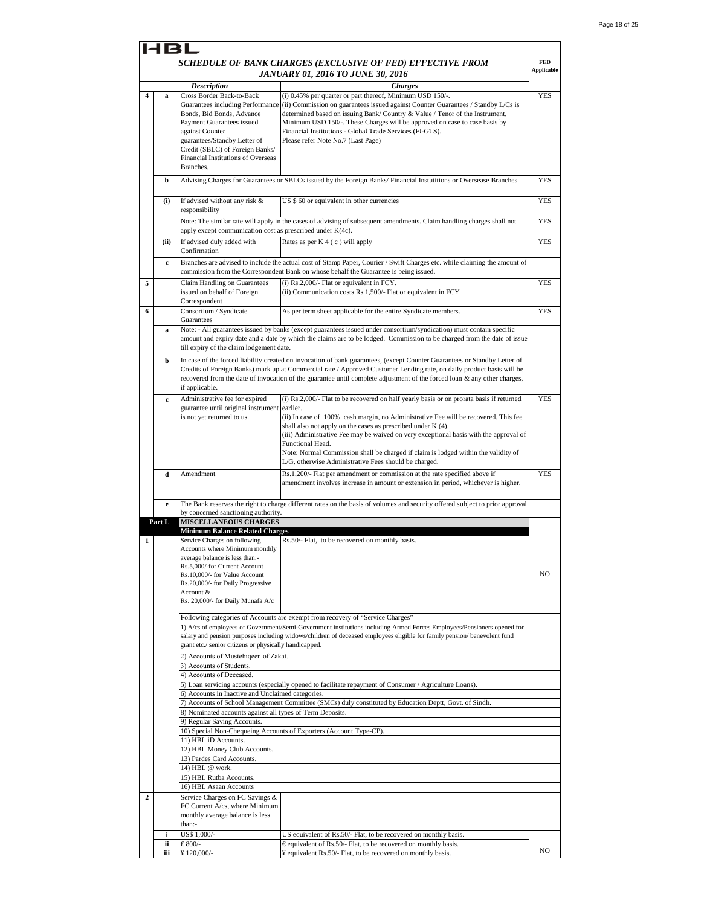|                | 131         |                                                                                                                                                                                                                                                                  |                                                                                                                                                                                                                                                                                                                                                                                                                                                                                                             |                          |
|----------------|-------------|------------------------------------------------------------------------------------------------------------------------------------------------------------------------------------------------------------------------------------------------------------------|-------------------------------------------------------------------------------------------------------------------------------------------------------------------------------------------------------------------------------------------------------------------------------------------------------------------------------------------------------------------------------------------------------------------------------------------------------------------------------------------------------------|--------------------------|
|                |             |                                                                                                                                                                                                                                                                  | SCHEDULE OF BANK CHARGES (EXCLUSIVE OF FED) EFFECTIVE FROM<br>JANUARY 01, 2016 TO JUNE 30, 2016                                                                                                                                                                                                                                                                                                                                                                                                             | <b>FED</b><br>Applicable |
|                |             | <b>Description</b>                                                                                                                                                                                                                                               | <b>Charges</b>                                                                                                                                                                                                                                                                                                                                                                                                                                                                                              |                          |
| 4              | a           | Cross Border Back-to-Back<br>Guarantees including Performance<br>Bonds, Bid Bonds, Advance<br>Payment Guarantees issued<br>against Counter<br>guarantees/Standby Letter of<br>Credit (SBLC) of Foreign Banks/<br>Financial Institutions of Overseas<br>Branches. | (i) 0.45% per quarter or part thereof, Minimum USD 150/-.<br>(ii) Commission on guarantees issued against Counter Guarantees / Standby L/Cs is<br>determined based on issuing Bank/Country & Value / Tenor of the Instrument,<br>Minimum USD 150/-. These Charges will be approved on case to case basis by<br>Financial Institutions - Global Trade Services (FI-GTS).<br>Please refer Note No.7 (Last Page)                                                                                               | <b>YES</b>               |
|                | b           |                                                                                                                                                                                                                                                                  | Advising Charges for Guarantees or SBLCs issued by the Foreign Banks/ Financial Instutitions or Oversease Branches                                                                                                                                                                                                                                                                                                                                                                                          | <b>YES</b>               |
|                | (i)         | If advised without any risk &<br>responsibility                                                                                                                                                                                                                  | US \$ 60 or equivalent in other currencies                                                                                                                                                                                                                                                                                                                                                                                                                                                                  | YES                      |
|                |             | apply except communication cost as prescribed under K(4c).                                                                                                                                                                                                       | Note: The similar rate will apply in the cases of advising of subsequent amendments. Claim handling charges shall not                                                                                                                                                                                                                                                                                                                                                                                       | YES                      |
|                | (ii)        | If advised duly added with<br>Confirmation                                                                                                                                                                                                                       | Rates as per K 4 (c) will apply                                                                                                                                                                                                                                                                                                                                                                                                                                                                             | <b>YES</b>               |
|                | $\mathbf c$ |                                                                                                                                                                                                                                                                  | Branches are advised to include the actual cost of Stamp Paper, Courier / Swift Charges etc. while claiming the amount of<br>commission from the Correspondent Bank on whose behalf the Guarantee is being issued.                                                                                                                                                                                                                                                                                          |                          |
| 5              |             | Claim Handling on Guarantees<br>issued on behalf of Foreign<br>Correspondent                                                                                                                                                                                     | (i) Rs.2,000/- Flat or equivalent in FCY.<br>(ii) Communication costs Rs.1,500/- Flat or equivalent in FCY                                                                                                                                                                                                                                                                                                                                                                                                  | <b>YES</b>               |
| 6              |             | Consortium / Syndicate<br>Guarantees                                                                                                                                                                                                                             | As per term sheet applicable for the entire Syndicate members.                                                                                                                                                                                                                                                                                                                                                                                                                                              | <b>YES</b>               |
|                | a           | till expiry of the claim lodgement date.                                                                                                                                                                                                                         | Note: - All guarantees issued by banks (except guarantees issued under consortium/syndication) must contain specific<br>amount and expiry date and a date by which the claims are to be lodged. Commission to be charged from the date of issue                                                                                                                                                                                                                                                             |                          |
|                | b           | if applicable.                                                                                                                                                                                                                                                   | In case of the forced liability created on invocation of bank guarantees, (except Counter Guarantees or Standby Letter of<br>Credits of Foreign Banks) mark up at Commercial rate / Approved Customer Lending rate, on daily product basis will be<br>recovered from the date of invocation of the guarantee until complete adjustment of the forced loan & any other charges,                                                                                                                              |                          |
|                | c           | Administrative fee for expired<br>guarantee until original instrument earlier.<br>is not yet returned to us.                                                                                                                                                     | (i) Rs.2,000/- Flat to be recovered on half yearly basis or on prorata basis if returned<br>(ii) In case of 100% cash margin, no Administrative Fee will be recovered. This fee<br>shall also not apply on the cases as prescribed under K (4).<br>(iii) Administrative Fee may be waived on very exceptional basis with the approval of<br>Functional Head.<br>Note: Normal Commission shall be charged if claim is lodged within the validity of<br>L/G, otherwise Administrative Fees should be charged. | <b>YES</b>               |
|                | d           | Amendment                                                                                                                                                                                                                                                        | Rs.1,200/- Flat per amendment or commission at the rate specified above if<br>amendment involves increase in amount or extension in period, whichever is higher.                                                                                                                                                                                                                                                                                                                                            | <b>YES</b>               |
|                | e           | by concerned sanctioning authority.                                                                                                                                                                                                                              | The Bank reserves the right to charge different rates on the basis of volumes and security offered subject to prior approval                                                                                                                                                                                                                                                                                                                                                                                |                          |
|                | Part L      | <b>MISCELLANEOUS CHARGES</b>                                                                                                                                                                                                                                     |                                                                                                                                                                                                                                                                                                                                                                                                                                                                                                             |                          |
|                |             | <b>Minimum Balance Related Charges</b>                                                                                                                                                                                                                           |                                                                                                                                                                                                                                                                                                                                                                                                                                                                                                             |                          |
| 1              |             | Service Charges on following<br>Accounts where Minimum monthly<br>average balance is less than:-<br>Rs.5,000/-for Current Account<br>Rs.10,000/- for Value Account<br>Rs.20,000/- for Daily Progressive<br>Account &<br>Rs. 20,000/- for Daily Munafa A/c        | Rs.50/- Flat, to be recovered on monthly basis.                                                                                                                                                                                                                                                                                                                                                                                                                                                             | NO.                      |
|                |             |                                                                                                                                                                                                                                                                  | Following categories of Accounts are exempt from recovery of "Service Charges"                                                                                                                                                                                                                                                                                                                                                                                                                              |                          |
|                |             | grant etc./ senior citizens or physically handicapped.                                                                                                                                                                                                           | 1) A/cs of employees of Government/Semi-Government institutions including Armed Forces Employees/Pensioners opened for<br>salary and pension purposes including widows/children of deceased employees eligible for family pension/benevolent fund                                                                                                                                                                                                                                                           |                          |
|                |             | 2) Accounts of Mustehigeen of Zakat.<br>3) Accounts of Students.                                                                                                                                                                                                 |                                                                                                                                                                                                                                                                                                                                                                                                                                                                                                             |                          |
|                |             | 4) Accounts of Deceased.                                                                                                                                                                                                                                         |                                                                                                                                                                                                                                                                                                                                                                                                                                                                                                             |                          |
|                |             | 6) Accounts in Inactive and Unclaimed categories.                                                                                                                                                                                                                | 5) Loan servicing accounts (especially opened to facilitate repayment of Consumer / Agriculture Loans).                                                                                                                                                                                                                                                                                                                                                                                                     |                          |
|                |             | 8) Nominated accounts against all types of Term Deposits.<br>9) Regular Saving Accounts.                                                                                                                                                                         | 7) Accounts of School Management Committee (SMCs) duly constituted by Education Deptt, Govt. of Sindh.                                                                                                                                                                                                                                                                                                                                                                                                      |                          |
|                |             |                                                                                                                                                                                                                                                                  | 10) Special Non-Chequeing Accounts of Exporters (Account Type-CP).                                                                                                                                                                                                                                                                                                                                                                                                                                          |                          |
|                |             | 11) HBL iD Accounts.                                                                                                                                                                                                                                             |                                                                                                                                                                                                                                                                                                                                                                                                                                                                                                             |                          |
|                |             | 12) HBL Money Club Accounts.<br>13) Pardes Card Accounts.                                                                                                                                                                                                        |                                                                                                                                                                                                                                                                                                                                                                                                                                                                                                             |                          |
|                |             | 14) HBL @ work.                                                                                                                                                                                                                                                  |                                                                                                                                                                                                                                                                                                                                                                                                                                                                                                             |                          |
|                |             | 15) HBL Rutba Accounts.                                                                                                                                                                                                                                          |                                                                                                                                                                                                                                                                                                                                                                                                                                                                                                             |                          |
| $\overline{2}$ |             | 16) HBL Asaan Accounts<br>Service Charges on FC Savings &                                                                                                                                                                                                        |                                                                                                                                                                                                                                                                                                                                                                                                                                                                                                             |                          |
|                |             | FC Current A/cs, where Minimum<br>monthly average balance is less<br>than:-                                                                                                                                                                                      |                                                                                                                                                                                                                                                                                                                                                                                                                                                                                                             |                          |
|                | i           | US\$ 1,000/-                                                                                                                                                                                                                                                     | US equivalent of Rs.50/- Flat, to be recovered on monthly basis.                                                                                                                                                                                                                                                                                                                                                                                                                                            |                          |
|                | ii          | €800/-                                                                                                                                                                                                                                                           | €equivalent of Rs.50/- Flat, to be recovered on monthly basis.                                                                                                                                                                                                                                                                                                                                                                                                                                              | NO                       |
|                | iii         | ¥120,000/-                                                                                                                                                                                                                                                       | ¥ equivalent Rs.50/- Flat, to be recovered on monthly basis.                                                                                                                                                                                                                                                                                                                                                                                                                                                |                          |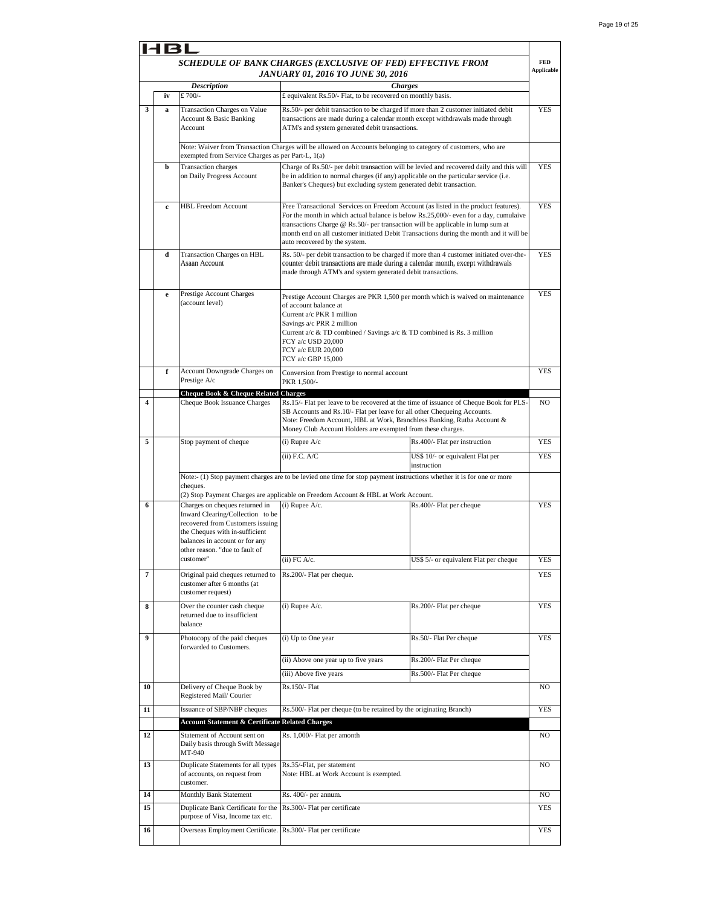|                | 131         |                                                                                                                                                                                                              |                                                                                                                                                                                                                                                                                                                                                                                           |                                                 |                                 |
|----------------|-------------|--------------------------------------------------------------------------------------------------------------------------------------------------------------------------------------------------------------|-------------------------------------------------------------------------------------------------------------------------------------------------------------------------------------------------------------------------------------------------------------------------------------------------------------------------------------------------------------------------------------------|-------------------------------------------------|---------------------------------|
|                |             |                                                                                                                                                                                                              | SCHEDULE OF BANK CHARGES (EXCLUSIVE OF FED) EFFECTIVE FROM<br>JANUARY 01, 2016 TO JUNE 30, 2016                                                                                                                                                                                                                                                                                           |                                                 | <b>FED</b><br><b>Applicable</b> |
|                |             | <b>Description</b>                                                                                                                                                                                           | <b>Charges</b>                                                                                                                                                                                                                                                                                                                                                                            |                                                 |                                 |
|                | iv          | £ 700/-                                                                                                                                                                                                      | £ equivalent Rs.50/- Flat, to be recovered on monthly basis.                                                                                                                                                                                                                                                                                                                              |                                                 |                                 |
| 3              | a           | Transaction Charges on Value<br>Account & Basic Banking<br>Account                                                                                                                                           | Rs.50/- per debit transaction to be charged if more than 2 customer initiated debit<br>transactions are made during a calendar month except withdrawals made through<br>ATM's and system generated debit transactions.                                                                                                                                                                    |                                                 | YES                             |
|                |             | Note: Waiver from Transaction Charges will be allowed on Accounts belonging to category of customers, who are<br>exempted from Service Charges as per Part-L, 1(a)                                           |                                                                                                                                                                                                                                                                                                                                                                                           |                                                 |                                 |
|                | b           | <b>Transaction</b> charges<br>on Daily Progress Account                                                                                                                                                      | Charge of Rs.50/- per debit transaction will be levied and recovered daily and this will<br>be in addition to normal charges (if any) applicable on the particular service (i.e.<br>Banker's Cheques) but excluding system generated debit transaction.                                                                                                                                   |                                                 | <b>YES</b>                      |
|                | $\mathbf c$ | <b>HBL Freedom Account</b>                                                                                                                                                                                   | Free Transactional Services on Freedom Account (as listed in the product features).<br>For the month in which actual balance is below Rs.25,000/- even for a day, cumulaive<br>transactions Charge @ Rs.50/- per transaction will be applicable in lump sum at<br>month end on all customer initiated Debit Transactions during the month and it will be<br>auto recovered by the system. |                                                 | <b>YES</b>                      |
|                | d           | Transaction Charges on HBL<br>Asaan Account                                                                                                                                                                  | Rs. 50/- per debit transaction to be charged if more than 4 customer initiated over-the-<br>counter debit transactions are made during a calendar month, except withdrawals<br>made through ATM's and system generated debit transactions.                                                                                                                                                |                                                 | <b>YES</b>                      |
|                | $\mathbf e$ | Prestige Account Charges<br>(account level)                                                                                                                                                                  | Prestige Account Charges are PKR 1,500 per month which is waived on maintenance<br>of account balance at<br>Current a/c PKR 1 million<br>Savings a/c PRR 2 million<br>Current a/c & TD combined / Savings a/c & TD combined is Rs. 3 million<br>FCY a/c USD 20,000<br>FCY a/c EUR 20,000<br>FCY a/c GBP 15,000                                                                            |                                                 | <b>YES</b>                      |
|                | f           | Account Downgrade Charges on<br>Prestige A/c                                                                                                                                                                 | Conversion from Prestige to normal account<br>PKR 1,500/-                                                                                                                                                                                                                                                                                                                                 |                                                 | <b>YES</b>                      |
|                |             | Cheque Book & Cheque Related Charges                                                                                                                                                                         |                                                                                                                                                                                                                                                                                                                                                                                           |                                                 |                                 |
| 4              |             | Cheque Book Issuance Charges                                                                                                                                                                                 | Rs.15/- Flat per leave to be recovered at the time of issuance of Cheque Book for PLS-<br>SB Accounts and Rs.10/- Flat per leave for all other Chequeing Accounts.<br>Note: Freedom Account, HBL at Work, Branchless Banking, Rutba Account &<br>Money Club Account Holders are exempted from these charges.                                                                              |                                                 | NO                              |
| 5              |             | Stop payment of cheque                                                                                                                                                                                       | $(i)$ Rupee $A/c$                                                                                                                                                                                                                                                                                                                                                                         | Rs.400/- Flat per instruction                   | <b>YES</b>                      |
|                |             |                                                                                                                                                                                                              | (ii) F.C. A/C                                                                                                                                                                                                                                                                                                                                                                             | US\$ 10/- or equivalent Flat per<br>instruction | <b>YES</b>                      |
|                |             | cheques.                                                                                                                                                                                                     | Note:- (1) Stop payment charges are to be levied one time for stop payment instructions whether it is for one or more<br>(2) Stop Payment Charges are applicable on Freedom Account & HBL at Work Account.                                                                                                                                                                                |                                                 |                                 |
| 6              |             | Charges on cheques returned in<br>Inward Clearing/Collection to be<br>recovered from Customers issuing<br>the Cheques with in-sufficient<br>balances in account or for any<br>other reason. "due to fault of | $(i)$ Rupee A/c.                                                                                                                                                                                                                                                                                                                                                                          | Rs.400/- Flat per cheque                        | <b>YES</b>                      |
|                |             | customer"                                                                                                                                                                                                    | $(ii)$ FC A/c.                                                                                                                                                                                                                                                                                                                                                                            | US\$ 5/- or equivalent Flat per cheque          | YES                             |
| $\overline{7}$ |             | Original paid cheques returned to<br>customer after 6 months (at<br>customer request)                                                                                                                        | Rs.200/- Flat per cheque.                                                                                                                                                                                                                                                                                                                                                                 |                                                 | <b>YES</b>                      |
| 8              |             | Over the counter cash cheque<br>returned due to insufficient<br>balance                                                                                                                                      | (i) Rupee A/c.                                                                                                                                                                                                                                                                                                                                                                            | Rs.200/- Flat per cheque                        | <b>YES</b>                      |
| 9              |             | Photocopy of the paid cheques                                                                                                                                                                                | (i) Up to One year                                                                                                                                                                                                                                                                                                                                                                        | Rs.50/- Flat Per cheque                         | YES                             |
|                |             | forwarded to Customers.                                                                                                                                                                                      | (ii) Above one year up to five years                                                                                                                                                                                                                                                                                                                                                      | Rs.200/- Flat Per cheque                        |                                 |
|                |             |                                                                                                                                                                                                              | (iii) Above five years                                                                                                                                                                                                                                                                                                                                                                    | Rs.500/- Flat Per cheque                        |                                 |
| 10             |             | Delivery of Cheque Book by<br>Registered Mail/Courier                                                                                                                                                        | Rs.150/- Flat                                                                                                                                                                                                                                                                                                                                                                             |                                                 | NO                              |
| 11             |             | Issuance of SBP/NBP cheques                                                                                                                                                                                  | Rs.500/- Flat per cheque (to be retained by the originating Branch)                                                                                                                                                                                                                                                                                                                       |                                                 | YES                             |
|                |             | <b>Account Statement &amp; Certificate Related Charges</b>                                                                                                                                                   |                                                                                                                                                                                                                                                                                                                                                                                           |                                                 |                                 |
| 12             |             | Statement of Account sent on<br>Daily basis through Swift Message<br>MT-940                                                                                                                                  | Rs. 1,000/- Flat per amonth                                                                                                                                                                                                                                                                                                                                                               |                                                 | NO                              |
| 13             |             | Duplicate Statements for all types<br>of accounts, on request from<br>customer.                                                                                                                              | Rs.35/-Flat, per statement<br>Note: HBL at Work Account is exempted.                                                                                                                                                                                                                                                                                                                      |                                                 | NO                              |
| 14             |             | Monthly Bank Statement                                                                                                                                                                                       | Rs. 400/- per annum.                                                                                                                                                                                                                                                                                                                                                                      |                                                 | NO                              |
| 15             |             | Duplicate Bank Certificate for the<br>purpose of Visa, Income tax etc.                                                                                                                                       | Rs.300/- Flat per certificate                                                                                                                                                                                                                                                                                                                                                             |                                                 | YES                             |
| 16             |             | Overseas Employment Certificate. Rs.300/- Flat per certificate                                                                                                                                               |                                                                                                                                                                                                                                                                                                                                                                                           |                                                 | YES                             |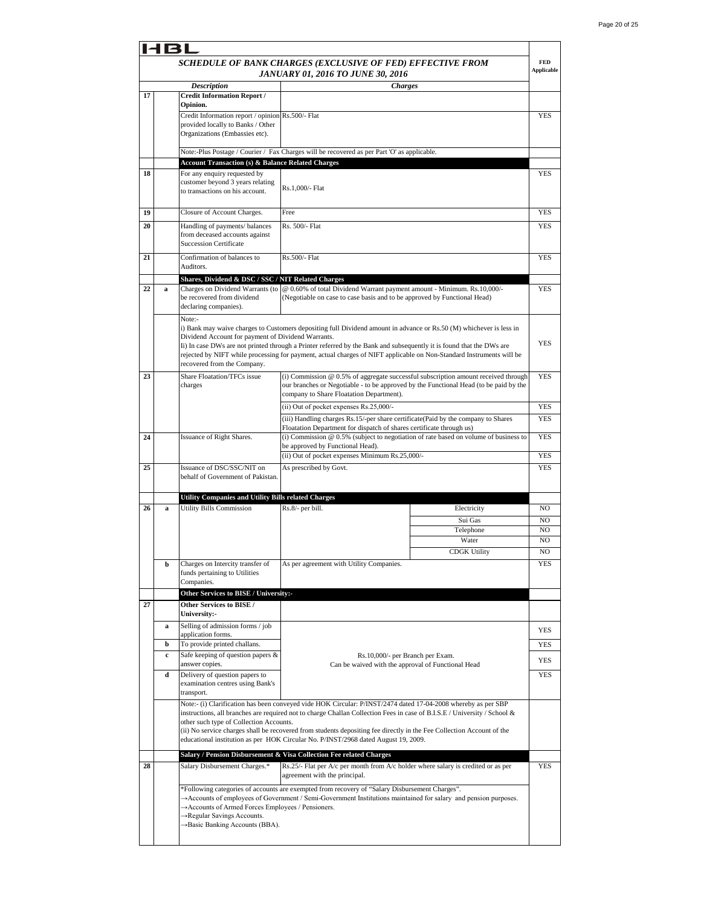|    | 181 |                                                                                        |                                                                                                                                                                                                                                |                                                                          |                                 |  |
|----|-----|----------------------------------------------------------------------------------------|--------------------------------------------------------------------------------------------------------------------------------------------------------------------------------------------------------------------------------|--------------------------------------------------------------------------|---------------------------------|--|
|    |     |                                                                                        | SCHEDULE OF BANK CHARGES (EXCLUSIVE OF FED) EFFECTIVE FROM<br>JANUARY 01, 2016 TO JUNE 30, 2016                                                                                                                                |                                                                          | <b>FED</b><br><b>Applicable</b> |  |
|    |     | <b>Description</b>                                                                     | <b>Charges</b>                                                                                                                                                                                                                 |                                                                          |                                 |  |
| 17 |     | <b>Credit Information Report /</b>                                                     |                                                                                                                                                                                                                                |                                                                          |                                 |  |
|    |     | Opinion.                                                                               |                                                                                                                                                                                                                                |                                                                          |                                 |  |
|    |     | Credit Information report / opinion Rs.500/- Flat<br>provided locally to Banks / Other |                                                                                                                                                                                                                                |                                                                          | <b>YES</b>                      |  |
|    |     | Organizations (Embassies etc).                                                         |                                                                                                                                                                                                                                |                                                                          |                                 |  |
|    |     |                                                                                        |                                                                                                                                                                                                                                |                                                                          |                                 |  |
|    |     |                                                                                        | Note:-Plus Postage / Courier / Fax Charges will be recovered as per Part 'O' as applicable.                                                                                                                                    |                                                                          |                                 |  |
|    |     | <b>Account Transaction (s) &amp; Balance Related Charges</b>                           |                                                                                                                                                                                                                                |                                                                          |                                 |  |
| 18 |     | For any enquiry requested by<br>customer beyond 3 years relating                       |                                                                                                                                                                                                                                |                                                                          | YES                             |  |
|    |     | to transactions on his account.                                                        | Rs.1,000/- Flat                                                                                                                                                                                                                |                                                                          |                                 |  |
|    |     |                                                                                        |                                                                                                                                                                                                                                |                                                                          |                                 |  |
| 19 |     | Closure of Account Charges.                                                            | Free                                                                                                                                                                                                                           |                                                                          | YES                             |  |
| 20 |     | Handling of payments/ balances                                                         | Rs. 500/- Flat                                                                                                                                                                                                                 |                                                                          | <b>YES</b>                      |  |
|    |     | from deceased accounts against                                                         |                                                                                                                                                                                                                                |                                                                          |                                 |  |
|    |     | <b>Succession Certificate</b>                                                          |                                                                                                                                                                                                                                |                                                                          |                                 |  |
| 21 |     | Confirmation of balances to                                                            | Rs.500/- Flat                                                                                                                                                                                                                  |                                                                          | <b>YES</b>                      |  |
|    |     | Auditors.                                                                              |                                                                                                                                                                                                                                |                                                                          |                                 |  |
|    |     | Shares, Dividend & DSC / SSC / NIT Related Charges                                     |                                                                                                                                                                                                                                |                                                                          |                                 |  |
| 22 | a   | Charges on Dividend Warrants (to                                                       | @ 0.60% of total Dividend Warrant payment amount - Minimum. Rs.10,000/-                                                                                                                                                        |                                                                          | YES                             |  |
|    |     | be recovered from dividend<br>declaring companies).                                    |                                                                                                                                                                                                                                | (Negotiable on case to case basis and to be approved by Functional Head) |                                 |  |
|    |     | Note:-                                                                                 |                                                                                                                                                                                                                                |                                                                          |                                 |  |
|    |     |                                                                                        | i) Bank may waive charges to Customers depositing full Dividend amount in advance or Rs.50 (M) whichever is less in                                                                                                            |                                                                          |                                 |  |
|    |     | Dividend Account for payment of Dividend Warrants.                                     |                                                                                                                                                                                                                                |                                                                          |                                 |  |
|    |     |                                                                                        | Ii) In case DWs are not printed through a Printer referred by the Bank and subsequently it is found that the DWs are                                                                                                           |                                                                          | <b>YES</b>                      |  |
|    |     | recovered from the Company.                                                            | rejected by NIFT while processing for payment, actual charges of NIFT applicable on Non-Standard Instruments will be                                                                                                           |                                                                          |                                 |  |
|    |     |                                                                                        |                                                                                                                                                                                                                                |                                                                          |                                 |  |
| 23 |     | Share Floatation/TFCs issue<br>charges                                                 | (i) Commission @ 0.5% of aggregate successful subscription amount received through<br>our branches or Negotiable - to be approved by the Functional Head (to be paid by the                                                    |                                                                          | YES                             |  |
|    |     |                                                                                        | company to Share Floatation Department).                                                                                                                                                                                       |                                                                          |                                 |  |
|    |     |                                                                                        | (ii) Out of pocket expenses Rs.25,000/-                                                                                                                                                                                        |                                                                          | YES                             |  |
|    |     |                                                                                        | (iii) Handling charges Rs.15/-per share certificate(Paid by the company to Shares                                                                                                                                              |                                                                          | YES                             |  |
|    |     |                                                                                        | Floatation Department for dispatch of shares certificate through us)                                                                                                                                                           |                                                                          |                                 |  |
| 24 |     | Issuance of Right Shares.                                                              | (i) Commission @ 0.5% (subject to negotiation of rate based on volume of business to                                                                                                                                           |                                                                          | YES                             |  |
|    |     |                                                                                        | be approved by Functional Head).                                                                                                                                                                                               |                                                                          | <b>YES</b>                      |  |
|    |     |                                                                                        | (ii) Out of pocket expenses Minimum Rs.25,000/-                                                                                                                                                                                |                                                                          |                                 |  |
| 25 |     | Issuance of DSC/SSC/NIT on<br>behalf of Government of Pakistan.                        | As prescribed by Govt.                                                                                                                                                                                                         |                                                                          | <b>YES</b>                      |  |
|    |     |                                                                                        |                                                                                                                                                                                                                                |                                                                          |                                 |  |
|    |     | <b>Utility Companies and Utility Bills related Charges</b>                             |                                                                                                                                                                                                                                |                                                                          |                                 |  |
| 26 | a   | <b>Utility Bills Commission</b>                                                        | Rs.8/- per bill.                                                                                                                                                                                                               | Electricity                                                              | N <sub>O</sub>                  |  |
|    |     |                                                                                        |                                                                                                                                                                                                                                | Sui Gas                                                                  | NO                              |  |
|    |     |                                                                                        |                                                                                                                                                                                                                                | Telephone                                                                | NO                              |  |
|    |     |                                                                                        |                                                                                                                                                                                                                                | Water                                                                    | NO                              |  |
|    |     |                                                                                        |                                                                                                                                                                                                                                | <b>CDGK Utility</b>                                                      | NO                              |  |
|    | b   | Charges on Intercity transfer of                                                       | As per agreement with Utility Companies.                                                                                                                                                                                       |                                                                          | YES                             |  |
|    |     | funds pertaining to Utilities<br>Companies.                                            |                                                                                                                                                                                                                                |                                                                          |                                 |  |
|    |     |                                                                                        |                                                                                                                                                                                                                                |                                                                          |                                 |  |
| 27 |     | Other Services to BISE / University:-<br>Other Services to BISE /                      |                                                                                                                                                                                                                                |                                                                          |                                 |  |
|    |     | University:-                                                                           |                                                                                                                                                                                                                                |                                                                          |                                 |  |
|    | a   | Selling of admission forms / job                                                       |                                                                                                                                                                                                                                |                                                                          |                                 |  |
|    |     | application forms.                                                                     |                                                                                                                                                                                                                                |                                                                          | YES                             |  |
|    | b   | To provide printed challans.                                                           |                                                                                                                                                                                                                                |                                                                          | YES                             |  |
|    | c   | Safe keeping of question papers &                                                      | Rs.10,000/- per Branch per Exam.                                                                                                                                                                                               |                                                                          | YES                             |  |
|    |     | answer copies.                                                                         | Can be waived with the approval of Functional Head                                                                                                                                                                             |                                                                          |                                 |  |
|    | d   | Delivery of question papers to<br>examination centres using Bank's                     |                                                                                                                                                                                                                                |                                                                          | YES                             |  |
|    |     | transport.                                                                             |                                                                                                                                                                                                                                |                                                                          |                                 |  |
|    |     |                                                                                        | Note:- (i) Clarification has been conveyed vide HOK Circular: P/INST/2474 dated 17-04-2008 whereby as per SBP                                                                                                                  |                                                                          |                                 |  |
|    |     |                                                                                        | instructions, all branches are required not to charge Challan Collection Fees in case of B.I.S.E / University / School &                                                                                                       |                                                                          |                                 |  |
|    |     | other such type of Collection Accounts.                                                | (ii) No service charges shall be recovered from students depositing fee directly in the Fee Collection Account of the                                                                                                          |                                                                          |                                 |  |
|    |     |                                                                                        | educational institution as per HOK Circular No. P/INST/2968 dated August 19, 2009.                                                                                                                                             |                                                                          |                                 |  |
|    |     |                                                                                        |                                                                                                                                                                                                                                |                                                                          |                                 |  |
|    |     |                                                                                        | Salary / Pension Disbursement & Visa Collection Fee related Charges                                                                                                                                                            |                                                                          |                                 |  |
| 28 |     | Salary Disbursement Charges.*                                                          | Rs.25/- Flat per A/c per month from A/c holder where salary is credited or as per<br>agreement with the principal.                                                                                                             |                                                                          | <b>YES</b>                      |  |
|    |     |                                                                                        |                                                                                                                                                                                                                                |                                                                          |                                 |  |
|    |     |                                                                                        | *Following categories of accounts are exempted from recovery of "Salary Disbursement Charges".<br>$\rightarrow$ Accounts of employees of Government / Semi-Government Institutions maintained for salary and pension purposes. |                                                                          |                                 |  |
|    |     | Accounts of Armed Forces Employees / Pensioners.                                       |                                                                                                                                                                                                                                |                                                                          |                                 |  |
|    |     | →Regular Savings Accounts.                                                             |                                                                                                                                                                                                                                |                                                                          |                                 |  |
|    |     | → Basic Banking Accounts (BBA).                                                        |                                                                                                                                                                                                                                |                                                                          |                                 |  |
|    |     |                                                                                        |                                                                                                                                                                                                                                |                                                                          |                                 |  |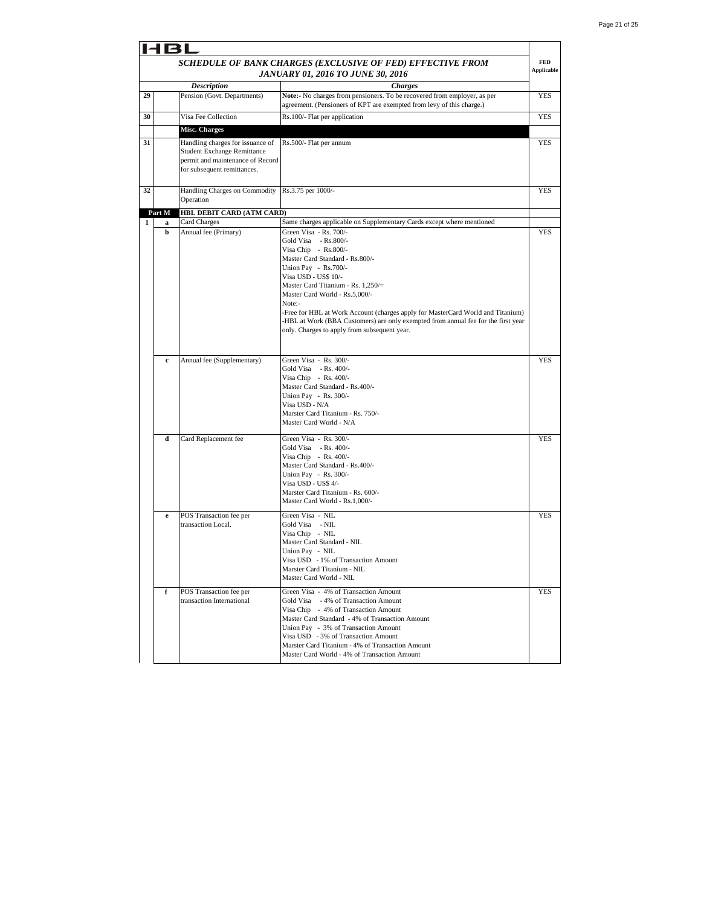|    |             |                                                                                                       | SCHEDULE OF BANK CHARGES (EXCLUSIVE OF FED) EFFECTIVE FROM<br>JANUARY 01, 2016 TO JUNE 30, 2016                                                   | <b>FED</b><br><b>Applicable</b> |
|----|-------------|-------------------------------------------------------------------------------------------------------|---------------------------------------------------------------------------------------------------------------------------------------------------|---------------------------------|
|    |             | <b>Description</b>                                                                                    | <b>Charges</b>                                                                                                                                    |                                 |
| 29 |             | Pension (Govt. Departments)                                                                           | Note:- No charges from pensioners. To be recovered from employer, as per<br>agreement. (Pensioners of KPT are exempted from levy of this charge.) | <b>YES</b>                      |
| 30 |             | Visa Fee Collection                                                                                   | Rs.100/- Flat per application                                                                                                                     | <b>YES</b>                      |
|    |             | Misc. Charges                                                                                         |                                                                                                                                                   |                                 |
| 31 |             | Handling charges for issuance of                                                                      | Rs.500/- Flat per annum                                                                                                                           | YES                             |
|    |             | <b>Student Exchange Remittance</b><br>permit and maintenance of Record<br>for subsequent remittances. |                                                                                                                                                   |                                 |
| 32 |             | Handling Charges on Commodity<br>Operation                                                            | Rs.3.75 per 1000/-                                                                                                                                | YES                             |
|    |             |                                                                                                       |                                                                                                                                                   |                                 |
|    | Part M      | <b>HBL DEBIT CARD (ATM CARD)</b><br>Card Charges                                                      |                                                                                                                                                   |                                 |
| 1  | a<br>b      | Annual fee (Primary)                                                                                  | Same charges applicable on Supplementary Cards except where mentioned<br>Green Visa - Rs. 700/-                                                   | YES                             |
|    |             |                                                                                                       | Gold Visa - Rs.800/-                                                                                                                              |                                 |
|    |             |                                                                                                       | Visa Chip - Rs.800/-                                                                                                                              |                                 |
|    |             |                                                                                                       | Master Card Standard - Rs.800/-                                                                                                                   |                                 |
|    |             |                                                                                                       | Union Pay - Rs.700/-                                                                                                                              |                                 |
|    |             |                                                                                                       | Visa USD - US\$ 10/-                                                                                                                              |                                 |
|    |             |                                                                                                       | Master Card Titanium - Rs. 1.250/=                                                                                                                |                                 |
|    |             |                                                                                                       | Master Card World - Rs.5,000/-<br>Note:-                                                                                                          |                                 |
|    |             |                                                                                                       | -Free for HBL at Work Account (charges apply for MasterCard World and Titanium)                                                                   |                                 |
|    |             |                                                                                                       | -HBL at Work (BBA Customers) are only exempted from annual fee for the first year                                                                 |                                 |
|    |             |                                                                                                       | only. Charges to apply from subsequent year.                                                                                                      |                                 |
|    |             |                                                                                                       |                                                                                                                                                   |                                 |
|    |             |                                                                                                       |                                                                                                                                                   |                                 |
|    | $\mathbf c$ | Annual fee (Supplementary)                                                                            | Green Visa - Rs. 300/-                                                                                                                            | <b>YES</b>                      |
|    |             |                                                                                                       | Gold Visa - Rs. 400/-                                                                                                                             |                                 |
|    |             |                                                                                                       | Visa Chip - Rs. 400/-<br>Master Card Standard - Rs.400/-                                                                                          |                                 |
|    |             |                                                                                                       | Union Pay - Rs. 300/-                                                                                                                             |                                 |
|    |             |                                                                                                       | Visa USD - N/A                                                                                                                                    |                                 |
|    |             |                                                                                                       | Marster Card Titanium - Rs. 750/-                                                                                                                 |                                 |
|    |             |                                                                                                       | Master Card World - N/A                                                                                                                           |                                 |
|    | d           | Card Replacement fee                                                                                  | Green Visa - Rs. 300/-                                                                                                                            | <b>YES</b>                      |
|    |             |                                                                                                       | Gold Visa - Rs. 400/-                                                                                                                             |                                 |
|    |             |                                                                                                       | Visa Chip - Rs. 400/-                                                                                                                             |                                 |
|    |             |                                                                                                       | Master Card Standard - Rs.400/-                                                                                                                   |                                 |
|    |             |                                                                                                       | Union Pay - Rs. 300/-                                                                                                                             |                                 |
|    |             |                                                                                                       | Visa USD - US\$ 4/-<br>Marster Card Titanium - Rs. 600/-                                                                                          |                                 |
|    |             |                                                                                                       | Master Card World - Rs.1,000/-                                                                                                                    |                                 |
|    |             |                                                                                                       |                                                                                                                                                   |                                 |
|    | $\mathbf e$ | POS Transaction fee per<br>transaction Local.                                                         | Green Visa - NIL<br>Gold Visa - NIL                                                                                                               | YES                             |
|    |             |                                                                                                       | Visa Chip - NIL                                                                                                                                   |                                 |
|    |             |                                                                                                       | Master Card Standard - NIL                                                                                                                        |                                 |
|    |             |                                                                                                       | Union Pay - NIL                                                                                                                                   |                                 |
|    |             |                                                                                                       | Visa USD - 1% of Transaction Amount                                                                                                               |                                 |
|    |             |                                                                                                       | Marster Card Titanium - NIL                                                                                                                       |                                 |
|    |             |                                                                                                       | Master Card World - NIL                                                                                                                           |                                 |
|    | f           | POS Transaction fee per                                                                               | Green Visa - 4% of Transaction Amount                                                                                                             | <b>YES</b>                      |
|    |             | transaction International                                                                             | Gold Visa - 4% of Transaction Amount                                                                                                              |                                 |
|    |             |                                                                                                       | Visa Chip - 4% of Transaction Amount                                                                                                              |                                 |
|    |             |                                                                                                       | Master Card Standard - 4% of Transaction Amount                                                                                                   |                                 |
|    |             |                                                                                                       | Union Pay - 3% of Transaction Amount<br>Visa USD - 3% of Transaction Amount                                                                       |                                 |
|    |             |                                                                                                       | Marster Card Titanium - 4% of Transaction Amount                                                                                                  |                                 |
|    |             |                                                                                                       | Master Card World - 4% of Transaction Amount                                                                                                      |                                 |
|    |             |                                                                                                       |                                                                                                                                                   |                                 |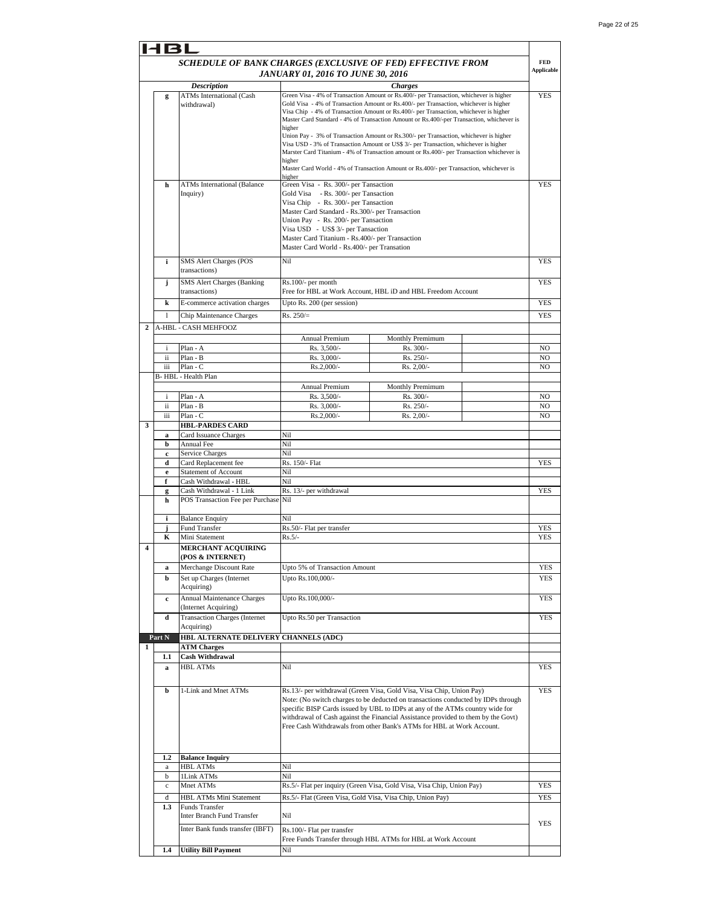|                                                            | 14 B L                               |                                       |                                                                                       |                                                                                                                                                                                   |                   |
|------------------------------------------------------------|--------------------------------------|---------------------------------------|---------------------------------------------------------------------------------------|-----------------------------------------------------------------------------------------------------------------------------------------------------------------------------------|-------------------|
| SCHEDULE OF BANK CHARGES (EXCLUSIVE OF FED) EFFECTIVE FROM |                                      |                                       |                                                                                       |                                                                                                                                                                                   | <b>FED</b>        |
| JANUARY 01, 2016 TO JUNE 30, 2016                          |                                      |                                       |                                                                                       |                                                                                                                                                                                   | <b>Applicable</b> |
|                                                            | <b>Charges</b><br><b>Description</b> |                                       |                                                                                       |                                                                                                                                                                                   |                   |
|                                                            |                                      | <b>ATMs International (Cash</b>       |                                                                                       | Green Visa - 4% of Transaction Amount or Rs.400/- per Transaction, whichever is higher                                                                                            | <b>YES</b>        |
|                                                            | g                                    |                                       |                                                                                       | Gold Visa - 4% of Transaction Amount or Rs.400/- per Transaction, whichever is higher                                                                                             |                   |
|                                                            |                                      | withdrawal)                           |                                                                                       |                                                                                                                                                                                   |                   |
|                                                            |                                      |                                       |                                                                                       | Visa Chip - 4% of Transaction Amount or Rs.400/- per Transaction, whichever is higher<br>Master Card Standard - 4% of Transaction Amount or Rs.400/-per Transaction, whichever is |                   |
|                                                            |                                      |                                       | higher                                                                                |                                                                                                                                                                                   |                   |
|                                                            |                                      |                                       | Union Pay - 3% of Transaction Amount or Rs.300/- per Transaction, whichever is higher |                                                                                                                                                                                   |                   |
|                                                            |                                      |                                       |                                                                                       | Visa USD - 3% of Transaction Amount or US\$ 3/- per Transaction, whichever is higher                                                                                              |                   |
|                                                            |                                      |                                       |                                                                                       | Marster Card Titanium - 4% of Transaction amount or Rs.400/- per Transaction whichever is                                                                                         |                   |
|                                                            |                                      |                                       | higher                                                                                |                                                                                                                                                                                   |                   |
|                                                            |                                      |                                       |                                                                                       | Master Card World - 4% of Transaction Amount or Rs.400/- per Transaction, whichever is                                                                                            |                   |
|                                                            |                                      |                                       | higher                                                                                |                                                                                                                                                                                   |                   |
|                                                            | h                                    | <b>ATMs International (Balance</b>    | Green Visa - Rs. 300/- per Tansaction                                                 |                                                                                                                                                                                   | <b>YES</b>        |
|                                                            |                                      | Inquiry)                              | Gold Visa - Rs. 300/- per Tansaction                                                  |                                                                                                                                                                                   |                   |
|                                                            |                                      |                                       | Visa Chip - Rs. 300/- per Tansaction                                                  |                                                                                                                                                                                   |                   |
|                                                            |                                      |                                       | Master Card Standard - Rs.300/- per Transaction                                       |                                                                                                                                                                                   |                   |
|                                                            |                                      |                                       |                                                                                       |                                                                                                                                                                                   |                   |
|                                                            |                                      |                                       | Union Pay - Rs. 200/- per Tansaction                                                  |                                                                                                                                                                                   |                   |
|                                                            |                                      |                                       | Visa USD - US\$ 3/- per Tansaction                                                    |                                                                                                                                                                                   |                   |
|                                                            |                                      |                                       | Master Card Titanium - Rs.400/- per Transaction                                       |                                                                                                                                                                                   |                   |
|                                                            |                                      |                                       | Master Card World - Rs.400/- per Transation                                           |                                                                                                                                                                                   |                   |
|                                                            | i                                    | SMS Alert Charges (POS                | Nil                                                                                   |                                                                                                                                                                                   | YES               |
|                                                            |                                      |                                       |                                                                                       |                                                                                                                                                                                   |                   |
|                                                            |                                      | transactions)                         |                                                                                       |                                                                                                                                                                                   |                   |
|                                                            | j                                    | <b>SMS Alert Charges (Banking</b>     | Rs.100/- per month                                                                    |                                                                                                                                                                                   | YES               |
|                                                            |                                      | transactions)                         |                                                                                       | Free for HBL at Work Account, HBL iD and HBL Freedom Account                                                                                                                      |                   |
|                                                            | k                                    | E-commerce activation charges         | Upto Rs. 200 (per session)                                                            |                                                                                                                                                                                   | YES               |
|                                                            |                                      |                                       |                                                                                       |                                                                                                                                                                                   |                   |
|                                                            | 1                                    | Chip Maintenance Charges              | $Rs. 250/=$                                                                           |                                                                                                                                                                                   | <b>YES</b>        |
| $\mathbf{2}$                                               |                                      | A-HBL - CASH MEHFOOZ                  |                                                                                       |                                                                                                                                                                                   |                   |
|                                                            |                                      |                                       |                                                                                       |                                                                                                                                                                                   |                   |
|                                                            |                                      |                                       | Annual Premium                                                                        | Monthly Premimum                                                                                                                                                                  |                   |
|                                                            | i                                    | Plan - A                              | Rs. 3,500/-                                                                           | Rs. 300/-                                                                                                                                                                         | NO                |
|                                                            | ii                                   | Plan - B                              | Rs. 3,000/-                                                                           | Rs. 250/-                                                                                                                                                                         | NO                |
|                                                            | iii                                  | Plan - C                              | Rs.2,000/-                                                                            | Rs. 2,00/-                                                                                                                                                                        | NO                |
|                                                            |                                      | B-HBL - Health Plan                   |                                                                                       |                                                                                                                                                                                   |                   |
|                                                            |                                      |                                       | Annual Premium                                                                        | Monthly Premimum                                                                                                                                                                  |                   |
|                                                            |                                      |                                       |                                                                                       |                                                                                                                                                                                   |                   |
|                                                            | i                                    | Plan - A                              | Rs. 3,500/-                                                                           | Rs. 300/-                                                                                                                                                                         | NO                |
|                                                            | ii                                   | Plan - B                              | Rs. 3,000/-                                                                           | Rs. 250/-                                                                                                                                                                         | NO                |
|                                                            | iii                                  | Plan - C                              | Rs.2,000/-                                                                            | Rs. 2,00/-                                                                                                                                                                        | NO                |
| 3                                                          |                                      | <b>HBL-PARDES CARD</b>                |                                                                                       |                                                                                                                                                                                   |                   |
|                                                            | a                                    | Card Issuance Charges                 | Nil                                                                                   |                                                                                                                                                                                   |                   |
|                                                            | b                                    | Annual Fee                            | Nil                                                                                   |                                                                                                                                                                                   |                   |
|                                                            | c                                    | Service Charges                       | Nil                                                                                   |                                                                                                                                                                                   |                   |
|                                                            | d                                    | Card Replacement fee                  | Rs. 150/- Flat                                                                        |                                                                                                                                                                                   | YES               |
|                                                            |                                      |                                       |                                                                                       |                                                                                                                                                                                   |                   |
|                                                            | $\mathbf e$                          | <b>Statement of Account</b>           | Nil                                                                                   |                                                                                                                                                                                   |                   |
|                                                            | f                                    | Cash Withdrawal - HBL                 | Nil                                                                                   |                                                                                                                                                                                   |                   |
|                                                            | g                                    | Cash Withdrawal - 1 Link              | Rs. 13/- per withdrawal                                                               |                                                                                                                                                                                   | YES               |
|                                                            | h                                    | POS Transaction Fee per Purchase Nil  |                                                                                       |                                                                                                                                                                                   |                   |
|                                                            |                                      |                                       |                                                                                       |                                                                                                                                                                                   |                   |
|                                                            | i                                    | <b>Balance Enquiry</b>                | Nil                                                                                   |                                                                                                                                                                                   |                   |
|                                                            | j                                    | Fund Transfer                         | Rs.50/- Flat per transfer                                                             |                                                                                                                                                                                   | YES               |
|                                                            | K                                    | Mini Statement                        | $Rs.5/-$                                                                              |                                                                                                                                                                                   | <b>YES</b>        |
|                                                            |                                      |                                       |                                                                                       |                                                                                                                                                                                   |                   |
| 4                                                          |                                      | <b>MERCHANT ACQUIRING</b>             |                                                                                       |                                                                                                                                                                                   |                   |
|                                                            |                                      | (POS & INTERNET)                      |                                                                                       |                                                                                                                                                                                   |                   |
|                                                            | a                                    | Merchange Discount Rate               | Upto 5% of Transaction Amount                                                         |                                                                                                                                                                                   | YES               |
|                                                            | b                                    | Set up Charges (Internet              | Upto Rs.100,000/-                                                                     |                                                                                                                                                                                   | YES               |
|                                                            |                                      | Acquiring)                            |                                                                                       |                                                                                                                                                                                   |                   |
|                                                            |                                      |                                       |                                                                                       |                                                                                                                                                                                   |                   |
|                                                            | $\mathbf c$                          | Annual Maintenance Charges            | Upto Rs.100,000/-                                                                     |                                                                                                                                                                                   | YES               |
|                                                            |                                      | (Internet Acquiring)                  |                                                                                       |                                                                                                                                                                                   |                   |
|                                                            | d                                    | <b>Transaction Charges (Internet</b>  | Upto Rs.50 per Transaction                                                            |                                                                                                                                                                                   | YES               |
|                                                            |                                      | Acquiring)                            |                                                                                       |                                                                                                                                                                                   |                   |
|                                                            | Part N                               | HBL ALTERNATE DELIVERY CHANNELS (ADC) |                                                                                       |                                                                                                                                                                                   |                   |
| $\mathbf{1}$                                               |                                      | <b>ATM Charges</b>                    |                                                                                       |                                                                                                                                                                                   |                   |
|                                                            | 1.1                                  | <b>Cash Withdrawal</b>                |                                                                                       |                                                                                                                                                                                   |                   |
|                                                            |                                      |                                       |                                                                                       |                                                                                                                                                                                   |                   |
|                                                            | a                                    | <b>HBL ATMs</b>                       | Nil                                                                                   |                                                                                                                                                                                   | YES               |
|                                                            |                                      |                                       |                                                                                       |                                                                                                                                                                                   |                   |
|                                                            |                                      | 1-Link and Mnet ATMs                  |                                                                                       | Rs.13/- per withdrawal (Green Visa, Gold Visa, Visa Chip, Union Pay)                                                                                                              | YES               |
|                                                            | b                                    |                                       |                                                                                       |                                                                                                                                                                                   |                   |
|                                                            |                                      |                                       |                                                                                       | Note: (No switch charges to be deducted on transactions conducted by IDPs through                                                                                                 |                   |
|                                                            |                                      |                                       |                                                                                       | specific BISP Cards issued by UBL to IDPs at any of the ATMs country wide for                                                                                                     |                   |
|                                                            |                                      |                                       |                                                                                       | withdrawal of Cash against the Financial Assistance provided to them by the Govt)                                                                                                 |                   |
|                                                            |                                      |                                       |                                                                                       | Free Cash Withdrawals from other Bank's ATMs for HBL at Work Account.                                                                                                             |                   |
|                                                            |                                      |                                       |                                                                                       |                                                                                                                                                                                   |                   |
|                                                            |                                      |                                       |                                                                                       |                                                                                                                                                                                   |                   |
|                                                            | 1.2                                  | <b>Balance Inquiry</b>                |                                                                                       |                                                                                                                                                                                   |                   |
|                                                            |                                      |                                       |                                                                                       |                                                                                                                                                                                   |                   |
|                                                            | a                                    | <b>HBL ATMs</b>                       | Nil                                                                                   |                                                                                                                                                                                   |                   |
|                                                            | b                                    | 1Link ATMs                            | Nil                                                                                   |                                                                                                                                                                                   |                   |
|                                                            | $\mathbf c$                          | Mnet ATMs                             |                                                                                       | Rs.5/- Flat per inquiry (Green Visa, Gold Visa, Visa Chip, Union Pay)                                                                                                             | YES               |
|                                                            | d                                    | HBL ATMs Mini Statement               | Rs.5/- Flat (Green Visa, Gold Visa, Visa Chip, Union Pay)                             |                                                                                                                                                                                   | YES               |
|                                                            | 1.3                                  | Funds Transfer                        |                                                                                       |                                                                                                                                                                                   |                   |
|                                                            |                                      | Inter Branch Fund Transfer            | Nil                                                                                   |                                                                                                                                                                                   |                   |
|                                                            |                                      |                                       |                                                                                       |                                                                                                                                                                                   | YES               |
|                                                            |                                      | Inter Bank funds transfer (IBFT)      | Rs.100/- Flat per transfer                                                            |                                                                                                                                                                                   |                   |
|                                                            |                                      |                                       |                                                                                       | Free Funds Transfer through HBL ATMs for HBL at Work Account                                                                                                                      |                   |
|                                                            | 1.4                                  | <b>Utility Bill Payment</b>           | Nil                                                                                   |                                                                                                                                                                                   |                   |
|                                                            |                                      |                                       |                                                                                       |                                                                                                                                                                                   |                   |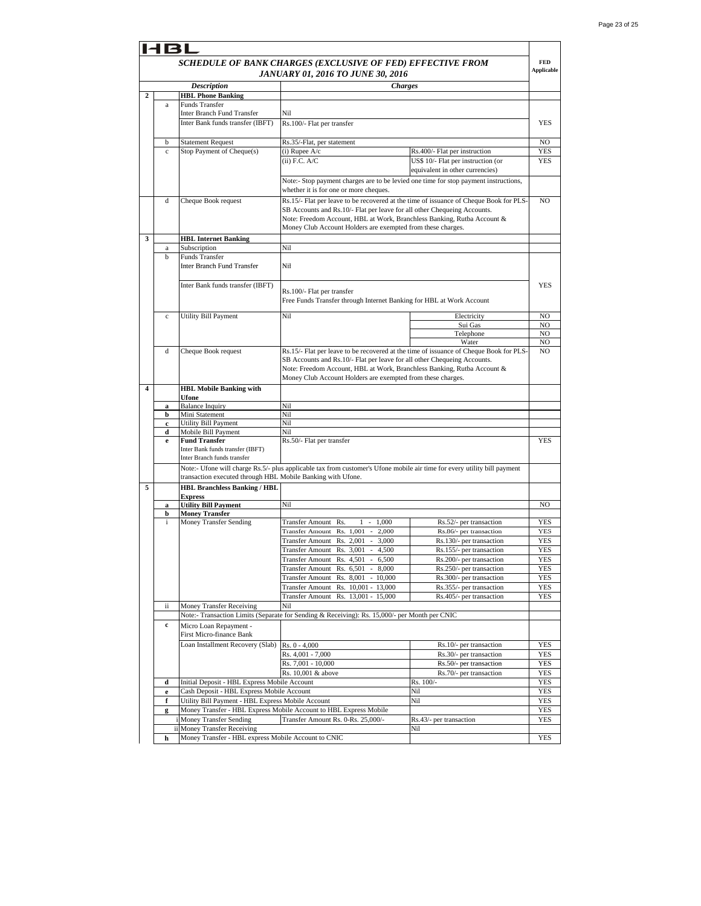|   | 48I                                                                      |                                                                 |                                                                                                                                        |                                                                       |                          |  |
|---|--------------------------------------------------------------------------|-----------------------------------------------------------------|----------------------------------------------------------------------------------------------------------------------------------------|-----------------------------------------------------------------------|--------------------------|--|
|   |                                                                          | SCHEDULE OF BANK CHARGES (EXCLUSIVE OF FED) EFFECTIVE FROM      |                                                                                                                                        |                                                                       |                          |  |
|   |                                                                          | <b>Applicable</b><br><b>JANUARY 01, 2016 TO JUNE 30, 2016</b>   |                                                                                                                                        |                                                                       |                          |  |
|   |                                                                          | <b>Description</b>                                              | <b>Charges</b>                                                                                                                         |                                                                       |                          |  |
| 2 |                                                                          | <b>HBL Phone Banking</b>                                        |                                                                                                                                        |                                                                       |                          |  |
|   | a                                                                        | Funds Transfer<br>Inter Branch Fund Transfer                    | Nil                                                                                                                                    |                                                                       |                          |  |
|   |                                                                          | Inter Bank funds transfer (IBFT)                                | Rs.100/- Flat per transfer                                                                                                             |                                                                       | <b>YES</b>               |  |
|   |                                                                          |                                                                 |                                                                                                                                        |                                                                       |                          |  |
|   | b                                                                        | <b>Statement Request</b>                                        | Rs.35/-Flat, per statement                                                                                                             |                                                                       | NO                       |  |
|   | $\mathbf{c}$                                                             | Stop Payment of Cheque(s)                                       | $(i)$ Rupee $A/c$                                                                                                                      | Rs.400/- Flat per instruction                                         | YES                      |  |
|   |                                                                          |                                                                 | $(ii)$ F.C. $A/C$                                                                                                                      | US\$ 10/- Flat per instruction (or<br>equivalent in other currencies) | <b>YES</b>               |  |
|   |                                                                          |                                                                 | Note:- Stop payment charges are to be levied one time for stop payment instructions,                                                   |                                                                       |                          |  |
|   |                                                                          |                                                                 | whether it is for one or more cheques.                                                                                                 |                                                                       |                          |  |
|   | d                                                                        | Cheque Book request                                             | Rs.15/- Flat per leave to be recovered at the time of issuance of Cheque Book for PLS-                                                 |                                                                       | NO.                      |  |
|   |                                                                          |                                                                 | SB Accounts and Rs.10/- Flat per leave for all other Chequeing Accounts.                                                               |                                                                       |                          |  |
|   |                                                                          |                                                                 | Note: Freedom Account, HBL at Work, Branchless Banking, Rutba Account &<br>Money Club Account Holders are exempted from these charges. |                                                                       |                          |  |
| 3 |                                                                          | <b>HBL Internet Banking</b>                                     |                                                                                                                                        |                                                                       |                          |  |
|   | a                                                                        | Subscription                                                    | Nil                                                                                                                                    |                                                                       |                          |  |
|   | b                                                                        | Funds Transfer                                                  |                                                                                                                                        |                                                                       |                          |  |
|   | Inter Branch Fund Transfer<br>Nil                                        |                                                                 |                                                                                                                                        |                                                                       |                          |  |
|   |                                                                          | Inter Bank funds transfer (IBFT)                                |                                                                                                                                        |                                                                       | YES                      |  |
|   |                                                                          |                                                                 | Rs.100/- Flat per transfer                                                                                                             |                                                                       |                          |  |
|   | Free Funds Transfer through Internet Banking for HBL at Work Account     |                                                                 |                                                                                                                                        |                                                                       |                          |  |
|   | $\mathbf{c}$                                                             | Utility Bill Payment                                            | Nil                                                                                                                                    | Electricity                                                           | NO                       |  |
|   |                                                                          |                                                                 |                                                                                                                                        | Sui Gas                                                               | NO                       |  |
|   |                                                                          |                                                                 |                                                                                                                                        | Telephone<br>Water                                                    | NO<br>NO                 |  |
|   | d                                                                        | Cheque Book request                                             | Rs.15/- Flat per leave to be recovered at the time of issuance of Cheque Book for PLS-                                                 |                                                                       | NO.                      |  |
|   | SB Accounts and Rs.10/- Flat per leave for all other Chequeing Accounts. |                                                                 |                                                                                                                                        |                                                                       |                          |  |
|   |                                                                          |                                                                 | Note: Freedom Account, HBL at Work, Branchless Banking, Rutba Account &                                                                |                                                                       |                          |  |
| 4 |                                                                          |                                                                 | Money Club Account Holders are exempted from these charges.                                                                            |                                                                       |                          |  |
|   |                                                                          | <b>HBL Mobile Banking with</b><br>Ufone                         |                                                                                                                                        |                                                                       |                          |  |
|   | a                                                                        | <b>Balance Inquiry</b>                                          | Nil                                                                                                                                    |                                                                       |                          |  |
|   | b                                                                        | Mini Statement                                                  | Nil<br>Nil                                                                                                                             |                                                                       |                          |  |
|   | c<br>d                                                                   | Utility Bill Payment<br>Mobile Bill Payment                     | Nil                                                                                                                                    |                                                                       |                          |  |
|   | e                                                                        | <b>Fund Transfer</b>                                            | Rs.50/- Flat per transfer                                                                                                              |                                                                       | YES                      |  |
|   |                                                                          | Inter Bank funds transfer (IBFT)<br>Inter Branch funds transfer |                                                                                                                                        |                                                                       |                          |  |
|   |                                                                          |                                                                 | Note:- Ufone will charge Rs.5/- plus applicable tax from customer's Ufone mobile air time for every utility bill payment               |                                                                       |                          |  |
|   |                                                                          | transaction executed through HBL Mobile Banking with Ufone.     |                                                                                                                                        |                                                                       |                          |  |
| 5 |                                                                          | <b>HBL Branchless Banking / HBL</b>                             |                                                                                                                                        |                                                                       |                          |  |
|   |                                                                          | <b>Express</b>                                                  |                                                                                                                                        |                                                                       |                          |  |
|   | a<br>b                                                                   | <b>Utility Bill Payment</b><br><b>Money Transfer</b>            | Nil                                                                                                                                    |                                                                       | NO                       |  |
|   | i.                                                                       | Money Transfer Sending                                          | Transfer Amount Rs.<br>$1 - 1,000$                                                                                                     | Rs.52/- per transaction                                               | <b>YES</b>               |  |
|   |                                                                          |                                                                 | Transfer Amount Rs. 1,001<br>$\overline{\phantom{a}}$<br>2,000                                                                         | Rs.86/- per transaction                                               | YES                      |  |
|   |                                                                          |                                                                 | Transfer Amount Rs. 2,001<br>3,000<br>$\sim$                                                                                           | Rs.130/- per transaction                                              | YES                      |  |
|   |                                                                          |                                                                 | Transfer Amount Rs. 3,001<br>4,500<br>$\sim$<br>Transfer Amount Rs. 4,501 - 6,500                                                      | Rs.155/- per transaction<br>Rs.200/- per transaction                  | YES<br>YES               |  |
|   |                                                                          |                                                                 | Transfer Amount Rs. 6,501 - 8,000                                                                                                      | Rs.250/- per transaction                                              | YES                      |  |
|   |                                                                          |                                                                 | Transfer Amount Rs. 8,001 - 10,000                                                                                                     | Rs.300/- per transaction                                              | YES                      |  |
|   |                                                                          |                                                                 | Transfer Amount Rs. 10,001 - 13,000                                                                                                    | Rs.355/- per transaction                                              | YES                      |  |
|   | ii                                                                       | Money Transfer Receiving                                        | Transfer Amount Rs. 13,001 - 15,000<br>Nil                                                                                             | Rs.405/- per transaction                                              | <b>YES</b>               |  |
|   |                                                                          |                                                                 | Note:- Transaction Limits (Separate for Sending & Receiving): Rs. 15,000/- per Month per CNIC                                          |                                                                       |                          |  |
|   | c                                                                        | Micro Loan Repayment -                                          |                                                                                                                                        |                                                                       |                          |  |
|   |                                                                          | First Micro-finance Bank                                        |                                                                                                                                        |                                                                       |                          |  |
|   |                                                                          | Loan Installment Recovery (Slab)                                | Rs. 0 - 4,000                                                                                                                          | Rs.10/- per transaction                                               | YES                      |  |
|   |                                                                          |                                                                 | Rs. 4,001 - 7,000<br>Rs. 7,001 - 10,000                                                                                                | Rs.30/- per transaction<br>Rs.50/- per transaction                    | <b>YES</b><br><b>YES</b> |  |
|   |                                                                          |                                                                 | Rs. 10,001 & above                                                                                                                     | Rs.70/- per transaction                                               | <b>YES</b>               |  |
|   | d                                                                        | Initial Deposit - HBL Express Mobile Account                    |                                                                                                                                        | Rs. 100/-                                                             | <b>YES</b>               |  |
|   | $\mathbf e$                                                              | Cash Deposit - HBL Express Mobile Account                       |                                                                                                                                        | Nil                                                                   | YES                      |  |
|   | f                                                                        | Utility Bill Payment - HBL Express Mobile Account               | Money Transfer - HBL Express Mobile Account to HBL Express Mobile                                                                      | Nil                                                                   | YES                      |  |
|   | g                                                                        | i Money Transfer Sending                                        | Transfer Amount Rs. 0-Rs. 25,000/-                                                                                                     | Rs.43/- per transaction                                               | YES<br>YES               |  |
|   |                                                                          | ii Money Transfer Receiving                                     |                                                                                                                                        | Nil                                                                   |                          |  |
|   | h                                                                        | Money Transfer - HBL express Mobile Account to CNIC             |                                                                                                                                        |                                                                       | <b>YES</b>               |  |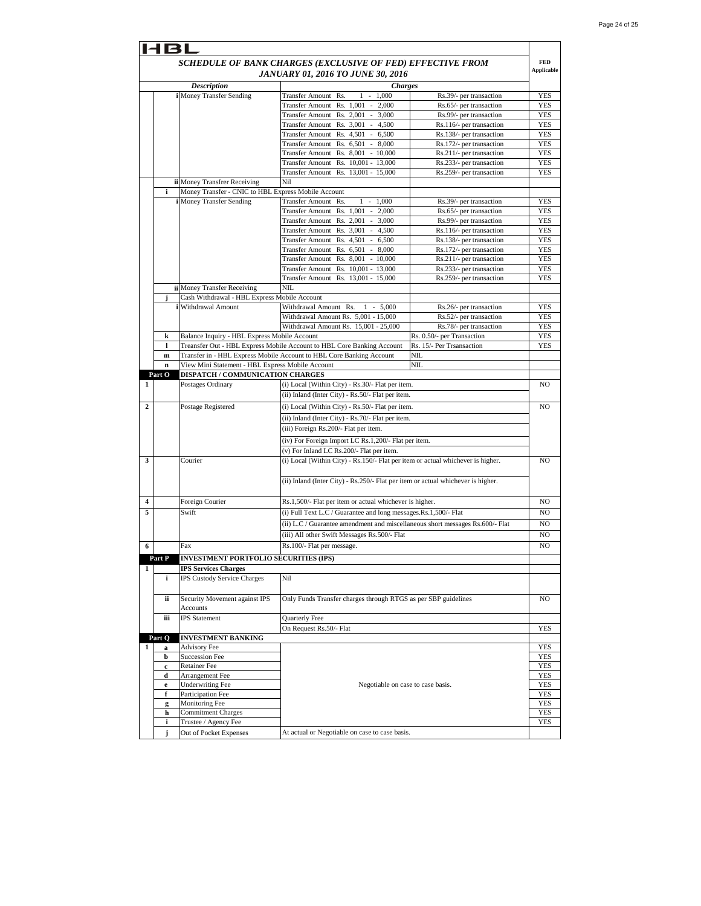| 14 B L                                                     |                                      |                                                     |                                                                                  |                                                      |                                 |  |
|------------------------------------------------------------|--------------------------------------|-----------------------------------------------------|----------------------------------------------------------------------------------|------------------------------------------------------|---------------------------------|--|
| SCHEDULE OF BANK CHARGES (EXCLUSIVE OF FED) EFFECTIVE FROM |                                      |                                                     |                                                                                  |                                                      | <b>FED</b><br><b>Applicable</b> |  |
| <b>JANUARY 01, 2016 TO JUNE 30, 2016</b>                   |                                      |                                                     |                                                                                  |                                                      |                                 |  |
|                                                            | <b>Description</b><br><b>Charges</b> |                                                     |                                                                                  |                                                      |                                 |  |
|                                                            |                                      | i Money Transfer Sending                            | Transfer Amount Rs.<br>$1 - 1,000$                                               | Rs.39/- per transaction                              | YES                             |  |
|                                                            |                                      |                                                     | Transfer Amount Rs. 1,001<br>2,000<br>$\sim$                                     | Rs.65/- per transaction                              | YES                             |  |
|                                                            |                                      |                                                     | Transfer Amount Rs. 2,001 -<br>3,000                                             | Rs.99/- per transaction                              | <b>YES</b>                      |  |
|                                                            |                                      |                                                     | Transfer Amount Rs. 3,001 - 4,500                                                | Rs.116/- per transaction                             | YES                             |  |
|                                                            |                                      |                                                     | Transfer Amount Rs. 4,501 - 6,500                                                | Rs.138/- per transaction                             | <b>YES</b>                      |  |
|                                                            |                                      |                                                     | Transfer Amount Rs. 6,501 - 8,000<br>Transfer Amount Rs. 8,001 - 10,000          | Rs.172/- per transaction<br>Rs.211/- per transaction | YES<br>YES                      |  |
|                                                            |                                      |                                                     | Transfer Amount Rs. 10,001 - 13,000                                              | Rs.233/- per transaction                             | <b>YES</b>                      |  |
|                                                            |                                      |                                                     | Transfer Amount Rs. 13,001 - 15,000                                              | Rs.259/- per transaction                             | YES                             |  |
|                                                            |                                      | ii Money Transfrer Receiving                        | Nil                                                                              |                                                      |                                 |  |
|                                                            | i                                    | Money Transfer - CNIC to HBL Express Mobile Account |                                                                                  |                                                      |                                 |  |
|                                                            |                                      | <b>i</b> Money Transfer Sending                     | Transfer Amount Rs.<br>$1 -$<br>1,000                                            | Rs.39/- per transaction                              | YES                             |  |
|                                                            |                                      |                                                     | Transfer Amount Rs. 1,001<br>2,000<br>$\sim$                                     | Rs.65/- per transaction                              | <b>YES</b>                      |  |
|                                                            |                                      |                                                     | Transfer Amount Rs. 2,001 - 3,000                                                | Rs.99/- per transaction                              | YES                             |  |
|                                                            |                                      |                                                     | Transfer Amount Rs. 3,001 - 4,500                                                | Rs.116/- per transaction                             | <b>YES</b>                      |  |
|                                                            |                                      |                                                     | Transfer Amount Rs. 4,501 - 6,500                                                | Rs.138/- per transaction                             | YES                             |  |
|                                                            |                                      |                                                     | Transfer Amount Rs. 6,501<br>$-8,000$<br>Transfer Amount Rs. 8,001 - 10,000      | Rs.172/- per transaction                             | YES<br><b>YES</b>               |  |
|                                                            |                                      |                                                     | <b>Transfer Amount</b><br>Rs. 10,001 - 13,000                                    | Rs.211/- per transaction<br>Rs.233/- per transaction | YES                             |  |
|                                                            |                                      |                                                     | Transfer Amount Rs. 13,001 - 15,000                                              | Rs.259/- per transaction                             | YES                             |  |
|                                                            |                                      | ii Money Transfer Receiving                         | NIL                                                                              |                                                      |                                 |  |
|                                                            | j                                    | Cash Withdrawal - HBL Express Mobile Account        |                                                                                  |                                                      |                                 |  |
|                                                            |                                      | i Withdrawal Amount                                 | Withdrawal Amount Rs.<br>$1 - 5,000$                                             | Rs.26/- per transaction                              | <b>YES</b>                      |  |
|                                                            |                                      |                                                     | Withdrawal Amount Rs. 5,001 - 15,000                                             | Rs.52/- per transaction                              | YES                             |  |
|                                                            |                                      |                                                     | Withdrawal Amount Rs. 15,001 - 25,000                                            | Rs.78/- per transaction                              | <b>YES</b>                      |  |
|                                                            | k                                    | Balance Inquiry - HBL Express Mobile Account        |                                                                                  | Rs. 0.50/- per Transaction                           | YES                             |  |
|                                                            | 1                                    |                                                     | Treansfer Out - HBL Express Mobile Account to HBL Core Banking Account           | Rs. 15/- Per Trsansaction                            | YES                             |  |
|                                                            | $\mathbf m$                          |                                                     | Transfer in - HBL Express Mobile Account to HBL Core Banking Account             | NIL                                                  |                                 |  |
|                                                            | $\mathbf n$                          | View Mini Statement - HBL Express Mobile Account    |                                                                                  | NIL                                                  |                                 |  |
|                                                            | Part O                               | <b>DISPATCH / COMMUNICATION CHARGES</b>             |                                                                                  |                                                      |                                 |  |
| 1                                                          |                                      | Postages Ordinary                                   | (i) Local (Within City) - Rs.30/- Flat per item.                                 |                                                      | NO.                             |  |
|                                                            |                                      |                                                     | (ii) Inland (Inter City) - Rs.50/- Flat per item.                                |                                                      |                                 |  |
| $\mathbf{2}$                                               |                                      | Postage Registered                                  | (i) Local (Within City) - Rs.50/- Flat per item.                                 |                                                      | NO.                             |  |
|                                                            |                                      |                                                     | (ii) Inland (Inter City) - Rs.70/- Flat per item.                                |                                                      |                                 |  |
|                                                            |                                      |                                                     | (iii) Foreign Rs.200/- Flat per item.                                            |                                                      |                                 |  |
|                                                            |                                      |                                                     | (iv) For Foreign Import LC Rs.1,200/- Flat per item.                             |                                                      |                                 |  |
|                                                            |                                      |                                                     | (v) For Inland LC Rs.200/- Flat per item.                                        |                                                      |                                 |  |
| 3                                                          |                                      | Courier                                             | (i) Local (Within City) - Rs.150/- Flat per item or actual whichever is higher.  |                                                      | NO                              |  |
|                                                            |                                      |                                                     |                                                                                  |                                                      |                                 |  |
|                                                            |                                      |                                                     | (ii) Inland (Inter City) - Rs.250/- Flat per item or actual whichever is higher. |                                                      |                                 |  |
|                                                            |                                      |                                                     |                                                                                  |                                                      |                                 |  |
| 4                                                          |                                      | Foreign Courier                                     | Rs.1,500/- Flat per item or actual whichever is higher.                          |                                                      | NO                              |  |
| 5                                                          |                                      | Swift                                               | (i) Full Text L.C / Guarantee and long messages.Rs.1,500/- Flat                  |                                                      | NO                              |  |
|                                                            |                                      |                                                     | (ii) L.C / Guarantee amendment and miscellaneous short messages Rs.600/- Flat    |                                                      | NO                              |  |
|                                                            |                                      |                                                     | (iii) All other Swift Messages Rs.500/- Flat                                     |                                                      | NO                              |  |
| 6                                                          |                                      | Fax                                                 | Rs.100/- Flat per message.                                                       |                                                      | NO                              |  |
|                                                            | Part P                               | <b>INVESTMENT PORTFOLIO SECURITIES (IPS)</b>        |                                                                                  |                                                      |                                 |  |
| 1                                                          |                                      | <b>IPS Services Charges</b>                         |                                                                                  |                                                      |                                 |  |
|                                                            | i                                    | IPS Custody Service Charges                         | Nil                                                                              |                                                      |                                 |  |
|                                                            |                                      |                                                     |                                                                                  |                                                      |                                 |  |
|                                                            | ii.                                  | Security Movement against IPS                       | Only Funds Transfer charges through RTGS as per SBP guidelines                   |                                                      | NO                              |  |
|                                                            |                                      | <b>Accounts</b>                                     |                                                                                  |                                                      |                                 |  |
|                                                            | iii                                  | <b>IPS</b> Statement                                | Quarterly Free                                                                   |                                                      |                                 |  |
|                                                            |                                      |                                                     | On Request Rs.50/- Flat                                                          |                                                      | <b>YES</b>                      |  |
| $\mathbf{1}$                                               | Part O<br>a                          | <b>INVESTMENT BANKING</b><br><b>Advisory Fee</b>    |                                                                                  |                                                      | YES                             |  |
|                                                            | b                                    | <b>Succession Fee</b>                               |                                                                                  |                                                      | YES                             |  |
|                                                            | c                                    | <b>Retainer Fee</b>                                 |                                                                                  |                                                      | <b>YES</b>                      |  |
|                                                            | d                                    | Arrangement Fee                                     |                                                                                  |                                                      | YES                             |  |
|                                                            | e                                    | <b>Underwriting Fee</b>                             | Negotiable on case to case basis.                                                |                                                      | YES                             |  |
|                                                            | f                                    | Participation Fee                                   |                                                                                  |                                                      | YES                             |  |
|                                                            | g                                    | Monitoring Fee                                      |                                                                                  |                                                      | YES                             |  |
|                                                            | h                                    | <b>Commitment Charges</b>                           |                                                                                  |                                                      | YES                             |  |
|                                                            | i                                    | Trustee / Agency Fee                                |                                                                                  |                                                      | YES                             |  |
|                                                            | j                                    | Out of Pocket Expenses                              | At actual or Negotiable on case to case basis.                                   |                                                      |                                 |  |